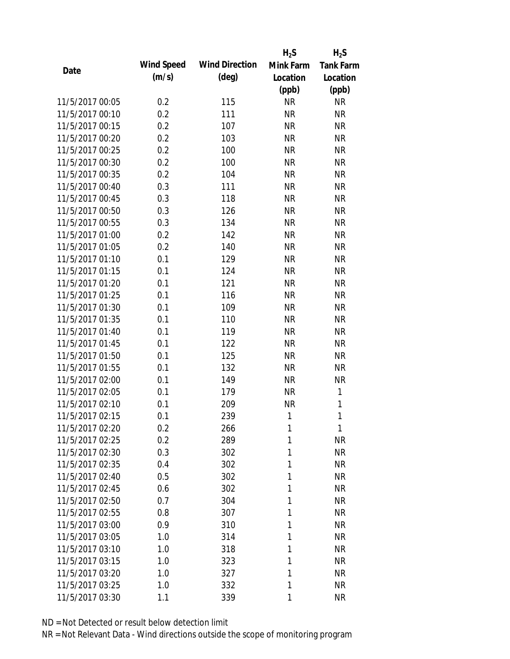|                 |            |                       | $H_2S$    | $H_2S$           |
|-----------------|------------|-----------------------|-----------|------------------|
| Date            | Wind Speed | <b>Wind Direction</b> | Mink Farm | <b>Tank Farm</b> |
|                 | (m/s)      | $(\text{deg})$        | Location  | Location         |
|                 |            |                       | (ppb)     | (ppb)            |
| 11/5/2017 00:05 | 0.2        | 115                   | <b>NR</b> | <b>NR</b>        |
| 11/5/2017 00:10 | 0.2        | 111                   | <b>NR</b> | <b>NR</b>        |
| 11/5/2017 00:15 | 0.2        | 107                   | <b>NR</b> | <b>NR</b>        |
| 11/5/2017 00:20 | 0.2        | 103                   | <b>NR</b> | <b>NR</b>        |
| 11/5/2017 00:25 | 0.2        | 100                   | <b>NR</b> | <b>NR</b>        |
| 11/5/2017 00:30 | 0.2        | 100                   | <b>NR</b> | <b>NR</b>        |
| 11/5/2017 00:35 | 0.2        | 104                   | <b>NR</b> | <b>NR</b>        |
| 11/5/2017 00:40 | 0.3        | 111                   | <b>NR</b> | <b>NR</b>        |
| 11/5/2017 00:45 | 0.3        | 118                   | <b>NR</b> | <b>NR</b>        |
| 11/5/2017 00:50 | 0.3        | 126                   | <b>NR</b> | <b>NR</b>        |
| 11/5/2017 00:55 | 0.3        | 134                   | <b>NR</b> | <b>NR</b>        |
| 11/5/2017 01:00 | 0.2        | 142                   | <b>NR</b> | <b>NR</b>        |
| 11/5/2017 01:05 | 0.2        | 140                   | <b>NR</b> | <b>NR</b>        |
| 11/5/2017 01:10 | 0.1        | 129                   | <b>NR</b> | <b>NR</b>        |
| 11/5/2017 01:15 | 0.1        | 124                   | <b>NR</b> | <b>NR</b>        |
| 11/5/2017 01:20 | 0.1        | 121                   | <b>NR</b> | <b>NR</b>        |
| 11/5/2017 01:25 | 0.1        | 116                   | <b>NR</b> | <b>NR</b>        |
| 11/5/2017 01:30 | 0.1        | 109                   | <b>NR</b> | <b>NR</b>        |
| 11/5/2017 01:35 | 0.1        | 110                   | <b>NR</b> | <b>NR</b>        |
| 11/5/2017 01:40 | 0.1        | 119                   | <b>NR</b> | <b>NR</b>        |
| 11/5/2017 01:45 | 0.1        | 122                   | <b>NR</b> | <b>NR</b>        |
| 11/5/2017 01:50 | 0.1        | 125                   | <b>NR</b> | <b>NR</b>        |
| 11/5/2017 01:55 | 0.1        | 132                   | <b>NR</b> | <b>NR</b>        |
| 11/5/2017 02:00 | 0.1        | 149                   | <b>NR</b> | <b>NR</b>        |
| 11/5/2017 02:05 | 0.1        | 179                   | <b>NR</b> | 1                |
| 11/5/2017 02:10 | 0.1        | 209                   | <b>NR</b> | 1                |
| 11/5/2017 02:15 | 0.1        | 239                   | 1         | $\mathbf{1}$     |
| 11/5/2017 02:20 | 0.2        | 266                   | 1         | 1                |
| 11/5/2017 02:25 | 0.2        | 289                   | 1         | <b>NR</b>        |
| 11/5/2017 02:30 | 0.3        | 302                   | 1         | <b>NR</b>        |
| 11/5/2017 02:35 | 0.4        | 302                   | 1         | <b>NR</b>        |
| 11/5/2017 02:40 | 0.5        | 302                   | 1         | <b>NR</b>        |
| 11/5/2017 02:45 | 0.6        | 302                   | 1         | <b>NR</b>        |
| 11/5/2017 02:50 | 0.7        | 304                   | 1         | <b>NR</b>        |
| 11/5/2017 02:55 | 0.8        | 307                   | 1         | <b>NR</b>        |
| 11/5/2017 03:00 | 0.9        | 310                   | 1         | <b>NR</b>        |
| 11/5/2017 03:05 | 1.0        | 314                   | 1         | <b>NR</b>        |
| 11/5/2017 03:10 | 1.0        | 318                   | 1         | <b>NR</b>        |
| 11/5/2017 03:15 | 1.0        | 323                   | 1         | <b>NR</b>        |
| 11/5/2017 03:20 | 1.0        | 327                   | 1         | <b>NR</b>        |
| 11/5/2017 03:25 | 1.0        | 332                   | 1         | <b>NR</b>        |
| 11/5/2017 03:30 | 1.1        | 339                   | 1         | <b>NR</b>        |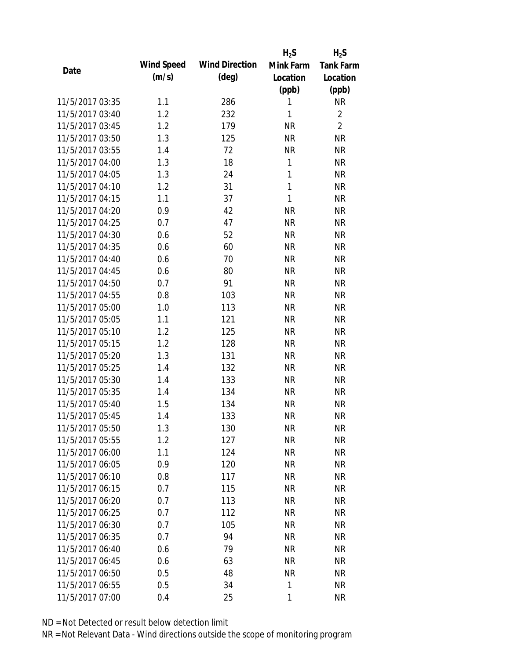|                 |            |                       | $H_2S$       | $H_2S$           |
|-----------------|------------|-----------------------|--------------|------------------|
| Date            | Wind Speed | <b>Wind Direction</b> | Mink Farm    | <b>Tank Farm</b> |
|                 | (m/s)      | $(\text{deg})$        | Location     | Location         |
|                 |            |                       | (ppb)        | (ppb)            |
| 11/5/2017 03:35 | 1.1        | 286                   | 1            | <b>NR</b>        |
| 11/5/2017 03:40 | 1.2        | 232                   | 1            | $\overline{2}$   |
| 11/5/2017 03:45 | 1.2        | 179                   | <b>NR</b>    | $\overline{2}$   |
| 11/5/2017 03:50 | 1.3        | 125                   | <b>NR</b>    | <b>NR</b>        |
| 11/5/2017 03:55 | 1.4        | 72                    | <b>NR</b>    | <b>NR</b>        |
| 11/5/2017 04:00 | 1.3        | 18                    | 1            | <b>NR</b>        |
| 11/5/2017 04:05 | 1.3        | 24                    | 1            | <b>NR</b>        |
| 11/5/2017 04:10 | 1.2        | 31                    | $\mathbf{1}$ | <b>NR</b>        |
| 11/5/2017 04:15 | 1.1        | 37                    | 1            | <b>NR</b>        |
| 11/5/2017 04:20 | 0.9        | 42                    | <b>NR</b>    | <b>NR</b>        |
| 11/5/2017 04:25 | 0.7        | 47                    | <b>NR</b>    | <b>NR</b>        |
| 11/5/2017 04:30 | 0.6        | 52                    | <b>NR</b>    | <b>NR</b>        |
| 11/5/2017 04:35 | 0.6        | 60                    | <b>NR</b>    | <b>NR</b>        |
| 11/5/2017 04:40 | 0.6        | 70                    | <b>NR</b>    | <b>NR</b>        |
| 11/5/2017 04:45 | 0.6        | 80                    | <b>NR</b>    | <b>NR</b>        |
| 11/5/2017 04:50 | 0.7        | 91                    | <b>NR</b>    | <b>NR</b>        |
| 11/5/2017 04:55 | 0.8        | 103                   | <b>NR</b>    | <b>NR</b>        |
| 11/5/2017 05:00 | 1.0        | 113                   | <b>NR</b>    | <b>NR</b>        |
| 11/5/2017 05:05 | 1.1        | 121                   | <b>NR</b>    | <b>NR</b>        |
| 11/5/2017 05:10 | 1.2        | 125                   | <b>NR</b>    | <b>NR</b>        |
| 11/5/2017 05:15 | 1.2        | 128                   | <b>NR</b>    | <b>NR</b>        |
| 11/5/2017 05:20 | 1.3        | 131                   | <b>NR</b>    | <b>NR</b>        |
| 11/5/2017 05:25 | 1.4        | 132                   | <b>NR</b>    | <b>NR</b>        |
| 11/5/2017 05:30 | 1.4        | 133                   | <b>NR</b>    | <b>NR</b>        |
| 11/5/2017 05:35 | 1.4        | 134                   | <b>NR</b>    | <b>NR</b>        |
| 11/5/2017 05:40 | 1.5        | 134                   | <b>NR</b>    | <b>NR</b>        |
| 11/5/2017 05:45 | 1.4        | 133                   | <b>NR</b>    | <b>NR</b>        |
| 11/5/2017 05:50 | 1.3        | 130                   | <b>NR</b>    | NR               |
| 11/5/2017 05:55 | 1.2        | 127                   | <b>NR</b>    | <b>NR</b>        |
| 11/5/2017 06:00 | 1.1        | 124                   | NR           | <b>NR</b>        |
| 11/5/2017 06:05 | 0.9        | 120                   | <b>NR</b>    | <b>NR</b>        |
| 11/5/2017 06:10 | 0.8        | 117                   | <b>NR</b>    | <b>NR</b>        |
| 11/5/2017 06:15 | 0.7        | 115                   | <b>NR</b>    | <b>NR</b>        |
| 11/5/2017 06:20 | 0.7        | 113                   | <b>NR</b>    | <b>NR</b>        |
| 11/5/2017 06:25 | 0.7        | 112                   | <b>NR</b>    | <b>NR</b>        |
| 11/5/2017 06:30 | 0.7        | 105                   | <b>NR</b>    | <b>NR</b>        |
| 11/5/2017 06:35 | 0.7        | 94                    | NR           | <b>NR</b>        |
| 11/5/2017 06:40 | 0.6        | 79                    | NR           | <b>NR</b>        |
| 11/5/2017 06:45 | 0.6        | 63                    | <b>NR</b>    | NR               |
| 11/5/2017 06:50 | 0.5        | 48                    | <b>NR</b>    | NR               |
| 11/5/2017 06:55 | 0.5        | 34                    | 1            | <b>NR</b>        |
| 11/5/2017 07:00 | 0.4        | 25                    | 1            | <b>NR</b>        |
|                 |            |                       |              |                  |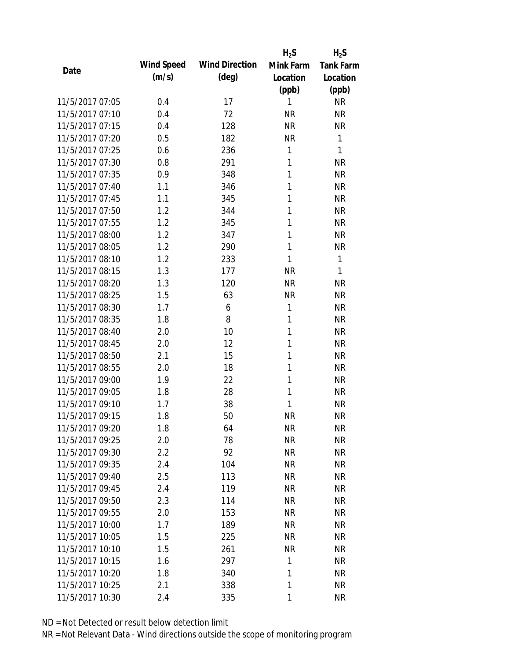|                 |            |                       | $H_2S$    | $H_2S$           |
|-----------------|------------|-----------------------|-----------|------------------|
|                 | Wind Speed | <b>Wind Direction</b> | Mink Farm | <b>Tank Farm</b> |
| Date            | (m/s)      | $(\text{deg})$        | Location  | Location         |
|                 |            |                       | (ppb)     | (ppb)            |
| 11/5/2017 07:05 | 0.4        | 17                    | 1         | <b>NR</b>        |
| 11/5/2017 07:10 | 0.4        | 72                    | <b>NR</b> | <b>NR</b>        |
| 11/5/2017 07:15 | 0.4        | 128                   | <b>NR</b> | <b>NR</b>        |
| 11/5/2017 07:20 | 0.5        | 182                   | <b>NR</b> | 1                |
| 11/5/2017 07:25 | 0.6        | 236                   | 1         | 1                |
| 11/5/2017 07:30 | 0.8        | 291                   | 1         | <b>NR</b>        |
| 11/5/2017 07:35 | 0.9        | 348                   | 1         | <b>NR</b>        |
| 11/5/2017 07:40 | 1.1        | 346                   | 1         | <b>NR</b>        |
| 11/5/2017 07:45 | 1.1        | 345                   | 1         | <b>NR</b>        |
| 11/5/2017 07:50 | 1.2        | 344                   | 1         | <b>NR</b>        |
| 11/5/2017 07:55 | 1.2        | 345                   | 1         | <b>NR</b>        |
| 11/5/2017 08:00 | 1.2        | 347                   | 1         | <b>NR</b>        |
| 11/5/2017 08:05 | 1.2        | 290                   | 1         | <b>NR</b>        |
| 11/5/2017 08:10 | 1.2        | 233                   | 1         | 1                |
| 11/5/2017 08:15 | 1.3        | 177                   | <b>NR</b> | 1                |
| 11/5/2017 08:20 | 1.3        | 120                   | <b>NR</b> | <b>NR</b>        |
| 11/5/2017 08:25 | 1.5        | 63                    | <b>NR</b> | <b>NR</b>        |
| 11/5/2017 08:30 | 1.7        | 6                     | 1         | <b>NR</b>        |
| 11/5/2017 08:35 | 1.8        | 8                     | 1         | <b>NR</b>        |
| 11/5/2017 08:40 | 2.0        | 10                    | 1         | <b>NR</b>        |
| 11/5/2017 08:45 | 2.0        | 12                    | 1         | <b>NR</b>        |
| 11/5/2017 08:50 | 2.1        | 15                    | 1         | <b>NR</b>        |
| 11/5/2017 08:55 | 2.0        | 18                    | 1         | <b>NR</b>        |
| 11/5/2017 09:00 | 1.9        | 22                    | 1         | <b>NR</b>        |
| 11/5/2017 09:05 | 1.8        | 28                    | 1         | <b>NR</b>        |
| 11/5/2017 09:10 | 1.7        | 38                    | 1         | <b>NR</b>        |
| 11/5/2017 09:15 | 1.8        | 50                    | <b>NR</b> | <b>NR</b>        |
| 11/5/2017 09:20 | 1.8        | 64                    | NR        | <b>NR</b>        |
| 11/5/2017 09:25 | 2.0        | 78                    | <b>NR</b> | <b>NR</b>        |
| 11/5/2017 09:30 | 2.2        | 92                    | <b>NR</b> | <b>NR</b>        |
| 11/5/2017 09:35 | 2.4        | 104                   | <b>NR</b> | <b>NR</b>        |
| 11/5/2017 09:40 | 2.5        | 113                   | <b>NR</b> | <b>NR</b>        |
| 11/5/2017 09:45 | 2.4        | 119                   | NR        | <b>NR</b>        |
| 11/5/2017 09:50 | 2.3        | 114                   | NR        | <b>NR</b>        |
| 11/5/2017 09:55 | 2.0        | 153                   | <b>NR</b> | <b>NR</b>        |
| 11/5/2017 10:00 | 1.7        | 189                   | <b>NR</b> | <b>NR</b>        |
| 11/5/2017 10:05 | 1.5        | 225                   | <b>NR</b> | <b>NR</b>        |
| 11/5/2017 10:10 | 1.5        | 261                   | <b>NR</b> | <b>NR</b>        |
| 11/5/2017 10:15 | 1.6        | 297                   | 1         | <b>NR</b>        |
| 11/5/2017 10:20 | 1.8        | 340                   | 1         | <b>NR</b>        |
| 11/5/2017 10:25 | 2.1        | 338                   | 1         | <b>NR</b>        |
| 11/5/2017 10:30 | 2.4        | 335                   | 1         | <b>NR</b>        |
|                 |            |                       |           |                  |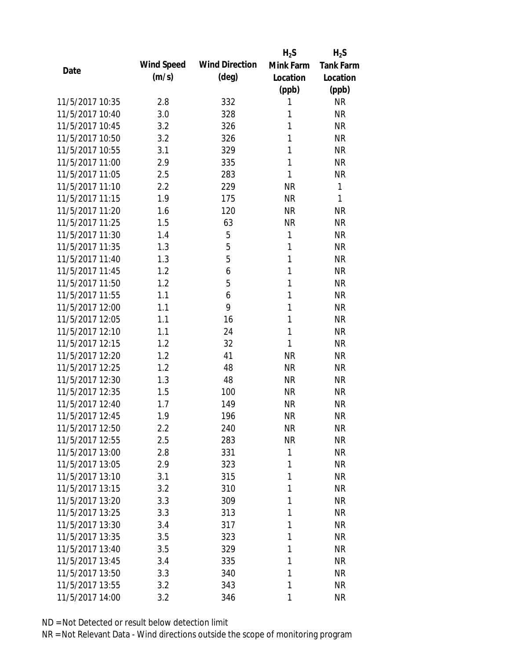|                 |            |                       | $H_2S$    | $H_2S$           |
|-----------------|------------|-----------------------|-----------|------------------|
| Date            | Wind Speed | <b>Wind Direction</b> | Mink Farm | <b>Tank Farm</b> |
|                 | (m/s)      | $(\text{deg})$        | Location  | Location         |
|                 |            |                       | (ppb)     | (ppb)            |
| 11/5/2017 10:35 | 2.8        | 332                   | 1         | <b>NR</b>        |
| 11/5/2017 10:40 | 3.0        | 328                   | 1         | <b>NR</b>        |
| 11/5/2017 10:45 | 3.2        | 326                   | 1         | <b>NR</b>        |
| 11/5/2017 10:50 | 3.2        | 326                   | 1         | <b>NR</b>        |
| 11/5/2017 10:55 | 3.1        | 329                   | 1         | <b>NR</b>        |
| 11/5/2017 11:00 | 2.9        | 335                   | 1         | <b>NR</b>        |
| 11/5/2017 11:05 | 2.5        | 283                   | 1         | <b>NR</b>        |
| 11/5/2017 11:10 | 2.2        | 229                   | <b>NR</b> | 1                |
| 11/5/2017 11:15 | 1.9        | 175                   | <b>NR</b> | 1                |
| 11/5/2017 11:20 | 1.6        | 120                   | <b>NR</b> | <b>NR</b>        |
| 11/5/2017 11:25 | 1.5        | 63                    | <b>NR</b> | <b>NR</b>        |
| 11/5/2017 11:30 | 1.4        | 5                     | 1         | <b>NR</b>        |
| 11/5/2017 11:35 | 1.3        | 5                     | 1         | <b>NR</b>        |
| 11/5/2017 11:40 | 1.3        | 5                     | 1         | <b>NR</b>        |
| 11/5/2017 11:45 | 1.2        | 6                     | 1         | <b>NR</b>        |
| 11/5/2017 11:50 | 1.2        | 5                     | 1         | <b>NR</b>        |
| 11/5/2017 11:55 | 1.1        | 6                     | 1         | <b>NR</b>        |
| 11/5/2017 12:00 | 1.1        | 9                     | 1         | <b>NR</b>        |
| 11/5/2017 12:05 | 1.1        | 16                    | 1         | <b>NR</b>        |
| 11/5/2017 12:10 | 1.1        | 24                    | 1         | <b>NR</b>        |
| 11/5/2017 12:15 | 1.2        | 32                    | 1         | <b>NR</b>        |
| 11/5/2017 12:20 | 1.2        | 41                    | <b>NR</b> | <b>NR</b>        |
| 11/5/2017 12:25 | 1.2        | 48                    | <b>NR</b> | <b>NR</b>        |
| 11/5/2017 12:30 | 1.3        | 48                    | <b>NR</b> | <b>NR</b>        |
| 11/5/2017 12:35 | 1.5        | 100                   | <b>NR</b> | <b>NR</b>        |
| 11/5/2017 12:40 | 1.7        | 149                   | <b>NR</b> | <b>NR</b>        |
| 11/5/2017 12:45 | 1.9        | 196                   | <b>NR</b> | <b>NR</b>        |
| 11/5/2017 12:50 | 2.2        | 240                   | <b>NR</b> | NR               |
| 11/5/2017 12:55 | 2.5        | 283                   | <b>NR</b> | <b>NR</b>        |
| 11/5/2017 13:00 | 2.8        | 331                   | 1         | <b>NR</b>        |
| 11/5/2017 13:05 | 2.9        | 323                   | 1         | <b>NR</b>        |
| 11/5/2017 13:10 | 3.1        | 315                   | 1         | <b>NR</b>        |
| 11/5/2017 13:15 | 3.2        | 310                   | 1         | <b>NR</b>        |
| 11/5/2017 13:20 | 3.3        | 309                   | 1         | <b>NR</b>        |
| 11/5/2017 13:25 | 3.3        | 313                   | 1         | <b>NR</b>        |
| 11/5/2017 13:30 | 3.4        | 317                   | 1         | <b>NR</b>        |
| 11/5/2017 13:35 | 3.5        | 323                   | 1         | <b>NR</b>        |
| 11/5/2017 13:40 | 3.5        | 329                   | 1         | <b>NR</b>        |
| 11/5/2017 13:45 | 3.4        | 335                   | 1         | <b>NR</b>        |
| 11/5/2017 13:50 | 3.3        | 340                   | 1         | <b>NR</b>        |
| 11/5/2017 13:55 | 3.2        | 343                   | 1         | <b>NR</b>        |
| 11/5/2017 14:00 | 3.2        | 346                   | 1         | <b>NR</b>        |
|                 |            |                       |           |                  |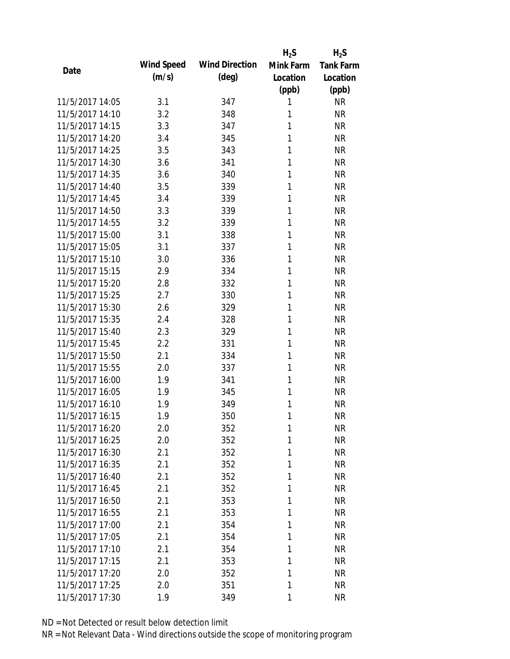|                 |            |                       | $H_2S$    | $H_2S$           |
|-----------------|------------|-----------------------|-----------|------------------|
| Date            | Wind Speed | <b>Wind Direction</b> | Mink Farm | <b>Tank Farm</b> |
|                 | (m/s)      | $(\text{deg})$        | Location  | Location         |
|                 |            |                       | (ppb)     | (ppb)            |
| 11/5/2017 14:05 | 3.1        | 347                   | 1         | <b>NR</b>        |
| 11/5/2017 14:10 | 3.2        | 348                   | 1         | <b>NR</b>        |
| 11/5/2017 14:15 | 3.3        | 347                   | 1         | <b>NR</b>        |
| 11/5/2017 14:20 | 3.4        | 345                   | 1         | <b>NR</b>        |
| 11/5/2017 14:25 | 3.5        | 343                   | 1         | <b>NR</b>        |
| 11/5/2017 14:30 | 3.6        | 341                   | 1         | <b>NR</b>        |
| 11/5/2017 14:35 | 3.6        | 340                   | 1         | <b>NR</b>        |
| 11/5/2017 14:40 | 3.5        | 339                   | 1         | <b>NR</b>        |
| 11/5/2017 14:45 | 3.4        | 339                   | 1         | <b>NR</b>        |
| 11/5/2017 14:50 | 3.3        | 339                   | 1         | <b>NR</b>        |
| 11/5/2017 14:55 | 3.2        | 339                   | 1         | <b>NR</b>        |
| 11/5/2017 15:00 | 3.1        | 338                   | 1         | <b>NR</b>        |
| 11/5/2017 15:05 | 3.1        | 337                   | 1         | <b>NR</b>        |
| 11/5/2017 15:10 | 3.0        | 336                   | 1         | <b>NR</b>        |
| 11/5/2017 15:15 | 2.9        | 334                   | 1         | <b>NR</b>        |
| 11/5/2017 15:20 | 2.8        | 332                   | 1         | <b>NR</b>        |
| 11/5/2017 15:25 | 2.7        | 330                   | 1         | <b>NR</b>        |
| 11/5/2017 15:30 | 2.6        | 329                   | 1         | <b>NR</b>        |
| 11/5/2017 15:35 | 2.4        | 328                   | 1         | <b>NR</b>        |
| 11/5/2017 15:40 | 2.3        | 329                   | 1         | <b>NR</b>        |
| 11/5/2017 15:45 | 2.2        | 331                   | 1         | <b>NR</b>        |
| 11/5/2017 15:50 | 2.1        | 334                   | 1         | <b>NR</b>        |
| 11/5/2017 15:55 | 2.0        | 337                   | 1         | <b>NR</b>        |
| 11/5/2017 16:00 | 1.9        | 341                   | 1         | <b>NR</b>        |
| 11/5/2017 16:05 | 1.9        | 345                   | 1         | <b>NR</b>        |
| 11/5/2017 16:10 | 1.9        | 349                   | 1         | <b>NR</b>        |
| 11/5/2017 16:15 | 1.9        | 350                   | 1         | <b>NR</b>        |
| 11/5/2017 16:20 | 2.0        | 352                   | 1         | <b>NR</b>        |
| 11/5/2017 16:25 | 2.0        | 352                   | 1         | <b>NR</b>        |
| 11/5/2017 16:30 | 2.1        | 352                   | 1         | <b>NR</b>        |
| 11/5/2017 16:35 | 2.1        | 352                   | 1         | <b>NR</b>        |
| 11/5/2017 16:40 | 2.1        | 352                   | 1         | <b>NR</b>        |
| 11/5/2017 16:45 | 2.1        | 352                   | 1         | <b>NR</b>        |
| 11/5/2017 16:50 | 2.1        | 353                   | 1         | <b>NR</b>        |
| 11/5/2017 16:55 | 2.1        | 353                   | 1         | <b>NR</b>        |
| 11/5/2017 17:00 | 2.1        | 354                   | 1         | <b>NR</b>        |
| 11/5/2017 17:05 | 2.1        | 354                   | 1         | <b>NR</b>        |
| 11/5/2017 17:10 | 2.1        | 354                   | 1         | <b>NR</b>        |
| 11/5/2017 17:15 | 2.1        | 353                   | 1         | <b>NR</b>        |
| 11/5/2017 17:20 | 2.0        | 352                   | 1         | <b>NR</b>        |
| 11/5/2017 17:25 | 2.0        | 351                   | 1         | <b>NR</b>        |
| 11/5/2017 17:30 | 1.9        | 349                   | 1         | <b>NR</b>        |
|                 |            |                       |           |                  |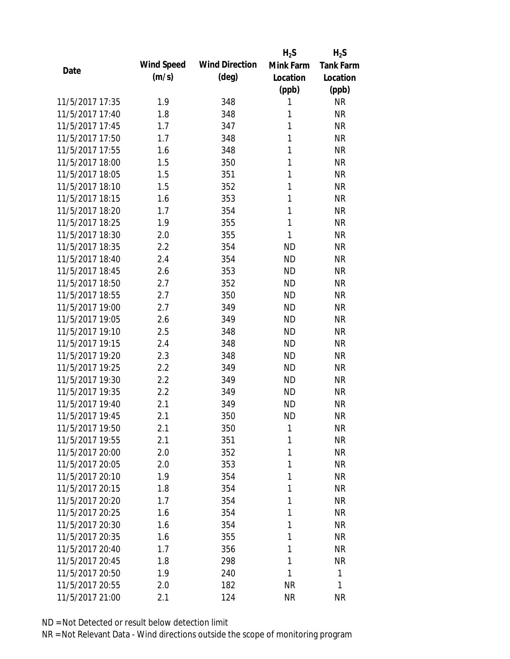|                 |            |                       | $H_2S$    | $H_2S$           |
|-----------------|------------|-----------------------|-----------|------------------|
| Date            | Wind Speed | <b>Wind Direction</b> | Mink Farm | <b>Tank Farm</b> |
|                 | (m/s)      | $(\text{deg})$        | Location  | Location         |
|                 |            |                       | (ppb)     | (ppb)            |
| 11/5/2017 17:35 | 1.9        | 348                   | 1         | <b>NR</b>        |
| 11/5/2017 17:40 | 1.8        | 348                   | 1         | <b>NR</b>        |
| 11/5/2017 17:45 | 1.7        | 347                   | 1         | <b>NR</b>        |
| 11/5/2017 17:50 | 1.7        | 348                   | 1         | <b>NR</b>        |
| 11/5/2017 17:55 | 1.6        | 348                   | 1         | <b>NR</b>        |
| 11/5/2017 18:00 | 1.5        | 350                   | 1         | <b>NR</b>        |
| 11/5/2017 18:05 | 1.5        | 351                   | 1         | <b>NR</b>        |
| 11/5/2017 18:10 | 1.5        | 352                   | 1         | <b>NR</b>        |
| 11/5/2017 18:15 | 1.6        | 353                   | 1         | <b>NR</b>        |
| 11/5/2017 18:20 | 1.7        | 354                   | 1         | <b>NR</b>        |
| 11/5/2017 18:25 | 1.9        | 355                   | 1         | <b>NR</b>        |
| 11/5/2017 18:30 | 2.0        | 355                   | 1         | <b>NR</b>        |
| 11/5/2017 18:35 | 2.2        | 354                   | <b>ND</b> | <b>NR</b>        |
| 11/5/2017 18:40 | 2.4        | 354                   | <b>ND</b> | <b>NR</b>        |
| 11/5/2017 18:45 | 2.6        | 353                   | <b>ND</b> | <b>NR</b>        |
| 11/5/2017 18:50 | 2.7        | 352                   | <b>ND</b> | <b>NR</b>        |
| 11/5/2017 18:55 | 2.7        | 350                   | <b>ND</b> | <b>NR</b>        |
| 11/5/2017 19:00 | 2.7        | 349                   | <b>ND</b> | <b>NR</b>        |
| 11/5/2017 19:05 | 2.6        | 349                   | <b>ND</b> | <b>NR</b>        |
| 11/5/2017 19:10 | 2.5        | 348                   | <b>ND</b> | <b>NR</b>        |
| 11/5/2017 19:15 | 2.4        | 348                   | <b>ND</b> | <b>NR</b>        |
| 11/5/2017 19:20 | 2.3        | 348                   | <b>ND</b> | <b>NR</b>        |
| 11/5/2017 19:25 | 2.2        | 349                   | <b>ND</b> | <b>NR</b>        |
| 11/5/2017 19:30 | 2.2        | 349                   | <b>ND</b> | <b>NR</b>        |
| 11/5/2017 19:35 | 2.2        | 349                   | <b>ND</b> | <b>NR</b>        |
| 11/5/2017 19:40 | 2.1        | 349                   | <b>ND</b> | <b>NR</b>        |
| 11/5/2017 19:45 | 2.1        | 350                   | <b>ND</b> | <b>NR</b>        |
| 11/5/2017 19:50 | 2.1        | 350                   | 1         | NR               |
| 11/5/2017 19:55 | 2.1        | 351                   | 1         | <b>NR</b>        |
| 11/5/2017 20:00 | 2.0        | 352                   | 1         | <b>NR</b>        |
| 11/5/2017 20:05 | 2.0        | 353                   | 1         | <b>NR</b>        |
| 11/5/2017 20:10 | 1.9        | 354                   | 1         | <b>NR</b>        |
| 11/5/2017 20:15 | 1.8        | 354                   | 1         | <b>NR</b>        |
| 11/5/2017 20:20 | 1.7        | 354                   | 1         | <b>NR</b>        |
| 11/5/2017 20:25 | 1.6        | 354                   | 1         | <b>NR</b>        |
| 11/5/2017 20:30 | 1.6        | 354                   | 1         | <b>NR</b>        |
| 11/5/2017 20:35 | 1.6        | 355                   | 1         | <b>NR</b>        |
| 11/5/2017 20:40 | 1.7        | 356                   | 1         | <b>NR</b>        |
| 11/5/2017 20:45 | 1.8        | 298                   | 1         | <b>NR</b>        |
| 11/5/2017 20:50 | 1.9        | 240                   | 1         | 1                |
| 11/5/2017 20:55 | 2.0        | 182                   | <b>NR</b> | 1                |
| 11/5/2017 21:00 | 2.1        | 124                   | <b>NR</b> | <b>NR</b>        |
|                 |            |                       |           |                  |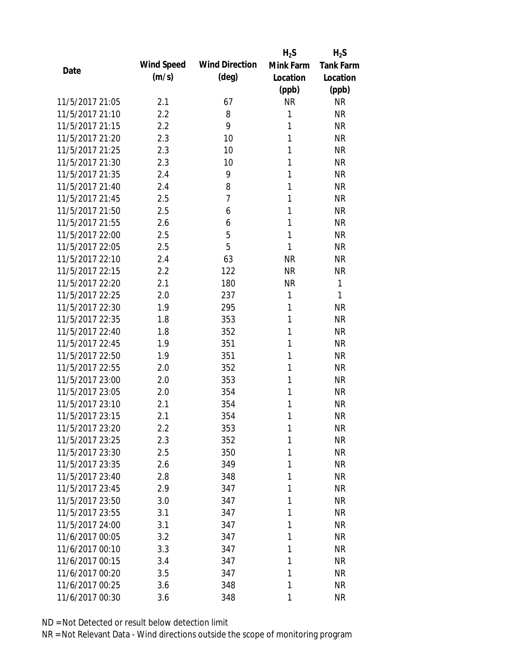|                 |            |                       | $H_2S$    | $H_2S$           |
|-----------------|------------|-----------------------|-----------|------------------|
| Date            | Wind Speed | <b>Wind Direction</b> | Mink Farm | <b>Tank Farm</b> |
|                 | (m/s)      | $(\text{deg})$        | Location  | Location         |
|                 |            |                       | (ppb)     | (ppb)            |
| 11/5/2017 21:05 | 2.1        | 67                    | <b>NR</b> | <b>NR</b>        |
| 11/5/2017 21:10 | 2.2        | 8                     | 1         | <b>NR</b>        |
| 11/5/2017 21:15 | 2.2        | 9                     | 1         | <b>NR</b>        |
| 11/5/2017 21:20 | 2.3        | 10                    | 1         | <b>NR</b>        |
| 11/5/2017 21:25 | 2.3        | 10                    | 1         | <b>NR</b>        |
| 11/5/2017 21:30 | 2.3        | 10                    | 1         | <b>NR</b>        |
| 11/5/2017 21:35 | 2.4        | 9                     | 1         | <b>NR</b>        |
| 11/5/2017 21:40 | 2.4        | 8                     | 1         | <b>NR</b>        |
| 11/5/2017 21:45 | 2.5        | 7                     | 1         | <b>NR</b>        |
| 11/5/2017 21:50 | 2.5        | 6                     | 1         | <b>NR</b>        |
| 11/5/2017 21:55 | 2.6        | 6                     | 1         | <b>NR</b>        |
| 11/5/2017 22:00 | 2.5        | 5                     | 1         | <b>NR</b>        |
| 11/5/2017 22:05 | 2.5        | 5                     | 1         | <b>NR</b>        |
| 11/5/2017 22:10 | 2.4        | 63                    | <b>NR</b> | <b>NR</b>        |
| 11/5/2017 22:15 | 2.2        | 122                   | <b>NR</b> | <b>NR</b>        |
| 11/5/2017 22:20 | 2.1        | 180                   | <b>NR</b> | 1                |
| 11/5/2017 22:25 | 2.0        | 237                   | 1         | 1                |
| 11/5/2017 22:30 | 1.9        | 295                   | 1         | <b>NR</b>        |
| 11/5/2017 22:35 | 1.8        | 353                   | 1         | <b>NR</b>        |
| 11/5/2017 22:40 | 1.8        | 352                   | 1         | <b>NR</b>        |
| 11/5/2017 22:45 | 1.9        | 351                   | 1         | <b>NR</b>        |
| 11/5/2017 22:50 | 1.9        | 351                   | 1         | <b>NR</b>        |
| 11/5/2017 22:55 | 2.0        | 352                   | 1         | <b>NR</b>        |
| 11/5/2017 23:00 | 2.0        | 353                   | 1         | <b>NR</b>        |
| 11/5/2017 23:05 | 2.0        | 354                   | 1         | <b>NR</b>        |
| 11/5/2017 23:10 | 2.1        | 354                   | 1         | <b>NR</b>        |
| 11/5/2017 23:15 | 2.1        | 354                   | 1         | <b>NR</b>        |
| 11/5/2017 23:20 | $2.2\,$    | 353                   | 1         | NR               |
| 11/5/2017 23:25 | 2.3        | 352                   | 1         | <b>NR</b>        |
| 11/5/2017 23:30 | 2.5        | 350                   | 1         | <b>NR</b>        |
| 11/5/2017 23:35 | 2.6        | 349                   | 1         | <b>NR</b>        |
| 11/5/2017 23:40 | 2.8        | 348                   | 1         | <b>NR</b>        |
| 11/5/2017 23:45 | 2.9        | 347                   | 1         | <b>NR</b>        |
| 11/5/2017 23:50 | 3.0        | 347                   | 1         | <b>NR</b>        |
| 11/5/2017 23:55 | 3.1        | 347                   | 1         | <b>NR</b>        |
| 11/5/2017 24:00 | 3.1        | 347                   | 1         | <b>NR</b>        |
| 11/6/2017 00:05 | 3.2        | 347                   | 1         | <b>NR</b>        |
| 11/6/2017 00:10 | 3.3        | 347                   | 1         | <b>NR</b>        |
| 11/6/2017 00:15 | 3.4        | 347                   | 1         | <b>NR</b>        |
| 11/6/2017 00:20 | 3.5        | 347                   | 1         | <b>NR</b>        |
| 11/6/2017 00:25 | 3.6        | 348                   | 1         | <b>NR</b>        |
| 11/6/2017 00:30 | 3.6        | 348                   | 1         | <b>NR</b>        |
|                 |            |                       |           |                  |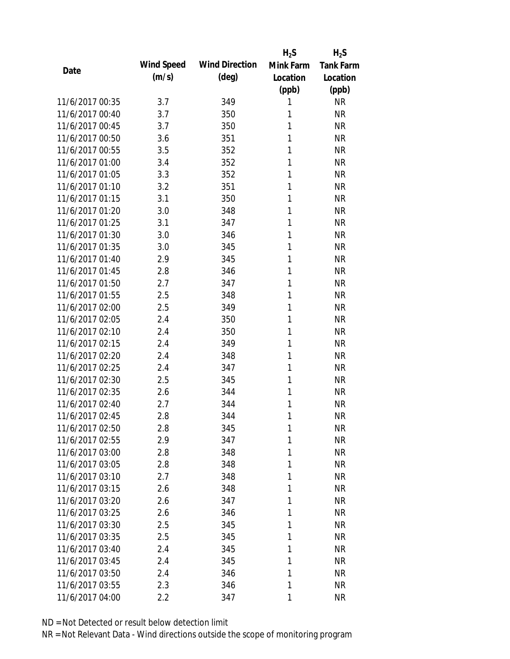|                 |            |                       | $H_2S$    | $H_2S$           |
|-----------------|------------|-----------------------|-----------|------------------|
| Date            | Wind Speed | <b>Wind Direction</b> | Mink Farm | <b>Tank Farm</b> |
|                 | (m/s)      | $(\text{deg})$        | Location  | Location         |
|                 |            |                       | (ppb)     | (ppb)            |
| 11/6/2017 00:35 | 3.7        | 349                   | 1         | <b>NR</b>        |
| 11/6/2017 00:40 | 3.7        | 350                   | 1         | <b>NR</b>        |
| 11/6/2017 00:45 | 3.7        | 350                   | 1         | <b>NR</b>        |
| 11/6/2017 00:50 | 3.6        | 351                   | 1         | <b>NR</b>        |
| 11/6/2017 00:55 | 3.5        | 352                   | 1         | <b>NR</b>        |
| 11/6/2017 01:00 | 3.4        | 352                   | 1         | <b>NR</b>        |
| 11/6/2017 01:05 | 3.3        | 352                   | 1         | <b>NR</b>        |
| 11/6/2017 01:10 | 3.2        | 351                   | 1         | <b>NR</b>        |
| 11/6/2017 01:15 | 3.1        | 350                   | 1         | <b>NR</b>        |
| 11/6/2017 01:20 | 3.0        | 348                   | 1         | <b>NR</b>        |
| 11/6/2017 01:25 | 3.1        | 347                   | 1         | <b>NR</b>        |
| 11/6/2017 01:30 | 3.0        | 346                   | 1         | <b>NR</b>        |
| 11/6/2017 01:35 | 3.0        | 345                   | 1         | <b>NR</b>        |
| 11/6/2017 01:40 | 2.9        | 345                   | 1         | <b>NR</b>        |
| 11/6/2017 01:45 | 2.8        | 346                   | 1         | <b>NR</b>        |
| 11/6/2017 01:50 | 2.7        | 347                   | 1         | <b>NR</b>        |
| 11/6/2017 01:55 | 2.5        | 348                   | 1         | <b>NR</b>        |
| 11/6/2017 02:00 | 2.5        | 349                   | 1         | <b>NR</b>        |
| 11/6/2017 02:05 | 2.4        | 350                   | 1         | <b>NR</b>        |
| 11/6/2017 02:10 | 2.4        | 350                   | 1         | <b>NR</b>        |
| 11/6/2017 02:15 | 2.4        | 349                   | 1         | <b>NR</b>        |
| 11/6/2017 02:20 | 2.4        | 348                   | 1         | <b>NR</b>        |
| 11/6/2017 02:25 | 2.4        | 347                   | 1         | <b>NR</b>        |
| 11/6/2017 02:30 | 2.5        | 345                   | 1         | <b>NR</b>        |
| 11/6/2017 02:35 | 2.6        | 344                   | 1         | <b>NR</b>        |
| 11/6/2017 02:40 | 2.7        | 344                   | 1         | <b>NR</b>        |
| 11/6/2017 02:45 | 2.8        | 344                   | 1         | <b>NR</b>        |
| 11/6/2017 02:50 | 2.8        | 345                   | 1         | NR               |
| 11/6/2017 02:55 | 2.9        | 347                   | 1         | <b>NR</b>        |
| 11/6/2017 03:00 | 2.8        | 348                   | 1         | <b>NR</b>        |
| 11/6/2017 03:05 | 2.8        | 348                   | 1         | <b>NR</b>        |
| 11/6/2017 03:10 | 2.7        | 348                   | 1         | <b>NR</b>        |
| 11/6/2017 03:15 | 2.6        | 348                   | 1         | <b>NR</b>        |
| 11/6/2017 03:20 | 2.6        | 347                   | 1         | <b>NR</b>        |
| 11/6/2017 03:25 |            |                       | 1         | <b>NR</b>        |
| 11/6/2017 03:30 | 2.6        | 346                   |           |                  |
|                 | 2.5        | 345                   | 1         | <b>NR</b>        |
| 11/6/2017 03:35 | 2.5        | 345                   | 1         | <b>NR</b>        |
| 11/6/2017 03:40 | 2.4        | 345                   | 1         | <b>NR</b>        |
| 11/6/2017 03:45 | 2.4        | 345                   | 1         | NR               |
| 11/6/2017 03:50 | 2.4        | 346                   | 1         | <b>NR</b>        |
| 11/6/2017 03:55 | 2.3        | 346                   | 1         | <b>NR</b>        |
| 11/6/2017 04:00 | 2.2        | 347                   | 1         | <b>NR</b>        |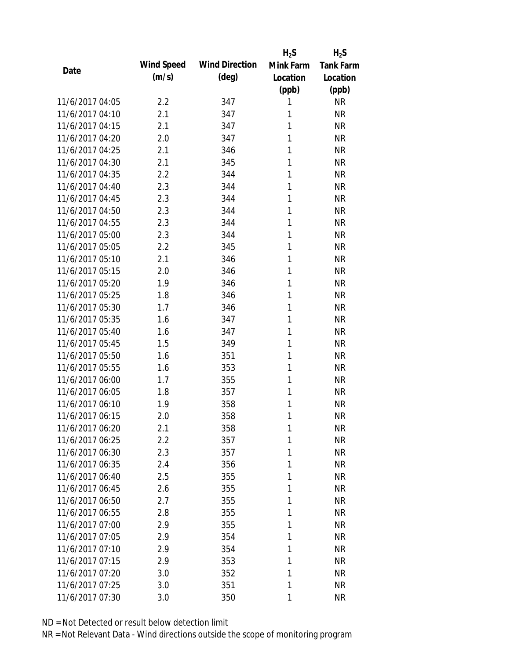|                 |            |                       | $H_2S$    | $H_2S$           |
|-----------------|------------|-----------------------|-----------|------------------|
| Date            | Wind Speed | <b>Wind Direction</b> | Mink Farm | <b>Tank Farm</b> |
|                 | (m/s)      | $(\text{deg})$        | Location  | Location         |
|                 |            |                       | (ppb)     | (ppb)            |
| 11/6/2017 04:05 | 2.2        | 347                   | 1         | <b>NR</b>        |
| 11/6/2017 04:10 | 2.1        | 347                   | 1         | <b>NR</b>        |
| 11/6/2017 04:15 | 2.1        | 347                   | 1         | <b>NR</b>        |
| 11/6/2017 04:20 | 2.0        | 347                   | 1         | <b>NR</b>        |
| 11/6/2017 04:25 | 2.1        | 346                   | 1         | <b>NR</b>        |
| 11/6/2017 04:30 | 2.1        | 345                   | 1         | <b>NR</b>        |
| 11/6/2017 04:35 | 2.2        | 344                   | 1         | <b>NR</b>        |
| 11/6/2017 04:40 | 2.3        | 344                   | 1         | <b>NR</b>        |
| 11/6/2017 04:45 | 2.3        | 344                   | 1         | <b>NR</b>        |
| 11/6/2017 04:50 | 2.3        | 344                   | 1         | <b>NR</b>        |
| 11/6/2017 04:55 | 2.3        | 344                   | 1         | <b>NR</b>        |
| 11/6/2017 05:00 | 2.3        | 344                   | 1         | <b>NR</b>        |
| 11/6/2017 05:05 | 2.2        | 345                   | 1         | <b>NR</b>        |
| 11/6/2017 05:10 | 2.1        | 346                   | 1         | <b>NR</b>        |
| 11/6/2017 05:15 | 2.0        | 346                   | 1         | <b>NR</b>        |
| 11/6/2017 05:20 | 1.9        | 346                   | 1         | <b>NR</b>        |
| 11/6/2017 05:25 | 1.8        | 346                   | 1         | <b>NR</b>        |
| 11/6/2017 05:30 | 1.7        | 346                   | 1         | <b>NR</b>        |
| 11/6/2017 05:35 | 1.6        | 347                   | 1         | <b>NR</b>        |
| 11/6/2017 05:40 | 1.6        | 347                   | 1         | <b>NR</b>        |
| 11/6/2017 05:45 | 1.5        | 349                   | 1         | <b>NR</b>        |
| 11/6/2017 05:50 | 1.6        | 351                   | 1         | <b>NR</b>        |
| 11/6/2017 05:55 | 1.6        | 353                   | 1         | <b>NR</b>        |
| 11/6/2017 06:00 | 1.7        | 355                   | 1         | <b>NR</b>        |
| 11/6/2017 06:05 | 1.8        | 357                   | 1         | <b>NR</b>        |
| 11/6/2017 06:10 | 1.9        | 358                   | 1         | <b>NR</b>        |
| 11/6/2017 06:15 | 2.0        | 358                   | 1         | <b>NR</b>        |
| 11/6/2017 06:20 | 2.1        | 358                   | 1         | NR               |
| 11/6/2017 06:25 | 2.2        | 357                   | 1         | <b>NR</b>        |
| 11/6/2017 06:30 | 2.3        | 357                   | 1         | <b>NR</b>        |
| 11/6/2017 06:35 | 2.4        | 356                   | 1         | <b>NR</b>        |
| 11/6/2017 06:40 | 2.5        | 355                   | 1         | <b>NR</b>        |
| 11/6/2017 06:45 | 2.6        | 355                   | 1         | <b>NR</b>        |
| 11/6/2017 06:50 | 2.7        | 355                   | 1         | <b>NR</b>        |
| 11/6/2017 06:55 | 2.8        | 355                   | 1         | <b>NR</b>        |
| 11/6/2017 07:00 | 2.9        | 355                   | 1         | <b>NR</b>        |
| 11/6/2017 07:05 | 2.9        | 354                   | 1         | <b>NR</b>        |
| 11/6/2017 07:10 | 2.9        | 354                   | 1         | <b>NR</b>        |
| 11/6/2017 07:15 | 2.9        | 353                   | 1         | NR               |
| 11/6/2017 07:20 | 3.0        | 352                   | 1         | NR               |
| 11/6/2017 07:25 | 3.0        | 351                   | 1         | <b>NR</b>        |
| 11/6/2017 07:30 | 3.0        | 350                   | 1         | <b>NR</b>        |
|                 |            |                       |           |                  |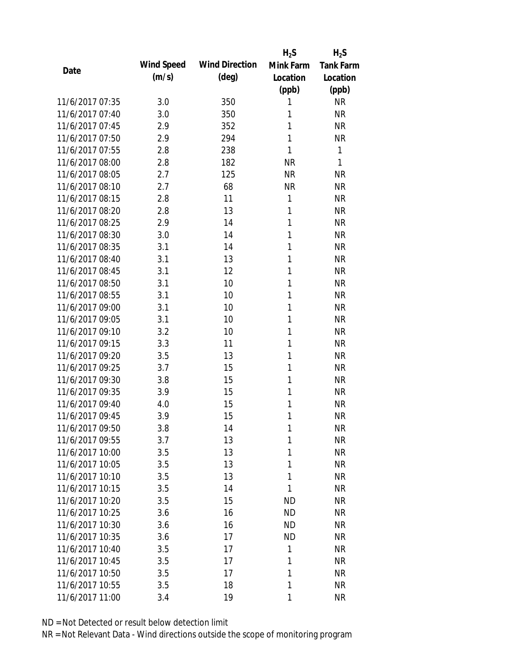|                 |            |                       | $H_2S$    | $H_2S$           |
|-----------------|------------|-----------------------|-----------|------------------|
| Date            | Wind Speed | <b>Wind Direction</b> | Mink Farm | <b>Tank Farm</b> |
|                 | (m/s)      | $(\text{deg})$        | Location  | Location         |
|                 |            |                       | (ppb)     | (ppb)            |
| 11/6/2017 07:35 | 3.0        | 350                   | 1         | <b>NR</b>        |
| 11/6/2017 07:40 | 3.0        | 350                   | 1         | <b>NR</b>        |
| 11/6/2017 07:45 | 2.9        | 352                   | 1         | <b>NR</b>        |
| 11/6/2017 07:50 | 2.9        | 294                   | 1         | <b>NR</b>        |
| 11/6/2017 07:55 | 2.8        | 238                   | 1         | 1                |
| 11/6/2017 08:00 | 2.8        | 182                   | <b>NR</b> | 1                |
| 11/6/2017 08:05 | 2.7        | 125                   | <b>NR</b> | <b>NR</b>        |
| 11/6/2017 08:10 | 2.7        | 68                    | <b>NR</b> | <b>NR</b>        |
| 11/6/2017 08:15 | 2.8        | 11                    | 1         | <b>NR</b>        |
| 11/6/2017 08:20 | 2.8        | 13                    | 1         | <b>NR</b>        |
| 11/6/2017 08:25 | 2.9        | 14                    | 1         | <b>NR</b>        |
| 11/6/2017 08:30 | 3.0        | 14                    | 1         | <b>NR</b>        |
| 11/6/2017 08:35 | 3.1        | 14                    | 1         | <b>NR</b>        |
| 11/6/2017 08:40 | 3.1        | 13                    | 1         | <b>NR</b>        |
| 11/6/2017 08:45 | 3.1        | 12                    | 1         | <b>NR</b>        |
| 11/6/2017 08:50 | 3.1        | 10                    | 1         | <b>NR</b>        |
| 11/6/2017 08:55 | 3.1        | 10                    | 1         | <b>NR</b>        |
| 11/6/2017 09:00 | 3.1        | 10                    | 1         | <b>NR</b>        |
| 11/6/2017 09:05 | 3.1        | 10                    | 1         | <b>NR</b>        |
| 11/6/2017 09:10 | 3.2        | 10                    | 1         | <b>NR</b>        |
| 11/6/2017 09:15 | 3.3        | 11                    | 1         | <b>NR</b>        |
| 11/6/2017 09:20 | 3.5        | 13                    | 1         | <b>NR</b>        |
| 11/6/2017 09:25 | 3.7        | 15                    | 1         | <b>NR</b>        |
| 11/6/2017 09:30 | 3.8        | 15                    | 1         | <b>NR</b>        |
| 11/6/2017 09:35 | 3.9        | 15                    | 1         | <b>NR</b>        |
| 11/6/2017 09:40 | 4.0        | 15                    | 1         | <b>NR</b>        |
| 11/6/2017 09:45 | 3.9        | 15                    | 1         | <b>NR</b>        |
| 11/6/2017 09:50 | 3.8        | 14                    | 1         | <b>NR</b>        |
| 11/6/2017 09:55 | 3.7        | 13                    | 1         | <b>NR</b>        |
| 11/6/2017 10:00 | 3.5        | 13                    | 1         | <b>NR</b>        |
| 11/6/2017 10:05 | 3.5        | 13                    | 1         | <b>NR</b>        |
| 11/6/2017 10:10 | 3.5        | 13                    | 1         | <b>NR</b>        |
| 11/6/2017 10:15 | 3.5        | 14                    | 1         | <b>NR</b>        |
| 11/6/2017 10:20 | 3.5        | 15                    | <b>ND</b> | <b>NR</b>        |
| 11/6/2017 10:25 | 3.6        | 16                    | <b>ND</b> | <b>NR</b>        |
| 11/6/2017 10:30 | 3.6        | 16                    | <b>ND</b> | <b>NR</b>        |
| 11/6/2017 10:35 | 3.6        | 17                    | ND        | <b>NR</b>        |
| 11/6/2017 10:40 | 3.5        | 17                    | 1         | <b>NR</b>        |
| 11/6/2017 10:45 | 3.5        | 17                    | 1         | NR               |
| 11/6/2017 10:50 | 3.5        | 17                    | 1         | <b>NR</b>        |
| 11/6/2017 10:55 | 3.5        | 18                    | 1         | <b>NR</b>        |
| 11/6/2017 11:00 | 3.4        | 19                    | 1         | <b>NR</b>        |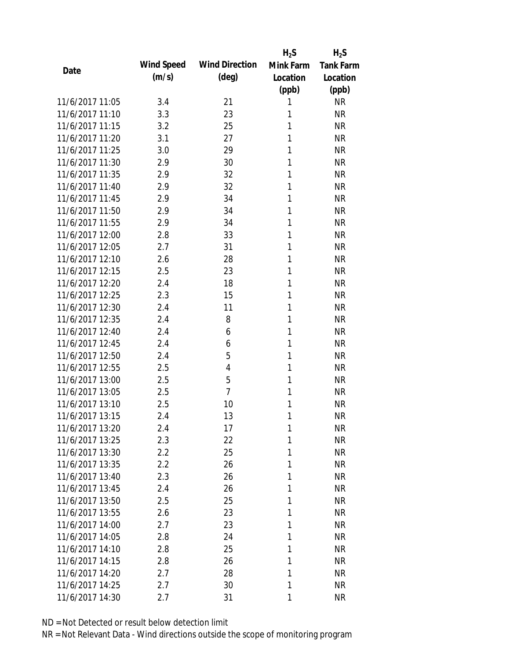|                 |            |                       | $H_2S$    | $H_2S$           |
|-----------------|------------|-----------------------|-----------|------------------|
| Date            | Wind Speed | <b>Wind Direction</b> | Mink Farm | <b>Tank Farm</b> |
|                 | (m/s)      | $(\text{deg})$        | Location  | Location         |
|                 |            |                       | (ppb)     | (ppb)            |
| 11/6/2017 11:05 | 3.4        | 21                    | 1         | <b>NR</b>        |
| 11/6/2017 11:10 | 3.3        | 23                    | 1         | <b>NR</b>        |
| 11/6/2017 11:15 | 3.2        | 25                    | 1         | <b>NR</b>        |
| 11/6/2017 11:20 | 3.1        | 27                    | 1         | <b>NR</b>        |
| 11/6/2017 11:25 | 3.0        | 29                    | 1         | <b>NR</b>        |
| 11/6/2017 11:30 | 2.9        | 30                    | 1         | <b>NR</b>        |
| 11/6/2017 11:35 | 2.9        | 32                    | 1         | <b>NR</b>        |
| 11/6/2017 11:40 | 2.9        | 32                    | 1         | <b>NR</b>        |
| 11/6/2017 11:45 | 2.9        | 34                    | 1         | <b>NR</b>        |
| 11/6/2017 11:50 | 2.9        | 34                    | 1         | <b>NR</b>        |
| 11/6/2017 11:55 | 2.9        | 34                    | 1         | <b>NR</b>        |
| 11/6/2017 12:00 | 2.8        | 33                    | 1         | <b>NR</b>        |
| 11/6/2017 12:05 | 2.7        | 31                    | 1         | <b>NR</b>        |
| 11/6/2017 12:10 | 2.6        | 28                    | 1         | <b>NR</b>        |
| 11/6/2017 12:15 | 2.5        | 23                    | 1         | <b>NR</b>        |
| 11/6/2017 12:20 | 2.4        | 18                    | 1         | <b>NR</b>        |
| 11/6/2017 12:25 | 2.3        | 15                    | 1         | <b>NR</b>        |
| 11/6/2017 12:30 | 2.4        | 11                    | 1         | <b>NR</b>        |
| 11/6/2017 12:35 | 2.4        | 8                     | 1         | <b>NR</b>        |
| 11/6/2017 12:40 | 2.4        | 6                     | 1         | <b>NR</b>        |
| 11/6/2017 12:45 | 2.4        | 6                     | 1         | <b>NR</b>        |
| 11/6/2017 12:50 | 2.4        | 5                     | 1         | <b>NR</b>        |
| 11/6/2017 12:55 | 2.5        | $\overline{4}$        | 1         | <b>NR</b>        |
| 11/6/2017 13:00 | 2.5        | 5                     | 1         | <b>NR</b>        |
| 11/6/2017 13:05 | 2.5        | $\overline{7}$        | 1         | <b>NR</b>        |
| 11/6/2017 13:10 | 2.5        | 10                    | 1         | <b>NR</b>        |
| 11/6/2017 13:15 | 2.4        | 13                    | 1         | <b>NR</b>        |
| 11/6/2017 13:20 | 2.4        | 17                    | 1         | <b>NR</b>        |
| 11/6/2017 13:25 | 2.3        | 22                    | 1         | <b>NR</b>        |
| 11/6/2017 13:30 | 2.2        | 25                    | 1         | <b>NR</b>        |
| 11/6/2017 13:35 | 2.2        | 26                    | 1         | <b>NR</b>        |
| 11/6/2017 13:40 | 2.3        | 26                    | 1         | <b>NR</b>        |
| 11/6/2017 13:45 | 2.4        | 26                    | 1         | <b>NR</b>        |
| 11/6/2017 13:50 | 2.5        | 25                    | 1         | <b>NR</b>        |
| 11/6/2017 13:55 | 2.6        | 23                    | 1         | <b>NR</b>        |
| 11/6/2017 14:00 | 2.7        | 23                    | 1         | <b>NR</b>        |
| 11/6/2017 14:05 | 2.8        | 24                    | 1         | <b>NR</b>        |
| 11/6/2017 14:10 | 2.8        | 25                    | 1         | <b>NR</b>        |
| 11/6/2017 14:15 | 2.8        | 26                    | 1         | <b>NR</b>        |
| 11/6/2017 14:20 | 2.7        | 28                    | 1         | <b>NR</b>        |
| 11/6/2017 14:25 | 2.7        | 30                    | 1         | <b>NR</b>        |
| 11/6/2017 14:30 | 2.7        | 31                    | 1         | <b>NR</b>        |
|                 |            |                       |           |                  |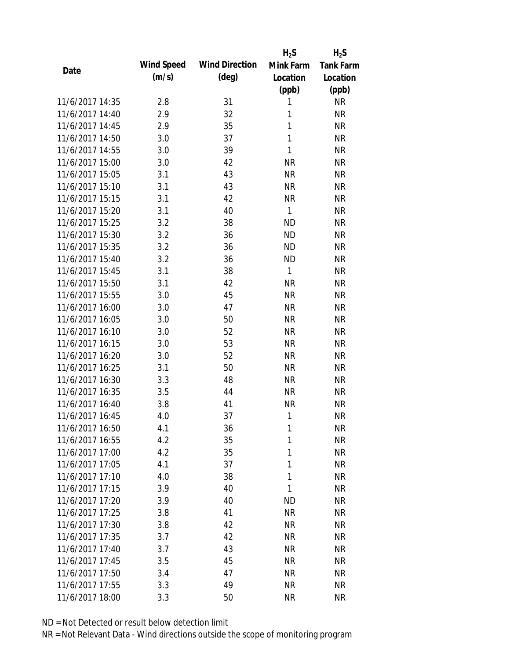|                 |            |                       | $H_2S$       | $H_2S$           |
|-----------------|------------|-----------------------|--------------|------------------|
| Date            | Wind Speed | <b>Wind Direction</b> | Mink Farm    | <b>Tank Farm</b> |
|                 | (m/s)      | $(\text{deg})$        | Location     | Location         |
|                 |            |                       | (ppb)        | (ppb)            |
| 11/6/2017 14:35 | 2.8        | 31                    | 1            | <b>NR</b>        |
| 11/6/2017 14:40 | 2.9        | 32                    | 1            | <b>NR</b>        |
| 11/6/2017 14:45 | 2.9        | 35                    | 1            | <b>NR</b>        |
| 11/6/2017 14:50 | 3.0        | 37                    | $\mathbf{1}$ | <b>NR</b>        |
| 11/6/2017 14:55 | 3.0        | 39                    | 1            | <b>NR</b>        |
| 11/6/2017 15:00 | 3.0        | 42                    | <b>NR</b>    | <b>NR</b>        |
| 11/6/2017 15:05 | 3.1        | 43                    | <b>NR</b>    | <b>NR</b>        |
| 11/6/2017 15:10 | 3.1        | 43                    | <b>NR</b>    | <b>NR</b>        |
| 11/6/2017 15:15 | 3.1        | 42                    | <b>NR</b>    | <b>NR</b>        |
| 11/6/2017 15:20 | 3.1        | 40                    | 1            | <b>NR</b>        |
| 11/6/2017 15:25 | 3.2        | 38                    | <b>ND</b>    | <b>NR</b>        |
| 11/6/2017 15:30 | 3.2        | 36                    | <b>ND</b>    | <b>NR</b>        |
| 11/6/2017 15:35 | 3.2        | 36                    | <b>ND</b>    | <b>NR</b>        |
| 11/6/2017 15:40 | 3.2        | 36                    | <b>ND</b>    | <b>NR</b>        |
| 11/6/2017 15:45 | 3.1        | 38                    | 1            | <b>NR</b>        |
| 11/6/2017 15:50 | 3.1        | 42                    | <b>NR</b>    | <b>NR</b>        |
| 11/6/2017 15:55 | 3.0        | 45                    | <b>NR</b>    | <b>NR</b>        |
| 11/6/2017 16:00 | 3.0        | 47                    | <b>NR</b>    | <b>NR</b>        |
| 11/6/2017 16:05 | 3.0        | 50                    | <b>NR</b>    | <b>NR</b>        |
| 11/6/2017 16:10 | 3.0        | 52                    | <b>NR</b>    | <b>NR</b>        |
| 11/6/2017 16:15 | 3.0        | 53                    | <b>NR</b>    | <b>NR</b>        |
| 11/6/2017 16:20 | 3.0        | 52                    | <b>NR</b>    | <b>NR</b>        |
| 11/6/2017 16:25 | 3.1        | 50                    | <b>NR</b>    | <b>NR</b>        |
| 11/6/2017 16:30 | 3.3        | 48                    | <b>NR</b>    | <b>NR</b>        |
| 11/6/2017 16:35 | 3.5        | 44                    | <b>NR</b>    | <b>NR</b>        |
| 11/6/2017 16:40 | 3.8        | 41                    | <b>NR</b>    | <b>NR</b>        |
| 11/6/2017 16:45 | 4.0        | 37                    | 1            | <b>NR</b>        |
| 11/6/2017 16:50 | 4.1        | 36                    | 1            | <b>NR</b>        |
| 11/6/2017 16:55 | 4.2        | 35                    | 1            | <b>NR</b>        |
| 11/6/2017 17:00 | 4.2        | 35                    | 1            | <b>NR</b>        |
| 11/6/2017 17:05 | 4.1        | 37                    | 1            | <b>NR</b>        |
| 11/6/2017 17:10 | 4.0        | 38                    | 1            | <b>NR</b>        |
| 11/6/2017 17:15 | 3.9        | 40                    | 1            | <b>NR</b>        |
| 11/6/2017 17:20 | 3.9        | 40                    | <b>ND</b>    | <b>NR</b>        |
| 11/6/2017 17:25 | 3.8        | 41                    | <b>NR</b>    | <b>NR</b>        |
| 11/6/2017 17:30 | 3.8        | 42                    | NR           | <b>NR</b>        |
| 11/6/2017 17:35 | 3.7        | 42                    | <b>NR</b>    | <b>NR</b>        |
| 11/6/2017 17:40 | 3.7        | 43                    | <b>NR</b>    | <b>NR</b>        |
| 11/6/2017 17:45 | 3.5        | 45                    | <b>NR</b>    | <b>NR</b>        |
| 11/6/2017 17:50 |            | 47                    |              |                  |
|                 | 3.4        |                       | NR           | <b>NR</b>        |
| 11/6/2017 17:55 | 3.3        | 49                    | <b>NR</b>    | <b>NR</b>        |
| 11/6/2017 18:00 | 3.3        | 50                    | <b>NR</b>    | <b>NR</b>        |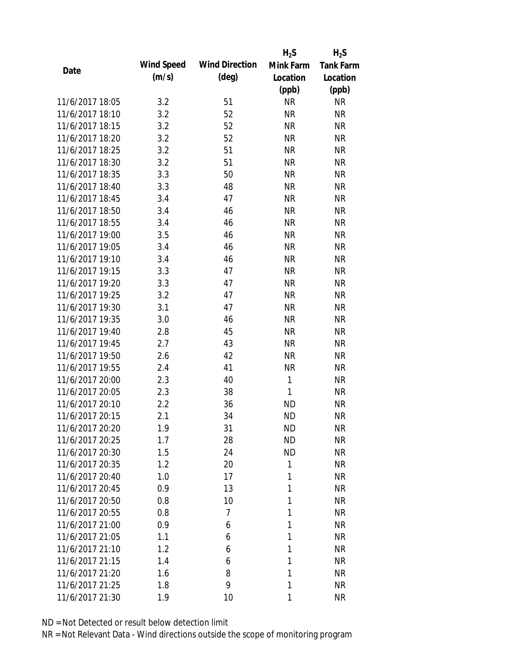|                 |            |                       | $H_2S$       | $H_2S$           |
|-----------------|------------|-----------------------|--------------|------------------|
| Date            | Wind Speed | <b>Wind Direction</b> | Mink Farm    | <b>Tank Farm</b> |
|                 | (m/s)      | $(\text{deg})$        | Location     | Location         |
|                 |            |                       | (ppb)        | (ppb)            |
| 11/6/2017 18:05 | 3.2        | 51                    | <b>NR</b>    | <b>NR</b>        |
| 11/6/2017 18:10 | 3.2        | 52                    | <b>NR</b>    | <b>NR</b>        |
| 11/6/2017 18:15 | 3.2        | 52                    | <b>NR</b>    | <b>NR</b>        |
| 11/6/2017 18:20 | 3.2        | 52                    | <b>NR</b>    | <b>NR</b>        |
| 11/6/2017 18:25 | 3.2        | 51                    | <b>NR</b>    | <b>NR</b>        |
| 11/6/2017 18:30 | 3.2        | 51                    | <b>NR</b>    | <b>NR</b>        |
| 11/6/2017 18:35 | 3.3        | 50                    | <b>NR</b>    | <b>NR</b>        |
| 11/6/2017 18:40 | 3.3        | 48                    | <b>NR</b>    | <b>NR</b>        |
| 11/6/2017 18:45 | 3.4        | 47                    | <b>NR</b>    | <b>NR</b>        |
| 11/6/2017 18:50 | 3.4        | 46                    | <b>NR</b>    | <b>NR</b>        |
| 11/6/2017 18:55 | 3.4        | 46                    | <b>NR</b>    | <b>NR</b>        |
| 11/6/2017 19:00 | 3.5        | 46                    | <b>NR</b>    | <b>NR</b>        |
| 11/6/2017 19:05 | 3.4        | 46                    | <b>NR</b>    | <b>NR</b>        |
| 11/6/2017 19:10 | 3.4        | 46                    | <b>NR</b>    | <b>NR</b>        |
| 11/6/2017 19:15 | 3.3        | 47                    | <b>NR</b>    | <b>NR</b>        |
| 11/6/2017 19:20 | 3.3        | 47                    | <b>NR</b>    | <b>NR</b>        |
| 11/6/2017 19:25 | 3.2        | 47                    | <b>NR</b>    | <b>NR</b>        |
| 11/6/2017 19:30 | 3.1        | 47                    | <b>NR</b>    | <b>NR</b>        |
| 11/6/2017 19:35 | 3.0        | 46                    | <b>NR</b>    | <b>NR</b>        |
| 11/6/2017 19:40 | 2.8        | 45                    | <b>NR</b>    | <b>NR</b>        |
| 11/6/2017 19:45 | 2.7        | 43                    | <b>NR</b>    | <b>NR</b>        |
| 11/6/2017 19:50 | 2.6        | 42                    | <b>NR</b>    | <b>NR</b>        |
| 11/6/2017 19:55 | 2.4        | 41                    | <b>NR</b>    | <b>NR</b>        |
| 11/6/2017 20:00 | 2.3        | 40                    | 1            | <b>NR</b>        |
| 11/6/2017 20:05 | 2.3        | 38                    | $\mathbf{1}$ | <b>NR</b>        |
| 11/6/2017 20:10 | 2.2        | 36                    | <b>ND</b>    | <b>NR</b>        |
| 11/6/2017 20:15 | 2.1        | 34                    | <b>ND</b>    | <b>NR</b>        |
| 11/6/2017 20:20 | 1.9        | 31                    | <b>ND</b>    | NR               |
| 11/6/2017 20:25 | 1.7        | 28                    | <b>ND</b>    | <b>NR</b>        |
| 11/6/2017 20:30 | 1.5        | 24                    | <b>ND</b>    | <b>NR</b>        |
| 11/6/2017 20:35 | 1.2        | 20                    | 1            | <b>NR</b>        |
| 11/6/2017 20:40 | 1.0        | 17                    | 1            | <b>NR</b>        |
| 11/6/2017 20:45 | 0.9        | 13                    | 1            | <b>NR</b>        |
| 11/6/2017 20:50 | 0.8        | 10                    | 1            | <b>NR</b>        |
| 11/6/2017 20:55 | 0.8        | 7                     | 1            | <b>NR</b>        |
| 11/6/2017 21:00 | 0.9        | 6                     | 1            | <b>NR</b>        |
| 11/6/2017 21:05 | 1.1        | 6                     | 1            | <b>NR</b>        |
| 11/6/2017 21:10 | 1.2        | 6                     | 1            | <b>NR</b>        |
| 11/6/2017 21:15 | 1.4        | 6                     | 1            | <b>NR</b>        |
| 11/6/2017 21:20 | 1.6        | 8                     | 1            | <b>NR</b>        |
| 11/6/2017 21:25 | 1.8        | 9                     | 1            | <b>NR</b>        |
| 11/6/2017 21:30 | 1.9        | 10                    | 1            | <b>NR</b>        |
|                 |            |                       |              |                  |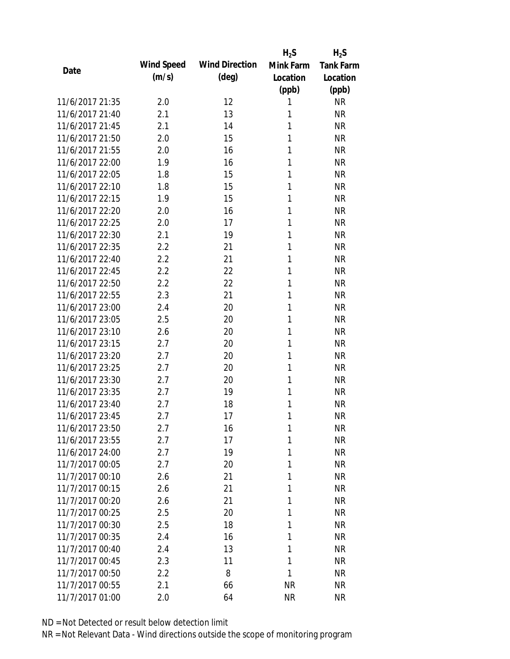|                 |            |                       | $H_2S$    | $H_2S$           |
|-----------------|------------|-----------------------|-----------|------------------|
| Date            | Wind Speed | <b>Wind Direction</b> | Mink Farm | <b>Tank Farm</b> |
|                 | (m/s)      | $(\text{deg})$        | Location  | Location         |
|                 |            |                       | (ppb)     | (ppb)            |
| 11/6/2017 21:35 | 2.0        | 12                    | 1         | <b>NR</b>        |
| 11/6/2017 21:40 | 2.1        | 13                    | 1         | <b>NR</b>        |
| 11/6/2017 21:45 | 2.1        | 14                    | 1         | <b>NR</b>        |
| 11/6/2017 21:50 | 2.0        | 15                    | 1         | <b>NR</b>        |
| 11/6/2017 21:55 | 2.0        | 16                    | 1         | <b>NR</b>        |
| 11/6/2017 22:00 | 1.9        | 16                    | 1         | <b>NR</b>        |
| 11/6/2017 22:05 | 1.8        | 15                    | 1         | <b>NR</b>        |
| 11/6/2017 22:10 | 1.8        | 15                    | 1         | <b>NR</b>        |
| 11/6/2017 22:15 | 1.9        | 15                    | 1         | <b>NR</b>        |
| 11/6/2017 22:20 | 2.0        | 16                    | 1         | <b>NR</b>        |
| 11/6/2017 22:25 | 2.0        | 17                    | 1         | <b>NR</b>        |
| 11/6/2017 22:30 | 2.1        | 19                    | 1         | <b>NR</b>        |
| 11/6/2017 22:35 | 2.2        | 21                    | 1         | <b>NR</b>        |
| 11/6/2017 22:40 | 2.2        | 21                    | 1         | <b>NR</b>        |
| 11/6/2017 22:45 | 2.2        | 22                    | 1         | <b>NR</b>        |
| 11/6/2017 22:50 | 2.2        | 22                    | 1         | <b>NR</b>        |
| 11/6/2017 22:55 | 2.3        | 21                    | 1         | <b>NR</b>        |
| 11/6/2017 23:00 | 2.4        | 20                    | 1         | <b>NR</b>        |
| 11/6/2017 23:05 | 2.5        | 20                    | 1         | <b>NR</b>        |
| 11/6/2017 23:10 | 2.6        | 20                    | 1         | <b>NR</b>        |
| 11/6/2017 23:15 | 2.7        | 20                    | 1         | <b>NR</b>        |
| 11/6/2017 23:20 | 2.7        | 20                    | 1         | <b>NR</b>        |
| 11/6/2017 23:25 | 2.7        | 20                    | 1         | <b>NR</b>        |
| 11/6/2017 23:30 | 2.7        | 20                    | 1         | <b>NR</b>        |
| 11/6/2017 23:35 | 2.7        | 19                    | 1         | <b>NR</b>        |
| 11/6/2017 23:40 | 2.7        | 18                    | 1         | <b>NR</b>        |
| 11/6/2017 23:45 | 2.7        | 17                    | 1         | <b>NR</b>        |
| 11/6/2017 23:50 | 2.7        | 16                    | 1         | <b>NR</b>        |
| 11/6/2017 23:55 | 2.7        | 17                    | 1         | <b>NR</b>        |
| 11/6/2017 24:00 | 2.7        | 19                    | 1         | <b>NR</b>        |
| 11/7/2017 00:05 | 2.7        | 20                    | 1         | <b>NR</b>        |
| 11/7/2017 00:10 | 2.6        | 21                    | 1         | <b>NR</b>        |
| 11/7/2017 00:15 | 2.6        | 21                    | 1         | <b>NR</b>        |
| 11/7/2017 00:20 | 2.6        | 21                    | 1         | <b>NR</b>        |
| 11/7/2017 00:25 | 2.5        | 20                    | 1         | <b>NR</b>        |
| 11/7/2017 00:30 | 2.5        | 18                    | 1         | <b>NR</b>        |
| 11/7/2017 00:35 | 2.4        | 16                    | 1         | <b>NR</b>        |
| 11/7/2017 00:40 | 2.4        | 13                    | 1         | <b>NR</b>        |
| 11/7/2017 00:45 | 2.3        | 11                    | 1         | <b>NR</b>        |
| 11/7/2017 00:50 | 2.2        | 8                     | 1         | <b>NR</b>        |
| 11/7/2017 00:55 | 2.1        | 66                    | <b>NR</b> | <b>NR</b>        |
| 11/7/2017 01:00 | 2.0        | 64                    | <b>NR</b> | <b>NR</b>        |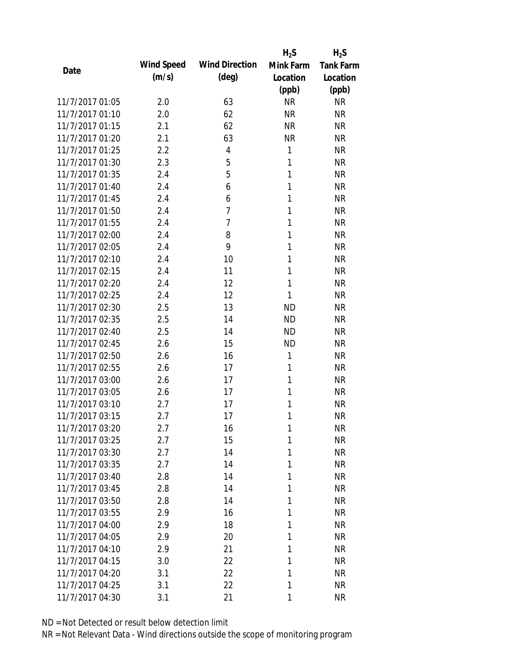|                 |            |                       | $H_2S$    | $H_2S$           |
|-----------------|------------|-----------------------|-----------|------------------|
| Date            | Wind Speed | <b>Wind Direction</b> | Mink Farm | <b>Tank Farm</b> |
|                 | (m/s)      | $(\text{deg})$        | Location  | Location         |
|                 |            |                       | (ppb)     | (ppb)            |
| 11/7/2017 01:05 | 2.0        | 63                    | <b>NR</b> | <b>NR</b>        |
| 11/7/2017 01:10 | 2.0        | 62                    | <b>NR</b> | <b>NR</b>        |
| 11/7/2017 01:15 | 2.1        | 62                    | <b>NR</b> | <b>NR</b>        |
| 11/7/2017 01:20 | 2.1        | 63                    | <b>NR</b> | <b>NR</b>        |
| 11/7/2017 01:25 | 2.2        | 4                     | 1         | <b>NR</b>        |
| 11/7/2017 01:30 | 2.3        | 5                     | 1         | <b>NR</b>        |
| 11/7/2017 01:35 | 2.4        | 5                     | 1         | <b>NR</b>        |
| 11/7/2017 01:40 | 2.4        | 6                     | 1         | <b>NR</b>        |
| 11/7/2017 01:45 | 2.4        | 6                     | 1         | <b>NR</b>        |
| 11/7/2017 01:50 | 2.4        | 7                     | 1         | <b>NR</b>        |
| 11/7/2017 01:55 | 2.4        | 7                     | 1         | <b>NR</b>        |
| 11/7/2017 02:00 | 2.4        | 8                     | 1         | <b>NR</b>        |
| 11/7/2017 02:05 | 2.4        | 9                     | 1         | <b>NR</b>        |
| 11/7/2017 02:10 | 2.4        | 10                    | 1         | <b>NR</b>        |
| 11/7/2017 02:15 | 2.4        | 11                    | 1         | <b>NR</b>        |
| 11/7/2017 02:20 | 2.4        | 12                    | 1         | <b>NR</b>        |
| 11/7/2017 02:25 | 2.4        | 12                    | 1         | <b>NR</b>        |
| 11/7/2017 02:30 | 2.5        | 13                    | <b>ND</b> | <b>NR</b>        |
| 11/7/2017 02:35 | 2.5        | 14                    | <b>ND</b> | <b>NR</b>        |
| 11/7/2017 02:40 | 2.5        | 14                    | <b>ND</b> | <b>NR</b>        |
| 11/7/2017 02:45 | 2.6        | 15                    | <b>ND</b> | <b>NR</b>        |
| 11/7/2017 02:50 | 2.6        | 16                    | 1         | <b>NR</b>        |
| 11/7/2017 02:55 | 2.6        | 17                    | 1         | <b>NR</b>        |
| 11/7/2017 03:00 | 2.6        | 17                    | 1         | <b>NR</b>        |
| 11/7/2017 03:05 | 2.6        | 17                    | 1         | <b>NR</b>        |
| 11/7/2017 03:10 | 2.7        | 17                    | 1         | <b>NR</b>        |
| 11/7/2017 03:15 | 2.7        | 17                    | 1         | <b>NR</b>        |
| 11/7/2017 03:20 | 2.7        | 16                    | 1         | NR               |
| 11/7/2017 03:25 | 2.7        | 15                    | 1         | <b>NR</b>        |
| 11/7/2017 03:30 | 2.7        | 14                    | 1         | <b>NR</b>        |
| 11/7/2017 03:35 | 2.7        | 14                    | 1         | <b>NR</b>        |
| 11/7/2017 03:40 | 2.8        | 14                    | 1         | <b>NR</b>        |
| 11/7/2017 03:45 | 2.8        | 14                    | 1         | <b>NR</b>        |
| 11/7/2017 03:50 | 2.8        | 14                    | 1         | <b>NR</b>        |
| 11/7/2017 03:55 | 2.9        | 16                    | 1         | <b>NR</b>        |
| 11/7/2017 04:00 | 2.9        | 18                    | 1         | <b>NR</b>        |
| 11/7/2017 04:05 | 2.9        | 20                    | 1         | <b>NR</b>        |
| 11/7/2017 04:10 | 2.9        | 21                    | 1         | <b>NR</b>        |
| 11/7/2017 04:15 | 3.0        | 22                    | 1         | <b>NR</b>        |
| 11/7/2017 04:20 | 3.1        | 22                    | 1         | <b>NR</b>        |
| 11/7/2017 04:25 | 3.1        | 22                    | 1         | <b>NR</b>        |
| 11/7/2017 04:30 | 3.1        | 21                    | 1         | <b>NR</b>        |
|                 |            |                       |           |                  |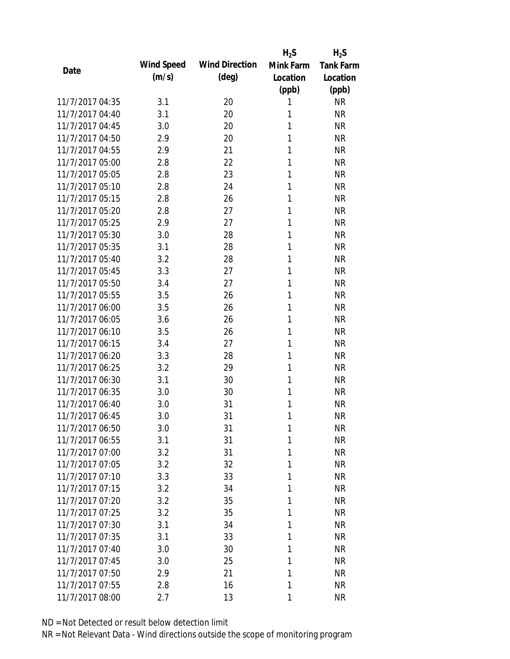|                 |            |                       | $H_2S$    | $H_2S$           |
|-----------------|------------|-----------------------|-----------|------------------|
| Date            | Wind Speed | <b>Wind Direction</b> | Mink Farm | <b>Tank Farm</b> |
|                 | (m/s)      | $(\text{deg})$        | Location  | Location         |
|                 |            |                       | (ppb)     | (ppb)            |
| 11/7/2017 04:35 | 3.1        | 20                    | 1         | <b>NR</b>        |
| 11/7/2017 04:40 | 3.1        | 20                    | 1         | <b>NR</b>        |
| 11/7/2017 04:45 | 3.0        | 20                    | 1         | <b>NR</b>        |
| 11/7/2017 04:50 | 2.9        | 20                    | 1         | <b>NR</b>        |
| 11/7/2017 04:55 | 2.9        | 21                    | 1         | <b>NR</b>        |
| 11/7/2017 05:00 | 2.8        | 22                    | 1         | <b>NR</b>        |
| 11/7/2017 05:05 | 2.8        | 23                    | 1         | <b>NR</b>        |
| 11/7/2017 05:10 | 2.8        | 24                    | 1         | <b>NR</b>        |
| 11/7/2017 05:15 | 2.8        | 26                    | 1         | <b>NR</b>        |
| 11/7/2017 05:20 | 2.8        | 27                    | 1         | <b>NR</b>        |
| 11/7/2017 05:25 | 2.9        | 27                    | 1         | <b>NR</b>        |
| 11/7/2017 05:30 | 3.0        | 28                    | 1         | <b>NR</b>        |
| 11/7/2017 05:35 | 3.1        | 28                    | 1         | <b>NR</b>        |
| 11/7/2017 05:40 | 3.2        | 28                    | 1         | <b>NR</b>        |
| 11/7/2017 05:45 | 3.3        | 27                    | 1         | <b>NR</b>        |
| 11/7/2017 05:50 | 3.4        | 27                    | 1         | <b>NR</b>        |
| 11/7/2017 05:55 | 3.5        | 26                    | 1         | <b>NR</b>        |
| 11/7/2017 06:00 | 3.5        | 26                    | 1         | <b>NR</b>        |
| 11/7/2017 06:05 | 3.6        | 26                    | 1         | <b>NR</b>        |
| 11/7/2017 06:10 | 3.5        | 26                    | 1         | <b>NR</b>        |
| 11/7/2017 06:15 | 3.4        | 27                    | 1         | <b>NR</b>        |
| 11/7/2017 06:20 | 3.3        | 28                    | 1         | <b>NR</b>        |
| 11/7/2017 06:25 | 3.2        | 29                    | 1         | <b>NR</b>        |
| 11/7/2017 06:30 | 3.1        | 30                    | 1         | <b>NR</b>        |
| 11/7/2017 06:35 | 3.0        | 30                    | 1         | <b>NR</b>        |
| 11/7/2017 06:40 | 3.0        | 31                    | 1         | <b>NR</b>        |
| 11/7/2017 06:45 | 3.0        | 31                    | 1         | <b>NR</b>        |
| 11/7/2017 06:50 | 3.0        | 31                    | 1         | <b>NR</b>        |
| 11/7/2017 06:55 | 3.1        | 31                    | 1         | <b>NR</b>        |
| 11/7/2017 07:00 | 3.2        | 31                    | 1         | <b>NR</b>        |
| 11/7/2017 07:05 | 3.2        | 32                    | 1         | <b>NR</b>        |
| 11/7/2017 07:10 | 3.3        | 33                    | 1         | <b>NR</b>        |
| 11/7/2017 07:15 | 3.2        | 34                    | 1         | <b>NR</b>        |
| 11/7/2017 07:20 | 3.2        | 35                    | 1         | <b>NR</b>        |
| 11/7/2017 07:25 | 3.2        | 35                    | 1         | <b>NR</b>        |
| 11/7/2017 07:30 | 3.1        | 34                    | 1         | <b>NR</b>        |
| 11/7/2017 07:35 | 3.1        | 33                    | 1         | <b>NR</b>        |
| 11/7/2017 07:40 | 3.0        | 30                    | 1         | <b>NR</b>        |
| 11/7/2017 07:45 | 3.0        | 25                    | 1         | <b>NR</b>        |
| 11/7/2017 07:50 | 2.9        | 21                    | 1         | <b>NR</b>        |
| 11/7/2017 07:55 | 2.8        | 16                    | 1         | <b>NR</b>        |
| 11/7/2017 08:00 | 2.7        | 13                    | 1         | <b>NR</b>        |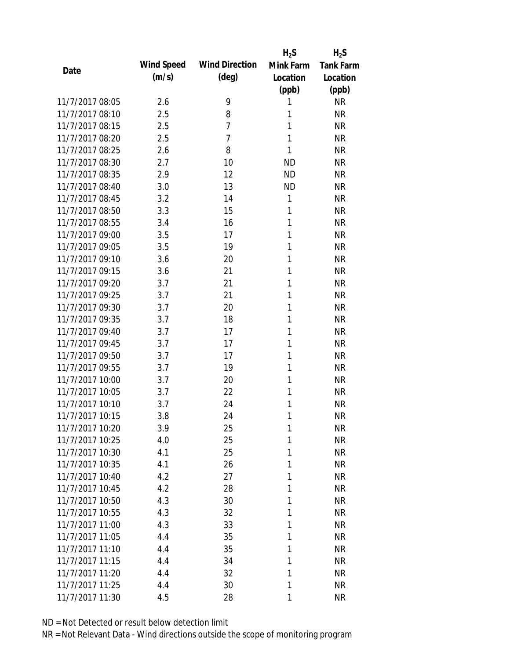|                 |            |                       | $H_2S$    | $H_2S$           |
|-----------------|------------|-----------------------|-----------|------------------|
| Date            | Wind Speed | <b>Wind Direction</b> | Mink Farm | <b>Tank Farm</b> |
|                 | (m/s)      | $(\text{deg})$        | Location  | Location         |
|                 |            |                       | (ppb)     | (ppb)            |
| 11/7/2017 08:05 | 2.6        | 9                     | 1         | <b>NR</b>        |
| 11/7/2017 08:10 | 2.5        | 8                     | 1         | <b>NR</b>        |
| 11/7/2017 08:15 | 2.5        | $\overline{7}$        | 1         | <b>NR</b>        |
| 11/7/2017 08:20 | 2.5        | $\overline{7}$        | 1         | <b>NR</b>        |
| 11/7/2017 08:25 | 2.6        | 8                     | 1         | <b>NR</b>        |
| 11/7/2017 08:30 | 2.7        | 10                    | <b>ND</b> | <b>NR</b>        |
| 11/7/2017 08:35 | 2.9        | 12                    | <b>ND</b> | <b>NR</b>        |
| 11/7/2017 08:40 | 3.0        | 13                    | <b>ND</b> | <b>NR</b>        |
| 11/7/2017 08:45 | 3.2        | 14                    | 1         | <b>NR</b>        |
| 11/7/2017 08:50 | 3.3        | 15                    | 1         | <b>NR</b>        |
| 11/7/2017 08:55 | 3.4        | 16                    | 1         | <b>NR</b>        |
| 11/7/2017 09:00 | 3.5        | 17                    | 1         | <b>NR</b>        |
| 11/7/2017 09:05 | 3.5        | 19                    | 1         | <b>NR</b>        |
| 11/7/2017 09:10 | 3.6        | 20                    | 1         | <b>NR</b>        |
| 11/7/2017 09:15 | 3.6        | 21                    | 1         | <b>NR</b>        |
| 11/7/2017 09:20 | 3.7        | 21                    | 1         | <b>NR</b>        |
| 11/7/2017 09:25 | 3.7        | 21                    | 1         | <b>NR</b>        |
| 11/7/2017 09:30 | 3.7        | 20                    | 1         | <b>NR</b>        |
| 11/7/2017 09:35 | 3.7        | 18                    | 1         | <b>NR</b>        |
| 11/7/2017 09:40 | 3.7        | 17                    | 1         | <b>NR</b>        |
| 11/7/2017 09:45 | 3.7        | 17                    | 1         | <b>NR</b>        |
| 11/7/2017 09:50 | 3.7        | 17                    | 1         | <b>NR</b>        |
| 11/7/2017 09:55 | 3.7        | 19                    | 1         | <b>NR</b>        |
| 11/7/2017 10:00 | 3.7        | 20                    | 1         | <b>NR</b>        |
| 11/7/2017 10:05 | 3.7        | 22                    | 1         | <b>NR</b>        |
| 11/7/2017 10:10 | 3.7        | 24                    | 1         | <b>NR</b>        |
| 11/7/2017 10:15 | 3.8        | 24                    | 1         | <b>NR</b>        |
| 11/7/2017 10:20 | 3.9        | 25                    | 1         | <b>NR</b>        |
| 11/7/2017 10:25 | 4.0        | 25                    | 1         | <b>NR</b>        |
| 11/7/2017 10:30 | 4.1        | 25                    | 1         | <b>NR</b>        |
| 11/7/2017 10:35 | 4.1        | 26                    | 1         | <b>NR</b>        |
| 11/7/2017 10:40 | 4.2        | 27                    | 1         | <b>NR</b>        |
| 11/7/2017 10:45 | 4.2        | 28                    | 1         | <b>NR</b>        |
| 11/7/2017 10:50 | 4.3        | 30                    | 1         | <b>NR</b>        |
| 11/7/2017 10:55 | 4.3        | 32                    | 1         | <b>NR</b>        |
| 11/7/2017 11:00 | 4.3        | 33                    | 1         | <b>NR</b>        |
| 11/7/2017 11:05 | 4.4        | 35                    | 1         | <b>NR</b>        |
| 11/7/2017 11:10 | 4.4        | 35                    | 1         | <b>NR</b>        |
| 11/7/2017 11:15 | 4.4        | 34                    | 1         | <b>NR</b>        |
| 11/7/2017 11:20 | 4.4        | 32                    | 1         | <b>NR</b>        |
| 11/7/2017 11:25 | 4.4        | 30                    | 1         | <b>NR</b>        |
| 11/7/2017 11:30 | 4.5        | 28                    | 1         | <b>NR</b>        |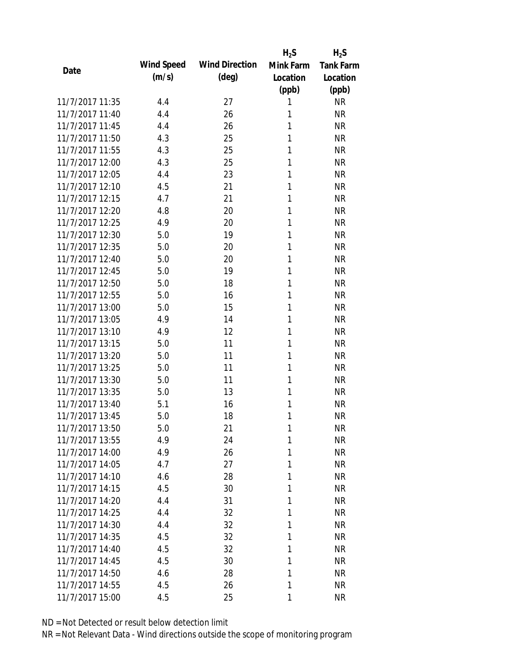|                 |            |                       | $H_2S$    | $H_2S$           |
|-----------------|------------|-----------------------|-----------|------------------|
| Date            | Wind Speed | <b>Wind Direction</b> | Mink Farm | <b>Tank Farm</b> |
|                 | (m/s)      | $(\text{deg})$        | Location  | Location         |
|                 |            |                       | (ppb)     | (ppb)            |
| 11/7/2017 11:35 | 4.4        | 27                    | 1         | <b>NR</b>        |
| 11/7/2017 11:40 | 4.4        | 26                    | 1         | <b>NR</b>        |
| 11/7/2017 11:45 | 4.4        | 26                    | 1         | <b>NR</b>        |
| 11/7/2017 11:50 | 4.3        | 25                    | 1         | <b>NR</b>        |
| 11/7/2017 11:55 | 4.3        | 25                    | 1         | <b>NR</b>        |
| 11/7/2017 12:00 | 4.3        | 25                    | 1         | <b>NR</b>        |
| 11/7/2017 12:05 | 4.4        | 23                    | 1         | <b>NR</b>        |
| 11/7/2017 12:10 | 4.5        | 21                    | 1         | <b>NR</b>        |
| 11/7/2017 12:15 | 4.7        | 21                    | 1         | <b>NR</b>        |
| 11/7/2017 12:20 | 4.8        | 20                    | 1         | <b>NR</b>        |
| 11/7/2017 12:25 | 4.9        | 20                    | 1         | <b>NR</b>        |
| 11/7/2017 12:30 | 5.0        | 19                    | 1         | <b>NR</b>        |
| 11/7/2017 12:35 | 5.0        | 20                    | 1         | <b>NR</b>        |
| 11/7/2017 12:40 | 5.0        | 20                    | 1         | <b>NR</b>        |
| 11/7/2017 12:45 | 5.0        | 19                    | 1         | <b>NR</b>        |
| 11/7/2017 12:50 | 5.0        | 18                    | 1         | <b>NR</b>        |
| 11/7/2017 12:55 | 5.0        | 16                    | 1         | <b>NR</b>        |
| 11/7/2017 13:00 | 5.0        | 15                    | 1         | <b>NR</b>        |
| 11/7/2017 13:05 | 4.9        | 14                    | 1         | <b>NR</b>        |
| 11/7/2017 13:10 | 4.9        | 12                    | 1         | <b>NR</b>        |
| 11/7/2017 13:15 | 5.0        | 11                    | 1         | <b>NR</b>        |
| 11/7/2017 13:20 | 5.0        | 11                    | 1         | <b>NR</b>        |
| 11/7/2017 13:25 | 5.0        | 11                    | 1         | <b>NR</b>        |
| 11/7/2017 13:30 | 5.0        | 11                    | 1         | <b>NR</b>        |
| 11/7/2017 13:35 | 5.0        | 13                    | 1         | <b>NR</b>        |
| 11/7/2017 13:40 | 5.1        | 16                    | 1         | <b>NR</b>        |
| 11/7/2017 13:45 | 5.0        | 18                    | 1         | <b>NR</b>        |
| 11/7/2017 13:50 | 5.0        | 21                    | 1         | <b>NR</b>        |
| 11/7/2017 13:55 | 4.9        | 24                    | 1         | <b>NR</b>        |
| 11/7/2017 14:00 | 4.9        | 26                    | 1         | <b>NR</b>        |
| 11/7/2017 14:05 | 4.7        | 27                    | 1         | <b>NR</b>        |
| 11/7/2017 14:10 | 4.6        | 28                    | 1         | <b>NR</b>        |
| 11/7/2017 14:15 | 4.5        | 30                    | 1         | <b>NR</b>        |
| 11/7/2017 14:20 | 4.4        | 31                    | 1         | <b>NR</b>        |
| 11/7/2017 14:25 | 4.4        | 32                    | 1         | <b>NR</b>        |
| 11/7/2017 14:30 | 4.4        | 32                    | 1         | <b>NR</b>        |
| 11/7/2017 14:35 | 4.5        | 32                    | 1         | <b>NR</b>        |
| 11/7/2017 14:40 | 4.5        | 32                    | 1         | <b>NR</b>        |
| 11/7/2017 14:45 | 4.5        | 30                    | 1         | <b>NR</b>        |
| 11/7/2017 14:50 | 4.6        | 28                    | 1         | <b>NR</b>        |
| 11/7/2017 14:55 | 4.5        | 26                    | 1         | <b>NR</b>        |
| 11/7/2017 15:00 | 4.5        | 25                    | 1         | <b>NR</b>        |
|                 |            |                       |           |                  |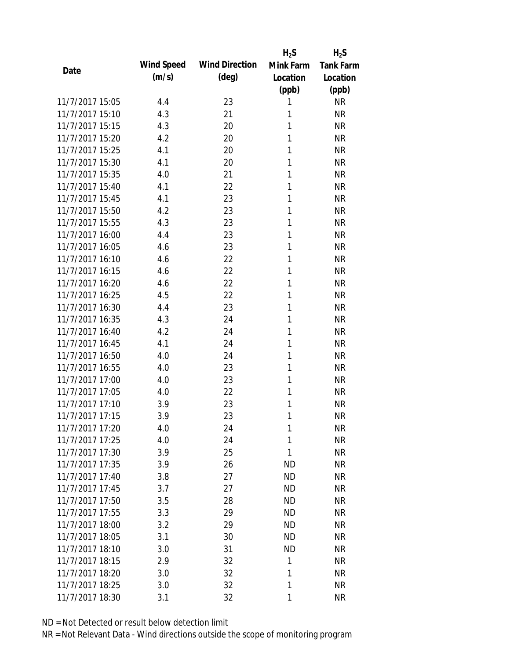|                 |            |                       | $H_2S$    | $H_2S$           |
|-----------------|------------|-----------------------|-----------|------------------|
| Date            | Wind Speed | <b>Wind Direction</b> | Mink Farm | <b>Tank Farm</b> |
|                 | (m/s)      | $(\text{deg})$        | Location  | Location         |
|                 |            |                       | (ppb)     | (ppb)            |
| 11/7/2017 15:05 | 4.4        | 23                    | 1         | <b>NR</b>        |
| 11/7/2017 15:10 | 4.3        | 21                    | 1         | <b>NR</b>        |
| 11/7/2017 15:15 | 4.3        | 20                    | 1         | <b>NR</b>        |
| 11/7/2017 15:20 | 4.2        | 20                    | 1         | <b>NR</b>        |
| 11/7/2017 15:25 | 4.1        | 20                    | 1         | <b>NR</b>        |
| 11/7/2017 15:30 | 4.1        | 20                    | 1         | <b>NR</b>        |
| 11/7/2017 15:35 | 4.0        | 21                    | 1         | <b>NR</b>        |
| 11/7/2017 15:40 | 4.1        | 22                    | 1         | <b>NR</b>        |
| 11/7/2017 15:45 | 4.1        | 23                    | 1         | <b>NR</b>        |
| 11/7/2017 15:50 | 4.2        | 23                    | 1         | <b>NR</b>        |
| 11/7/2017 15:55 | 4.3        | 23                    | 1         | <b>NR</b>        |
| 11/7/2017 16:00 | 4.4        | 23                    | 1         | <b>NR</b>        |
| 11/7/2017 16:05 | 4.6        | 23                    | 1         | <b>NR</b>        |
| 11/7/2017 16:10 | 4.6        | 22                    | 1         | <b>NR</b>        |
| 11/7/2017 16:15 | 4.6        | 22                    | 1         | <b>NR</b>        |
| 11/7/2017 16:20 | 4.6        | 22                    | 1         | <b>NR</b>        |
| 11/7/2017 16:25 | 4.5        | 22                    | 1         | <b>NR</b>        |
| 11/7/2017 16:30 | 4.4        | 23                    | 1         | <b>NR</b>        |
| 11/7/2017 16:35 | 4.3        | 24                    | 1         | <b>NR</b>        |
| 11/7/2017 16:40 | 4.2        | 24                    | 1         | <b>NR</b>        |
| 11/7/2017 16:45 | 4.1        | 24                    | 1         | <b>NR</b>        |
| 11/7/2017 16:50 | 4.0        | 24                    | 1         | <b>NR</b>        |
| 11/7/2017 16:55 | 4.0        | 23                    | 1         | <b>NR</b>        |
| 11/7/2017 17:00 | 4.0        | 23                    | 1         | <b>NR</b>        |
| 11/7/2017 17:05 | 4.0        | 22                    | 1         | <b>NR</b>        |
| 11/7/2017 17:10 | 3.9        | 23                    | 1         | <b>NR</b>        |
| 11/7/2017 17:15 | 3.9        | 23                    | 1         | <b>NR</b>        |
| 11/7/2017 17:20 | 4.0        | 24                    | 1         | NR               |
| 11/7/2017 17:25 | 4.0        | 24                    | 1         | <b>NR</b>        |
| 11/7/2017 17:30 | 3.9        | 25                    | 1         | <b>NR</b>        |
| 11/7/2017 17:35 | 3.9        | 26                    | <b>ND</b> | <b>NR</b>        |
| 11/7/2017 17:40 | 3.8        | 27                    | <b>ND</b> | <b>NR</b>        |
| 11/7/2017 17:45 | 3.7        | 27                    | <b>ND</b> | <b>NR</b>        |
| 11/7/2017 17:50 | 3.5        | 28                    | <b>ND</b> | <b>NR</b>        |
| 11/7/2017 17:55 | 3.3        | 29                    | <b>ND</b> | <b>NR</b>        |
| 11/7/2017 18:00 | 3.2        | 29                    | <b>ND</b> | <b>NR</b>        |
| 11/7/2017 18:05 | 3.1        | 30                    | <b>ND</b> | <b>NR</b>        |
| 11/7/2017 18:10 | 3.0        | 31                    | <b>ND</b> | <b>NR</b>        |
| 11/7/2017 18:15 | 2.9        | 32                    | 1         | <b>NR</b>        |
| 11/7/2017 18:20 | 3.0        | 32                    | 1         | <b>NR</b>        |
| 11/7/2017 18:25 | 3.0        | 32                    | 1         | <b>NR</b>        |
| 11/7/2017 18:30 | 3.1        | 32                    | 1         | <b>NR</b>        |
|                 |            |                       |           |                  |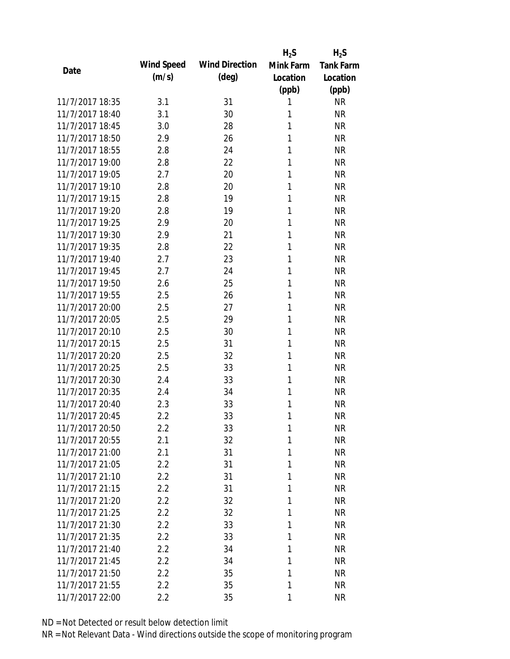|                 |            |                       | $H_2S$    | $H_2S$           |
|-----------------|------------|-----------------------|-----------|------------------|
| Date            | Wind Speed | <b>Wind Direction</b> | Mink Farm | <b>Tank Farm</b> |
|                 | (m/s)      | $(\text{deg})$        | Location  | Location         |
|                 |            |                       | (ppb)     | (ppb)            |
| 11/7/2017 18:35 | 3.1        | 31                    | 1         | <b>NR</b>        |
| 11/7/2017 18:40 | 3.1        | 30                    | 1         | <b>NR</b>        |
| 11/7/2017 18:45 | 3.0        | 28                    | 1         | <b>NR</b>        |
| 11/7/2017 18:50 | 2.9        | 26                    | 1         | <b>NR</b>        |
| 11/7/2017 18:55 | 2.8        | 24                    | 1         | <b>NR</b>        |
| 11/7/2017 19:00 | 2.8        | 22                    | 1         | <b>NR</b>        |
| 11/7/2017 19:05 | 2.7        | 20                    | 1         | <b>NR</b>        |
| 11/7/2017 19:10 | 2.8        | 20                    | 1         | <b>NR</b>        |
| 11/7/2017 19:15 | 2.8        | 19                    | 1         | <b>NR</b>        |
| 11/7/2017 19:20 | 2.8        | 19                    | 1         | <b>NR</b>        |
| 11/7/2017 19:25 | 2.9        | 20                    | 1         | <b>NR</b>        |
| 11/7/2017 19:30 | 2.9        | 21                    | 1         | <b>NR</b>        |
| 11/7/2017 19:35 | 2.8        | 22                    | 1         | <b>NR</b>        |
| 11/7/2017 19:40 | 2.7        | 23                    | 1         | <b>NR</b>        |
| 11/7/2017 19:45 | 2.7        | 24                    | 1         | <b>NR</b>        |
| 11/7/2017 19:50 | 2.6        | 25                    | 1         | <b>NR</b>        |
| 11/7/2017 19:55 | 2.5        | 26                    | 1         | <b>NR</b>        |
| 11/7/2017 20:00 | 2.5        | 27                    | 1         | <b>NR</b>        |
| 11/7/2017 20:05 | 2.5        | 29                    | 1         | <b>NR</b>        |
| 11/7/2017 20:10 | 2.5        | 30                    | 1         | <b>NR</b>        |
| 11/7/2017 20:15 | 2.5        | 31                    | 1         | <b>NR</b>        |
| 11/7/2017 20:20 | 2.5        | 32                    | 1         | <b>NR</b>        |
| 11/7/2017 20:25 | 2.5        | 33                    | 1         | <b>NR</b>        |
| 11/7/2017 20:30 | 2.4        | 33                    | 1         | <b>NR</b>        |
| 11/7/2017 20:35 | 2.4        | 34                    | 1         | <b>NR</b>        |
| 11/7/2017 20:40 | 2.3        | 33                    | 1         | <b>NR</b>        |
| 11/7/2017 20:45 | 2.2        | 33                    | 1         | <b>NR</b>        |
| 11/7/2017 20:50 | 2.2        | 33                    | 1         | <b>NR</b>        |
| 11/7/2017 20:55 | 2.1        | 32                    | 1         | <b>NR</b>        |
| 11/7/2017 21:00 | 2.1        | 31                    | 1         | <b>NR</b>        |
| 11/7/2017 21:05 | 2.2        | 31                    | 1         | <b>NR</b>        |
| 11/7/2017 21:10 | 2.2        | 31                    | 1         | <b>NR</b>        |
| 11/7/2017 21:15 | 2.2        | 31                    | 1         | <b>NR</b>        |
| 11/7/2017 21:20 | 2.2        | 32                    | 1         | <b>NR</b>        |
| 11/7/2017 21:25 | 2.2        | 32                    | 1         | <b>NR</b>        |
| 11/7/2017 21:30 | 2.2        | 33                    | 1         | <b>NR</b>        |
| 11/7/2017 21:35 | 2.2        | 33                    | 1         | <b>NR</b>        |
| 11/7/2017 21:40 | 2.2        | 34                    | 1         | <b>NR</b>        |
| 11/7/2017 21:45 | 2.2        | 34                    | 1         | <b>NR</b>        |
| 11/7/2017 21:50 | 2.2        | 35                    | 1         | <b>NR</b>        |
| 11/7/2017 21:55 | 2.2        | 35                    | 1         | <b>NR</b>        |
| 11/7/2017 22:00 | $2.2\,$    | 35                    | 1         | <b>NR</b>        |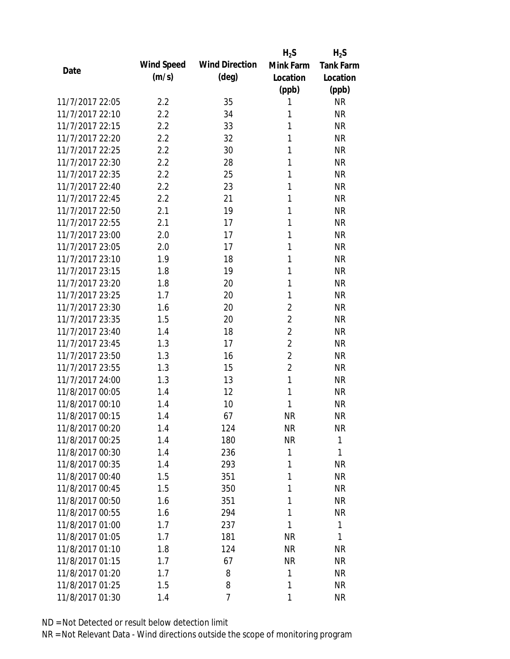|                 |            |                       | $H_2S$         | $H_2S$           |
|-----------------|------------|-----------------------|----------------|------------------|
| Date            | Wind Speed | <b>Wind Direction</b> | Mink Farm      | <b>Tank Farm</b> |
|                 | (m/s)      | $(\text{deg})$        | Location       | Location         |
|                 |            |                       | (ppb)          | (ppb)            |
| 11/7/2017 22:05 | 2.2        | 35                    | 1              | <b>NR</b>        |
| 11/7/2017 22:10 | 2.2        | 34                    | 1              | <b>NR</b>        |
| 11/7/2017 22:15 | 2.2        | 33                    | 1              | <b>NR</b>        |
| 11/7/2017 22:20 | 2.2        | 32                    | 1              | <b>NR</b>        |
| 11/7/2017 22:25 | 2.2        | 30                    | 1              | <b>NR</b>        |
| 11/7/2017 22:30 | 2.2        | 28                    | 1              | <b>NR</b>        |
| 11/7/2017 22:35 | 2.2        | 25                    | 1              | <b>NR</b>        |
| 11/7/2017 22:40 | 2.2        | 23                    | 1              | <b>NR</b>        |
| 11/7/2017 22:45 | 2.2        | 21                    | 1              | <b>NR</b>        |
| 11/7/2017 22:50 | 2.1        | 19                    | 1              | <b>NR</b>        |
| 11/7/2017 22:55 | 2.1        | 17                    | 1              | <b>NR</b>        |
| 11/7/2017 23:00 | 2.0        | 17                    | 1              | <b>NR</b>        |
| 11/7/2017 23:05 | 2.0        | 17                    | 1              | <b>NR</b>        |
| 11/7/2017 23:10 | 1.9        | 18                    | 1              | <b>NR</b>        |
| 11/7/2017 23:15 | 1.8        | 19                    | 1              | <b>NR</b>        |
| 11/7/2017 23:20 | 1.8        | 20                    | 1              | <b>NR</b>        |
| 11/7/2017 23:25 | 1.7        | 20                    | 1              | <b>NR</b>        |
| 11/7/2017 23:30 | 1.6        | 20                    | $\overline{2}$ | <b>NR</b>        |
| 11/7/2017 23:35 | 1.5        | 20                    | $\overline{2}$ | <b>NR</b>        |
| 11/7/2017 23:40 | 1.4        | 18                    | $\overline{2}$ | <b>NR</b>        |
| 11/7/2017 23:45 | 1.3        | 17                    | $\overline{2}$ | <b>NR</b>        |
| 11/7/2017 23:50 | 1.3        | 16                    | $\overline{2}$ | <b>NR</b>        |
| 11/7/2017 23:55 | 1.3        | 15                    | $\overline{2}$ | <b>NR</b>        |
| 11/7/2017 24:00 | 1.3        | 13                    | 1              | <b>NR</b>        |
| 11/8/2017 00:05 | 1.4        | 12                    | 1              | <b>NR</b>        |
| 11/8/2017 00:10 | 1.4        | 10                    | 1              | <b>NR</b>        |
| 11/8/2017 00:15 | 1.4        | 67                    | <b>NR</b>      | <b>NR</b>        |
| 11/8/2017 00:20 | 1.4        | 124                   | <b>NR</b>      | NR               |
| 11/8/2017 00:25 | 1.4        | 180                   | <b>NR</b>      | 1                |
| 11/8/2017 00:30 | 1.4        | 236                   | 1              | 1                |
| 11/8/2017 00:35 | 1.4        | 293                   | 1              | <b>NR</b>        |
| 11/8/2017 00:40 | 1.5        | 351                   | 1              | <b>NR</b>        |
| 11/8/2017 00:45 | 1.5        | 350                   | 1              | <b>NR</b>        |
| 11/8/2017 00:50 | 1.6        | 351                   | 1              | <b>NR</b>        |
| 11/8/2017 00:55 | 1.6        | 294                   | 1              | <b>NR</b>        |
| 11/8/2017 01:00 | 1.7        | 237                   | 1              | $\mathbf{1}$     |
| 11/8/2017 01:05 | 1.7        | 181                   | <b>NR</b>      | 1                |
| 11/8/2017 01:10 | 1.8        | 124                   | <b>NR</b>      | <b>NR</b>        |
| 11/8/2017 01:15 | 1.7        | 67                    | <b>NR</b>      | NR               |
| 11/8/2017 01:20 | 1.7        | 8                     | 1              | <b>NR</b>        |
| 11/8/2017 01:25 | 1.5        | 8                     | 1              | <b>NR</b>        |
| 11/8/2017 01:30 | 1.4        | 7                     | 1              | <b>NR</b>        |
|                 |            |                       |                |                  |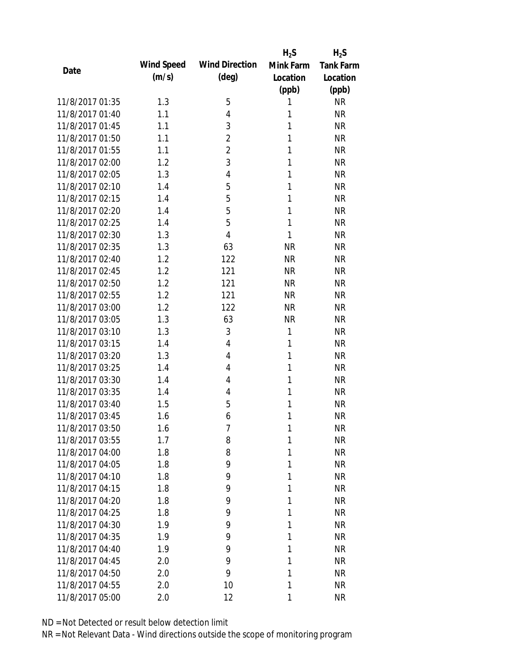|                 |            |                       | $H_2S$    | $H_2S$           |
|-----------------|------------|-----------------------|-----------|------------------|
| Date            | Wind Speed | <b>Wind Direction</b> | Mink Farm | <b>Tank Farm</b> |
|                 | (m/s)      | (deg)                 | Location  | Location         |
|                 |            |                       | (ppb)     | (ppb)            |
| 11/8/2017 01:35 | 1.3        | 5                     | 1         | <b>NR</b>        |
| 11/8/2017 01:40 | 1.1        | $\overline{4}$        | 1         | <b>NR</b>        |
| 11/8/2017 01:45 | 1.1        | 3                     | 1         | <b>NR</b>        |
| 11/8/2017 01:50 | 1.1        | $\overline{2}$        | 1         | <b>NR</b>        |
| 11/8/2017 01:55 | 1.1        | $\overline{2}$        | 1         | <b>NR</b>        |
| 11/8/2017 02:00 | 1.2        | 3                     | 1         | <b>NR</b>        |
| 11/8/2017 02:05 | 1.3        | 4                     | 1         | <b>NR</b>        |
| 11/8/2017 02:10 | 1.4        | 5                     | 1         | <b>NR</b>        |
| 11/8/2017 02:15 | 1.4        | 5                     | 1         | <b>NR</b>        |
| 11/8/2017 02:20 | 1.4        | 5                     | 1         | <b>NR</b>        |
| 11/8/2017 02:25 | 1.4        | 5                     | 1         | <b>NR</b>        |
| 11/8/2017 02:30 | 1.3        | $\overline{4}$        | 1         | <b>NR</b>        |
| 11/8/2017 02:35 | 1.3        | 63                    | <b>NR</b> | <b>NR</b>        |
| 11/8/2017 02:40 | 1.2        | 122                   | <b>NR</b> | <b>NR</b>        |
| 11/8/2017 02:45 | 1.2        | 121                   | <b>NR</b> | <b>NR</b>        |
| 11/8/2017 02:50 | 1.2        | 121                   | <b>NR</b> | <b>NR</b>        |
| 11/8/2017 02:55 | 1.2        | 121                   | <b>NR</b> | <b>NR</b>        |
| 11/8/2017 03:00 | 1.2        | 122                   | <b>NR</b> | <b>NR</b>        |
| 11/8/2017 03:05 | 1.3        | 63                    | <b>NR</b> | <b>NR</b>        |
| 11/8/2017 03:10 | 1.3        | $\mathfrak{Z}$        | 1         | <b>NR</b>        |
| 11/8/2017 03:15 | 1.4        | $\overline{4}$        | 1         | <b>NR</b>        |
| 11/8/2017 03:20 | 1.3        | 4                     | 1         | <b>NR</b>        |
| 11/8/2017 03:25 | 1.4        | $\overline{4}$        | 1         | <b>NR</b>        |
| 11/8/2017 03:30 | 1.4        | 4                     | 1         | <b>NR</b>        |
| 11/8/2017 03:35 | 1.4        | 4                     | 1         | <b>NR</b>        |
| 11/8/2017 03:40 | 1.5        | 5                     | 1         | <b>NR</b>        |
| 11/8/2017 03:45 | 1.6        | 6                     | 1         | <b>NR</b>        |
| 11/8/2017 03:50 | 1.6        | 7                     | 1         | <b>NR</b>        |
| 11/8/2017 03:55 | 1.7        | 8                     | 1         | <b>NR</b>        |
| 11/8/2017 04:00 | 1.8        | 8                     | 1         | <b>NR</b>        |
| 11/8/2017 04:05 | 1.8        | 9                     | 1         | <b>NR</b>        |
| 11/8/2017 04:10 | 1.8        | 9                     | 1         | <b>NR</b>        |
| 11/8/2017 04:15 | 1.8        | 9                     | 1         | <b>NR</b>        |
| 11/8/2017 04:20 | 1.8        | 9                     | 1         | <b>NR</b>        |
| 11/8/2017 04:25 | 1.8        | 9                     | 1         | <b>NR</b>        |
| 11/8/2017 04:30 | 1.9        | 9                     | 1         | <b>NR</b>        |
| 11/8/2017 04:35 | 1.9        | 9                     | 1         | <b>NR</b>        |
| 11/8/2017 04:40 | 1.9        | 9                     | 1         | <b>NR</b>        |
| 11/8/2017 04:45 | 2.0        | 9                     | 1         | <b>NR</b>        |
| 11/8/2017 04:50 | 2.0        | 9                     | 1         | <b>NR</b>        |
| 11/8/2017 04:55 | 2.0        | 10                    | 1         | <b>NR</b>        |
| 11/8/2017 05:00 | 2.0        | 12                    | 1         | <b>NR</b>        |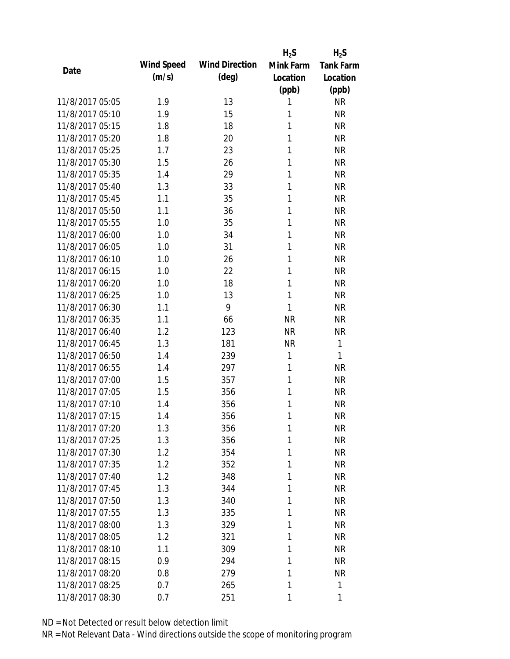|                 |            |                       | $H_2S$    | $H_2S$           |
|-----------------|------------|-----------------------|-----------|------------------|
| Date            | Wind Speed | <b>Wind Direction</b> | Mink Farm | <b>Tank Farm</b> |
|                 | (m/s)      | $(\text{deg})$        | Location  | Location         |
|                 |            |                       | (ppb)     | (ppb)            |
| 11/8/2017 05:05 | 1.9        | 13                    | 1         | <b>NR</b>        |
| 11/8/2017 05:10 | 1.9        | 15                    | 1         | <b>NR</b>        |
| 11/8/2017 05:15 | 1.8        | 18                    | 1         | <b>NR</b>        |
| 11/8/2017 05:20 | 1.8        | 20                    | 1         | <b>NR</b>        |
| 11/8/2017 05:25 | 1.7        | 23                    | 1         | <b>NR</b>        |
| 11/8/2017 05:30 | 1.5        | 26                    | 1         | <b>NR</b>        |
| 11/8/2017 05:35 | 1.4        | 29                    | 1         | <b>NR</b>        |
| 11/8/2017 05:40 | 1.3        | 33                    | 1         | <b>NR</b>        |
| 11/8/2017 05:45 | 1.1        | 35                    | 1         | <b>NR</b>        |
| 11/8/2017 05:50 | 1.1        | 36                    | 1         | <b>NR</b>        |
| 11/8/2017 05:55 | 1.0        | 35                    | 1         | <b>NR</b>        |
| 11/8/2017 06:00 | 1.0        | 34                    | 1         | <b>NR</b>        |
| 11/8/2017 06:05 | 1.0        | 31                    | 1         | <b>NR</b>        |
| 11/8/2017 06:10 | 1.0        | 26                    | 1         | <b>NR</b>        |
| 11/8/2017 06:15 | 1.0        | 22                    | 1         | <b>NR</b>        |
| 11/8/2017 06:20 | 1.0        | 18                    | 1         | <b>NR</b>        |
| 11/8/2017 06:25 | 1.0        | 13                    | 1         | <b>NR</b>        |
| 11/8/2017 06:30 | 1.1        | 9                     | 1         | <b>NR</b>        |
| 11/8/2017 06:35 | 1.1        | 66                    | <b>NR</b> | <b>NR</b>        |
| 11/8/2017 06:40 | 1.2        | 123                   | <b>NR</b> | <b>NR</b>        |
| 11/8/2017 06:45 | 1.3        | 181                   | <b>NR</b> | 1                |
| 11/8/2017 06:50 | 1.4        | 239                   | 1         | 1                |
| 11/8/2017 06:55 | 1.4        | 297                   | 1         | <b>NR</b>        |
| 11/8/2017 07:00 | 1.5        | 357                   | 1         | <b>NR</b>        |
| 11/8/2017 07:05 | 1.5        | 356                   | 1         | <b>NR</b>        |
| 11/8/2017 07:10 | 1.4        | 356                   | 1         | <b>NR</b>        |
| 11/8/2017 07:15 | 1.4        | 356                   | 1         | <b>NR</b>        |
| 11/8/2017 07:20 | 1.3        | 356                   | 1         | <b>NR</b>        |
| 11/8/2017 07:25 | 1.3        | 356                   | 1         | <b>NR</b>        |
| 11/8/2017 07:30 | 1.2        | 354                   | 1         | <b>NR</b>        |
| 11/8/2017 07:35 | 1.2        | 352                   | 1         | <b>NR</b>        |
| 11/8/2017 07:40 | 1.2        | 348                   | 1         | <b>NR</b>        |
| 11/8/2017 07:45 | 1.3        | 344                   | 1         | <b>NR</b>        |
| 11/8/2017 07:50 | 1.3        | 340                   | 1         | <b>NR</b>        |
| 11/8/2017 07:55 | 1.3        | 335                   | 1         | <b>NR</b>        |
| 11/8/2017 08:00 | 1.3        | 329                   | 1         | <b>NR</b>        |
| 11/8/2017 08:05 | 1.2        | 321                   | 1         | <b>NR</b>        |
| 11/8/2017 08:10 | 1.1        | 309                   | 1         | <b>NR</b>        |
| 11/8/2017 08:15 | 0.9        | 294                   | 1         | <b>NR</b>        |
| 11/8/2017 08:20 | 0.8        | 279                   | 1         | <b>NR</b>        |
| 11/8/2017 08:25 | 0.7        | 265                   | 1         | 1                |
| 11/8/2017 08:30 | 0.7        | 251                   | 1         | 1                |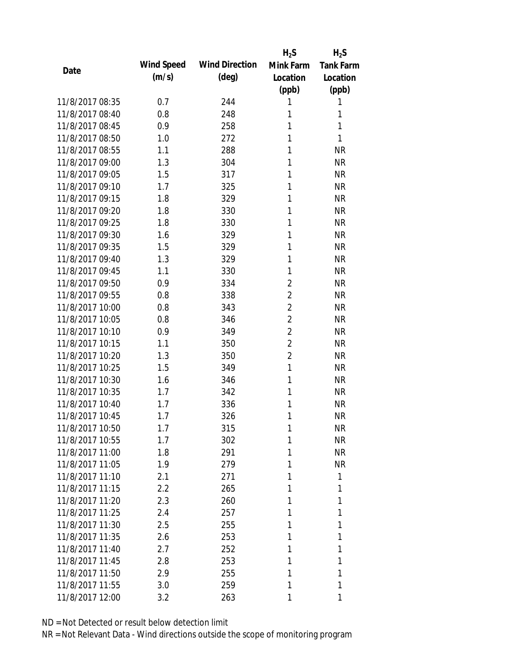|                 |            |                       | $H_2S$         | $H_2S$           |
|-----------------|------------|-----------------------|----------------|------------------|
| Date            | Wind Speed | <b>Wind Direction</b> | Mink Farm      | <b>Tank Farm</b> |
|                 | (m/s)      | $(\text{deg})$        | Location       | Location         |
|                 |            |                       | (ppb)          | (ppb)            |
| 11/8/2017 08:35 | 0.7        | 244                   | 1              | 1                |
| 11/8/2017 08:40 | 0.8        | 248                   | 1              | 1                |
| 11/8/2017 08:45 | 0.9        | 258                   | 1              | 1                |
| 11/8/2017 08:50 | 1.0        | 272                   | 1              | 1                |
| 11/8/2017 08:55 | 1.1        | 288                   | 1              | <b>NR</b>        |
| 11/8/2017 09:00 | 1.3        | 304                   | 1              | <b>NR</b>        |
| 11/8/2017 09:05 | 1.5        | 317                   | 1              | <b>NR</b>        |
| 11/8/2017 09:10 | 1.7        | 325                   | 1              | <b>NR</b>        |
| 11/8/2017 09:15 | 1.8        | 329                   | 1              | <b>NR</b>        |
| 11/8/2017 09:20 | 1.8        | 330                   | 1              | <b>NR</b>        |
| 11/8/2017 09:25 | 1.8        | 330                   | 1              | <b>NR</b>        |
| 11/8/2017 09:30 | 1.6        | 329                   | 1              | <b>NR</b>        |
| 11/8/2017 09:35 | 1.5        | 329                   | 1              | <b>NR</b>        |
| 11/8/2017 09:40 | 1.3        | 329                   | 1              | <b>NR</b>        |
| 11/8/2017 09:45 | 1.1        | 330                   | 1              | <b>NR</b>        |
| 11/8/2017 09:50 | 0.9        | 334                   | $\overline{2}$ | <b>NR</b>        |
| 11/8/2017 09:55 | 0.8        | 338                   | $\overline{2}$ | <b>NR</b>        |
| 11/8/2017 10:00 | 0.8        | 343                   | $\overline{2}$ | <b>NR</b>        |
| 11/8/2017 10:05 | 0.8        | 346                   | $\overline{2}$ | <b>NR</b>        |
| 11/8/2017 10:10 | 0.9        | 349                   | $\overline{2}$ | <b>NR</b>        |
| 11/8/2017 10:15 | 1.1        | 350                   | $\overline{2}$ | <b>NR</b>        |
| 11/8/2017 10:20 | 1.3        | 350                   | $\overline{2}$ | <b>NR</b>        |
| 11/8/2017 10:25 | 1.5        | 349                   | 1              | <b>NR</b>        |
| 11/8/2017 10:30 | 1.6        | 346                   | 1              | <b>NR</b>        |
| 11/8/2017 10:35 | 1.7        | 342                   | 1              | <b>NR</b>        |
| 11/8/2017 10:40 | 1.7        | 336                   | 1              | <b>NR</b>        |
| 11/8/2017 10:45 | 1.7        | 326                   | 1              | <b>NR</b>        |
| 11/8/2017 10:50 | 1.7        | 315                   | 1              | NR               |
| 11/8/2017 10:55 | 1.7        | 302                   | 1              | <b>NR</b>        |
| 11/8/2017 11:00 | 1.8        | 291                   | 1              | <b>NR</b>        |
| 11/8/2017 11:05 | 1.9        | 279                   | 1              | <b>NR</b>        |
| 11/8/2017 11:10 | 2.1        | 271                   | 1              | 1                |
| 11/8/2017 11:15 | 2.2        | 265                   | 1              | 1                |
| 11/8/2017 11:20 | 2.3        | 260                   | 1              | 1                |
| 11/8/2017 11:25 | 2.4        | 257                   | 1              | 1                |
| 11/8/2017 11:30 | 2.5        | 255                   | 1              | 1                |
| 11/8/2017 11:35 | 2.6        | 253                   | 1              | 1                |
| 11/8/2017 11:40 | 2.7        | 252                   | 1              | 1                |
| 11/8/2017 11:45 | 2.8        | 253                   | 1              | 1                |
| 11/8/2017 11:50 | 2.9        | 255                   | 1              | 1                |
| 11/8/2017 11:55 | 3.0        | 259                   | 1              | 1                |
| 11/8/2017 12:00 | 3.2        | 263                   | 1              | 1                |
|                 |            |                       |                |                  |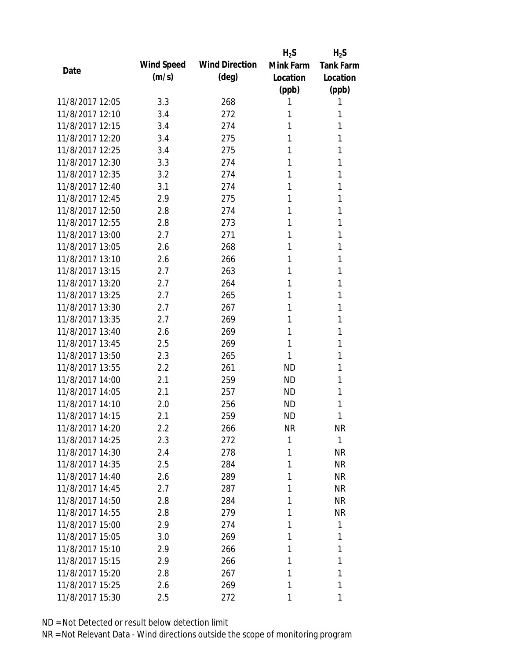|                 |            |                       | $H_2S$    | $H_2S$           |
|-----------------|------------|-----------------------|-----------|------------------|
| Date            | Wind Speed | <b>Wind Direction</b> | Mink Farm | <b>Tank Farm</b> |
|                 | (m/s)      | $(\text{deg})$        | Location  | Location         |
|                 |            |                       | (ppb)     | (ppb)            |
| 11/8/2017 12:05 | 3.3        | 268                   | 1         | 1                |
| 11/8/2017 12:10 | 3.4        | 272                   | 1         | 1                |
| 11/8/2017 12:15 | 3.4        | 274                   | 1         | 1                |
| 11/8/2017 12:20 | 3.4        | 275                   | 1         | 1                |
| 11/8/2017 12:25 | 3.4        | 275                   | 1         | 1                |
| 11/8/2017 12:30 | 3.3        | 274                   | 1         | 1                |
| 11/8/2017 12:35 | 3.2        | 274                   | 1         | 1                |
| 11/8/2017 12:40 | 3.1        | 274                   | 1         | 1                |
| 11/8/2017 12:45 | 2.9        | 275                   | 1         | 1                |
| 11/8/2017 12:50 | 2.8        | 274                   | 1         | 1                |
| 11/8/2017 12:55 | 2.8        | 273                   | 1         | 1                |
| 11/8/2017 13:00 | 2.7        | 271                   | 1         | 1                |
| 11/8/2017 13:05 | 2.6        | 268                   | 1         | 1                |
| 11/8/2017 13:10 | 2.6        | 266                   | 1         | 1                |
| 11/8/2017 13:15 | 2.7        | 263                   | 1         | 1                |
| 11/8/2017 13:20 | 2.7        | 264                   | 1         | 1                |
| 11/8/2017 13:25 | 2.7        | 265                   | 1         | 1                |
| 11/8/2017 13:30 | 2.7        | 267                   | 1         | 1                |
| 11/8/2017 13:35 | 2.7        | 269                   | 1         | 1                |
| 11/8/2017 13:40 | 2.6        | 269                   | 1         | 1                |
| 11/8/2017 13:45 | 2.5        | 269                   | 1         | 1                |
| 11/8/2017 13:50 | 2.3        | 265                   | 1         | 1                |
| 11/8/2017 13:55 | 2.2        | 261                   | <b>ND</b> | 1                |
| 11/8/2017 14:00 | 2.1        | 259                   | <b>ND</b> | 1                |
| 11/8/2017 14:05 | 2.1        | 257                   | <b>ND</b> | 1                |
| 11/8/2017 14:10 | 2.0        | 256                   | <b>ND</b> | 1                |
| 11/8/2017 14:15 | 2.1        | 259                   | <b>ND</b> | 1                |
| 11/8/2017 14:20 | $2.2\,$    | 266                   | NR        | NR               |
| 11/8/2017 14:25 | 2.3        | 272                   | 1         | $\mathbf{1}$     |
| 11/8/2017 14:30 | 2.4        | 278                   | 1         | <b>NR</b>        |
| 11/8/2017 14:35 | 2.5        | 284                   | 1         | <b>NR</b>        |
| 11/8/2017 14:40 | 2.6        | 289                   | 1         | NR               |
| 11/8/2017 14:45 | 2.7        | 287                   | 1         | <b>NR</b>        |
| 11/8/2017 14:50 | 2.8        | 284                   | 1         | <b>NR</b>        |
| 11/8/2017 14:55 | 2.8        | 279                   | 1         | <b>NR</b>        |
| 11/8/2017 15:00 | 2.9        | 274                   | 1         | 1                |
| 11/8/2017 15:05 | 3.0        | 269                   | 1         | 1                |
| 11/8/2017 15:10 | 2.9        | 266                   | 1         | 1                |
| 11/8/2017 15:15 | 2.9        | 266                   | 1         | 1                |
| 11/8/2017 15:20 | 2.8        | 267                   | 1         | 1                |
| 11/8/2017 15:25 | 2.6        | 269                   | 1         | 1                |
| 11/8/2017 15:30 | 2.5        | 272                   | 1         | 1                |
|                 |            |                       |           |                  |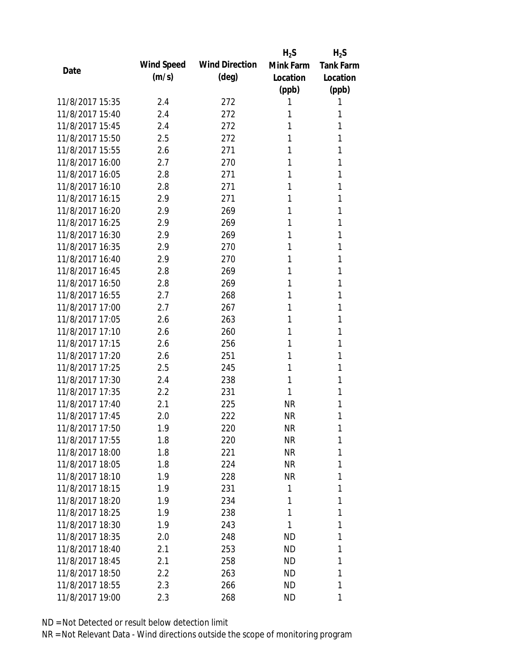|                 |                   |                       | $H_2S$    | $H_2S$           |
|-----------------|-------------------|-----------------------|-----------|------------------|
| Date            | <b>Wind Speed</b> | <b>Wind Direction</b> | Mink Farm | <b>Tank Farm</b> |
|                 | (m/s)             | $(\text{deg})$        | Location  | Location         |
|                 |                   |                       | (ppb)     | (ppb)            |
| 11/8/2017 15:35 | 2.4               | 272                   | 1         | 1                |
| 11/8/2017 15:40 | 2.4               | 272                   | 1         | 1                |
| 11/8/2017 15:45 | 2.4               | 272                   | 1         | 1                |
| 11/8/2017 15:50 | 2.5               | 272                   | 1         | 1                |
| 11/8/2017 15:55 | 2.6               | 271                   | 1         | 1                |
| 11/8/2017 16:00 | 2.7               | 270                   | 1         | 1                |
| 11/8/2017 16:05 | 2.8               | 271                   | 1         | 1                |
| 11/8/2017 16:10 | 2.8               | 271                   | 1         | 1                |
| 11/8/2017 16:15 | 2.9               | 271                   | 1         | 1                |
| 11/8/2017 16:20 | 2.9               | 269                   | 1         | 1                |
| 11/8/2017 16:25 | 2.9               | 269                   | 1         | 1                |
| 11/8/2017 16:30 | 2.9               | 269                   | 1         | 1                |
| 11/8/2017 16:35 | 2.9               | 270                   | 1         | 1                |
| 11/8/2017 16:40 | 2.9               | 270                   | 1         | 1                |
| 11/8/2017 16:45 | 2.8               | 269                   | 1         | 1                |
| 11/8/2017 16:50 | 2.8               | 269                   | 1         | 1                |
| 11/8/2017 16:55 | 2.7               | 268                   | 1         | 1                |
| 11/8/2017 17:00 | 2.7               | 267                   | 1         | 1                |
| 11/8/2017 17:05 | 2.6               | 263                   | 1         | 1                |
| 11/8/2017 17:10 | 2.6               | 260                   | 1         | 1                |
| 11/8/2017 17:15 | 2.6               | 256                   | 1         | 1                |
| 11/8/2017 17:20 | 2.6               | 251                   | 1         | 1                |
| 11/8/2017 17:25 | 2.5               | 245                   | 1         | 1                |
| 11/8/2017 17:30 | 2.4               | 238                   | 1         | 1                |
| 11/8/2017 17:35 | 2.2               | 231                   | 1         | 1                |
| 11/8/2017 17:40 | 2.1               | 225                   | <b>NR</b> | 1                |
| 11/8/2017 17:45 | 2.0               | 222                   | <b>NR</b> | 1                |
| 11/8/2017 17:50 | 1.9               | 220                   | NR        | 1                |
| 11/8/2017 17:55 | 1.8               | 220                   | NR        | 1                |
| 11/8/2017 18:00 | 1.8               | 221                   | NR        | 1                |
| 11/8/2017 18:05 | 1.8               | 224                   | NR        | 1                |
| 11/8/2017 18:10 | 1.9               | 228                   | NR        | 1                |
| 11/8/2017 18:15 | 1.9               | 231                   | 1         | 1                |
| 11/8/2017 18:20 | 1.9               | 234                   | 1         | 1                |
| 11/8/2017 18:25 | 1.9               | 238                   | 1         | 1                |
| 11/8/2017 18:30 | 1.9               | 243                   | 1         | 1                |
| 11/8/2017 18:35 | 2.0               | 248                   | ND        | 1                |
| 11/8/2017 18:40 | 2.1               | 253                   | ND        | 1                |
| 11/8/2017 18:45 | 2.1               | 258                   | <b>ND</b> | 1                |
| 11/8/2017 18:50 | 2.2               | 263                   | <b>ND</b> | 1                |
| 11/8/2017 18:55 | 2.3               | 266                   | <b>ND</b> | 1                |
| 11/8/2017 19:00 | 2.3               | 268                   | <b>ND</b> | 1                |
|                 |                   |                       |           |                  |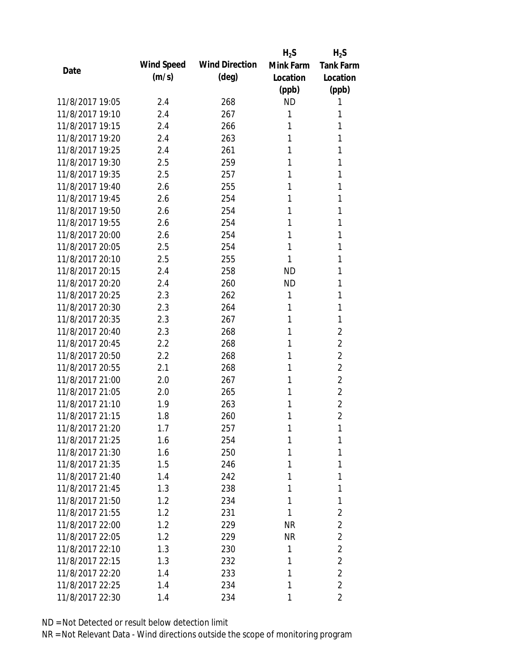|                 |            |                       | $H_2S$    | $H_2S$           |
|-----------------|------------|-----------------------|-----------|------------------|
|                 | Wind Speed | <b>Wind Direction</b> | Mink Farm | <b>Tank Farm</b> |
| Date            | (m/s)      | $(\text{deg})$        | Location  | Location         |
|                 |            |                       | (ppb)     | (ppb)            |
| 11/8/2017 19:05 | 2.4        | 268                   | <b>ND</b> | 1                |
| 11/8/2017 19:10 | 2.4        | 267                   | 1         | 1                |
| 11/8/2017 19:15 | 2.4        | 266                   | 1         | 1                |
| 11/8/2017 19:20 | 2.4        | 263                   | 1         | 1                |
| 11/8/2017 19:25 | 2.4        | 261                   | 1         | 1                |
| 11/8/2017 19:30 | 2.5        | 259                   | 1         | 1                |
| 11/8/2017 19:35 | 2.5        | 257                   | 1         | 1                |
| 11/8/2017 19:40 | 2.6        | 255                   | 1         | 1                |
| 11/8/2017 19:45 | 2.6        | 254                   | 1         | 1                |
| 11/8/2017 19:50 | 2.6        | 254                   | 1         | 1                |
| 11/8/2017 19:55 | 2.6        | 254                   | 1         | 1                |
| 11/8/2017 20:00 | 2.6        | 254                   | 1         | 1                |
| 11/8/2017 20:05 | 2.5        | 254                   | 1         | 1                |
| 11/8/2017 20:10 | 2.5        | 255                   | 1         | 1                |
| 11/8/2017 20:15 | 2.4        | 258                   | <b>ND</b> | 1                |
| 11/8/2017 20:20 | 2.4        | 260                   | <b>ND</b> | 1                |
| 11/8/2017 20:25 | 2.3        | 262                   | 1         | 1                |
| 11/8/2017 20:30 | 2.3        | 264                   | 1         | 1                |
| 11/8/2017 20:35 | 2.3        | 267                   | 1         | 1                |
| 11/8/2017 20:40 | 2.3        | 268                   | 1         | $\overline{2}$   |
| 11/8/2017 20:45 | 2.2        | 268                   | 1         | $\overline{2}$   |
| 11/8/2017 20:50 | 2.2        | 268                   | 1         | $\overline{2}$   |
| 11/8/2017 20:55 | 2.1        | 268                   | 1         | $\overline{2}$   |
| 11/8/2017 21:00 | 2.0        | 267                   | 1         | $\overline{2}$   |
| 11/8/2017 21:05 | 2.0        | 265                   | 1         | $\overline{2}$   |
| 11/8/2017 21:10 | 1.9        | 263                   | 1         | $\overline{2}$   |
| 11/8/2017 21:15 | 1.8        | 260                   | 1         | $\overline{2}$   |
| 11/8/2017 21:20 | 1.7        | 257                   | 1         | 1                |
| 11/8/2017 21:25 | 1.6        | 254                   | 1         | 1                |
| 11/8/2017 21:30 | 1.6        | 250                   | 1         | 1                |
| 11/8/2017 21:35 | 1.5        | 246                   | 1         | 1                |
| 11/8/2017 21:40 | 1.4        | 242                   | 1         | 1                |
| 11/8/2017 21:45 | 1.3        | 238                   | 1         | 1                |
| 11/8/2017 21:50 | 1.2        | 234                   | 1         | 1                |
| 11/8/2017 21:55 | 1.2        | 231                   | 1         | $\overline{2}$   |
| 11/8/2017 22:00 | 1.2        | 229                   | <b>NR</b> | $\overline{2}$   |
| 11/8/2017 22:05 | 1.2        | 229                   | <b>NR</b> | $\overline{2}$   |
| 11/8/2017 22:10 | 1.3        | 230                   | 1         | $\overline{2}$   |
| 11/8/2017 22:15 | 1.3        | 232                   | 1         | $\overline{2}$   |
| 11/8/2017 22:20 | 1.4        | 233                   | 1         | $\overline{2}$   |
| 11/8/2017 22:25 | 1.4        | 234                   | 1         | $\overline{2}$   |
| 11/8/2017 22:30 | 1.4        | 234                   | 1         | $\overline{2}$   |
|                 |            |                       |           |                  |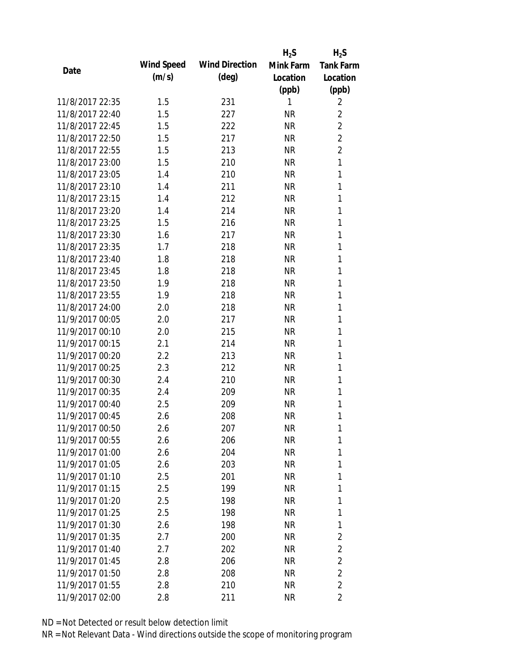|                 |                   |                       | $H_2S$    | $H_2S$           |
|-----------------|-------------------|-----------------------|-----------|------------------|
| Date            | <b>Wind Speed</b> | <b>Wind Direction</b> | Mink Farm | <b>Tank Farm</b> |
|                 | (m/s)             | $(\text{deg})$        | Location  | Location         |
|                 |                   |                       | (ppb)     | (ppb)            |
| 11/8/2017 22:35 | 1.5               | 231                   | 1         | 2                |
| 11/8/2017 22:40 | 1.5               | 227                   | <b>NR</b> | $\overline{2}$   |
| 11/8/2017 22:45 | 1.5               | 222                   | <b>NR</b> | $\overline{2}$   |
| 11/8/2017 22:50 | 1.5               | 217                   | <b>NR</b> | $\overline{2}$   |
| 11/8/2017 22:55 | 1.5               | 213                   | <b>NR</b> | $\overline{2}$   |
| 11/8/2017 23:00 | 1.5               | 210                   | <b>NR</b> | $\mathbf{1}$     |
| 11/8/2017 23:05 | 1.4               | 210                   | <b>NR</b> | 1                |
| 11/8/2017 23:10 | 1.4               | 211                   | <b>NR</b> | 1                |
| 11/8/2017 23:15 | 1.4               | 212                   | <b>NR</b> | 1                |
| 11/8/2017 23:20 | 1.4               | 214                   | <b>NR</b> | 1                |
| 11/8/2017 23:25 | 1.5               | 216                   | <b>NR</b> | 1                |
| 11/8/2017 23:30 | 1.6               | 217                   | <b>NR</b> | 1                |
| 11/8/2017 23:35 | 1.7               | 218                   | <b>NR</b> | 1                |
| 11/8/2017 23:40 | 1.8               | 218                   | <b>NR</b> | 1                |
| 11/8/2017 23:45 | 1.8               | 218                   | <b>NR</b> | 1                |
| 11/8/2017 23:50 | 1.9               | 218                   | <b>NR</b> | 1                |
| 11/8/2017 23:55 | 1.9               | 218                   | <b>NR</b> | 1                |
| 11/8/2017 24:00 | 2.0               | 218                   | <b>NR</b> | 1                |
| 11/9/2017 00:05 | 2.0               | 217                   | <b>NR</b> | 1                |
| 11/9/2017 00:10 | 2.0               | 215                   | <b>NR</b> | 1                |
| 11/9/2017 00:15 | 2.1               | 214                   | <b>NR</b> | 1                |
| 11/9/2017 00:20 | 2.2               | 213                   | <b>NR</b> | 1                |
| 11/9/2017 00:25 | 2.3               | 212                   | <b>NR</b> | 1                |
| 11/9/2017 00:30 | 2.4               | 210                   | <b>NR</b> | 1                |
| 11/9/2017 00:35 | 2.4               | 209                   | <b>NR</b> | 1                |
| 11/9/2017 00:40 | 2.5               | 209                   | <b>NR</b> | 1                |
| 11/9/2017 00:45 | 2.6               | 208                   | <b>NR</b> | 1                |
| 11/9/2017 00:50 | 2.6               | 207                   | <b>NR</b> | 1                |
| 11/9/2017 00:55 | 2.6               | 206                   | <b>NR</b> | 1                |
| 11/9/2017 01:00 | 2.6               | 204                   | <b>NR</b> | 1                |
| 11/9/2017 01:05 | 2.6               | 203                   | <b>NR</b> | 1                |
| 11/9/2017 01:10 | 2.5               | 201                   | <b>NR</b> | 1                |
| 11/9/2017 01:15 | 2.5               | 199                   | NR        | 1                |
| 11/9/2017 01:20 | 2.5               | 198                   | <b>NR</b> | 1                |
| 11/9/2017 01:25 | 2.5               | 198                   | NR        | 1                |
| 11/9/2017 01:30 | 2.6               | 198                   | <b>NR</b> | 1                |
| 11/9/2017 01:35 | 2.7               | 200                   | NR        | 2                |
| 11/9/2017 01:40 | 2.7               | 202                   | NR        | $\overline{2}$   |
| 11/9/2017 01:45 | 2.8               | 206                   | <b>NR</b> | $\overline{2}$   |
| 11/9/2017 01:50 | 2.8               | 208                   | <b>NR</b> | $\overline{2}$   |
| 11/9/2017 01:55 | 2.8               | 210                   | <b>NR</b> | $\overline{2}$   |
| 11/9/2017 02:00 | 2.8               | 211                   | <b>NR</b> | 2                |
|                 |                   |                       |           |                  |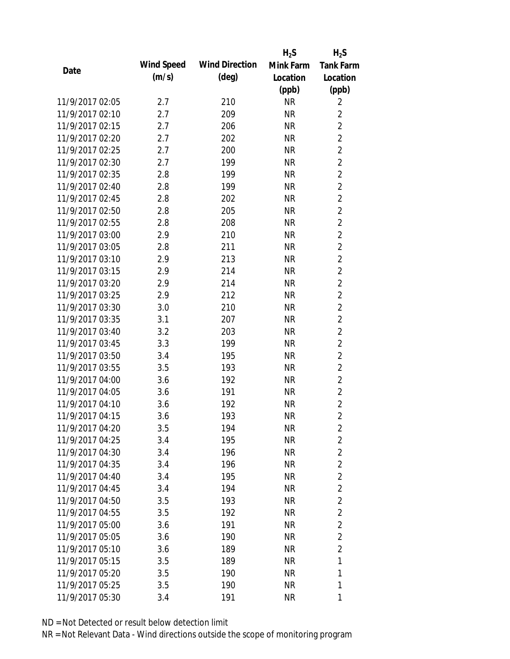|                 |                   |                       | $H_2S$    | $H_2S$           |
|-----------------|-------------------|-----------------------|-----------|------------------|
| Date            | <b>Wind Speed</b> | <b>Wind Direction</b> | Mink Farm | <b>Tank Farm</b> |
|                 | (m/s)             | $(\text{deg})$        | Location  | Location         |
|                 |                   |                       | (ppb)     | (ppb)            |
| 11/9/2017 02:05 | 2.7               | 210                   | <b>NR</b> | 2                |
| 11/9/2017 02:10 | 2.7               | 209                   | <b>NR</b> | $\overline{2}$   |
| 11/9/2017 02:15 | 2.7               | 206                   | <b>NR</b> | $\overline{2}$   |
| 11/9/2017 02:20 | 2.7               | 202                   | <b>NR</b> | $\overline{2}$   |
| 11/9/2017 02:25 | 2.7               | 200                   | <b>NR</b> | $\overline{2}$   |
| 11/9/2017 02:30 | 2.7               | 199                   | <b>NR</b> | $\overline{2}$   |
| 11/9/2017 02:35 | 2.8               | 199                   | <b>NR</b> | $\overline{2}$   |
| 11/9/2017 02:40 | 2.8               | 199                   | <b>NR</b> | $\overline{2}$   |
| 11/9/2017 02:45 | 2.8               | 202                   | <b>NR</b> | $\overline{2}$   |
| 11/9/2017 02:50 | 2.8               | 205                   | <b>NR</b> | $\overline{2}$   |
| 11/9/2017 02:55 | 2.8               | 208                   | <b>NR</b> | $\overline{2}$   |
| 11/9/2017 03:00 | 2.9               | 210                   | <b>NR</b> | $\overline{2}$   |
| 11/9/2017 03:05 | 2.8               | 211                   | <b>NR</b> | $\overline{2}$   |
| 11/9/2017 03:10 | 2.9               | 213                   | <b>NR</b> | $\overline{2}$   |
| 11/9/2017 03:15 | 2.9               | 214                   | <b>NR</b> | $\overline{2}$   |
| 11/9/2017 03:20 | 2.9               | 214                   | <b>NR</b> | $\overline{2}$   |
| 11/9/2017 03:25 | 2.9               | 212                   | <b>NR</b> | $\overline{2}$   |
| 11/9/2017 03:30 | 3.0               | 210                   | <b>NR</b> | $\overline{2}$   |
| 11/9/2017 03:35 | 3.1               | 207                   | <b>NR</b> | $\overline{2}$   |
| 11/9/2017 03:40 | 3.2               | 203                   | <b>NR</b> | $\overline{2}$   |
| 11/9/2017 03:45 | 3.3               | 199                   | <b>NR</b> | $\overline{2}$   |
| 11/9/2017 03:50 | 3.4               | 195                   | <b>NR</b> | $\overline{2}$   |
| 11/9/2017 03:55 | 3.5               | 193                   | <b>NR</b> | $\overline{2}$   |
| 11/9/2017 04:00 | 3.6               | 192                   | <b>NR</b> | $\overline{2}$   |
| 11/9/2017 04:05 | 3.6               | 191                   | <b>NR</b> | $\overline{2}$   |
| 11/9/2017 04:10 | 3.6               | 192                   | <b>NR</b> | $\overline{2}$   |
| 11/9/2017 04:15 | 3.6               | 193                   | <b>NR</b> | $\overline{2}$   |
| 11/9/2017 04:20 | 3.5               | 194                   | NR        | $\overline{2}$   |
| 11/9/2017 04:25 | 3.4               | 195                   | <b>NR</b> | $\overline{2}$   |
| 11/9/2017 04:30 | 3.4               | 196                   | NR        | $\overline{2}$   |
| 11/9/2017 04:35 | 3.4               | 196                   | NR        | $\overline{2}$   |
| 11/9/2017 04:40 | 3.4               | 195                   | NR        | $\overline{2}$   |
| 11/9/2017 04:45 | 3.4               | 194                   | NR        | $\overline{2}$   |
| 11/9/2017 04:50 | 3.5               | 193                   | <b>NR</b> | $\overline{2}$   |
| 11/9/2017 04:55 | 3.5               | 192                   | NR        | $\overline{2}$   |
| 11/9/2017 05:00 | 3.6               | 191                   | <b>NR</b> | $\overline{2}$   |
| 11/9/2017 05:05 | 3.6               | 190                   | NR        | $\overline{2}$   |
| 11/9/2017 05:10 | 3.6               | 189                   | NR        | $\overline{2}$   |
| 11/9/2017 05:15 | 3.5               | 189                   | NR        | 1                |
| 11/9/2017 05:20 | 3.5               | 190                   | NR        | 1                |
| 11/9/2017 05:25 | 3.5               | 190                   | <b>NR</b> | 1                |
| 11/9/2017 05:30 | 3.4               | 191                   | <b>NR</b> | 1                |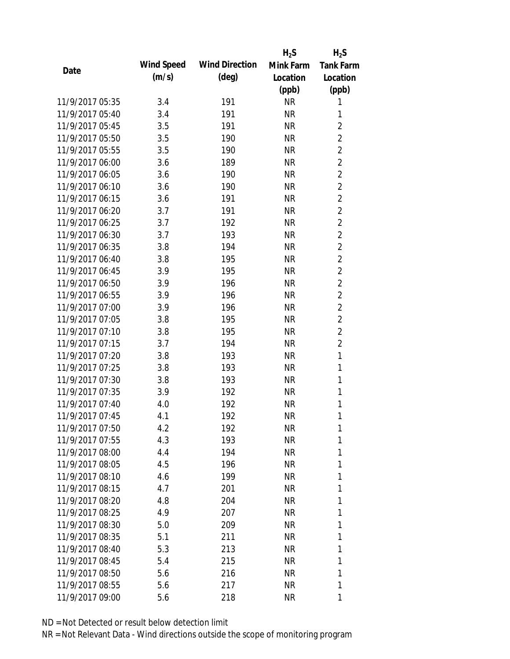|                 |                   |                       | $H_2S$    | $H_2S$           |
|-----------------|-------------------|-----------------------|-----------|------------------|
| Date            | <b>Wind Speed</b> | <b>Wind Direction</b> | Mink Farm | <b>Tank Farm</b> |
|                 | (m/s)             | $(\text{deg})$        | Location  | Location         |
|                 |                   |                       | (ppb)     | (ppb)            |
| 11/9/2017 05:35 | 3.4               | 191                   | <b>NR</b> | 1                |
| 11/9/2017 05:40 | 3.4               | 191                   | <b>NR</b> | 1                |
| 11/9/2017 05:45 | 3.5               | 191                   | <b>NR</b> | $\sqrt{2}$       |
| 11/9/2017 05:50 | 3.5               | 190                   | <b>NR</b> | $\sqrt{2}$       |
| 11/9/2017 05:55 | 3.5               | 190                   | <b>NR</b> | $\overline{2}$   |
| 11/9/2017 06:00 | 3.6               | 189                   | <b>NR</b> | $\sqrt{2}$       |
| 11/9/2017 06:05 | 3.6               | 190                   | <b>NR</b> | $\overline{2}$   |
| 11/9/2017 06:10 | 3.6               | 190                   | <b>NR</b> | $\overline{2}$   |
| 11/9/2017 06:15 | 3.6               | 191                   | <b>NR</b> | $\overline{2}$   |
| 11/9/2017 06:20 | 3.7               | 191                   | <b>NR</b> | $\overline{2}$   |
| 11/9/2017 06:25 | 3.7               | 192                   | <b>NR</b> | $\overline{2}$   |
| 11/9/2017 06:30 | 3.7               | 193                   | <b>NR</b> | $\overline{2}$   |
| 11/9/2017 06:35 | 3.8               | 194                   | <b>NR</b> | $\overline{2}$   |
| 11/9/2017 06:40 | 3.8               | 195                   | <b>NR</b> | $\overline{2}$   |
| 11/9/2017 06:45 | 3.9               | 195                   | <b>NR</b> | $\overline{2}$   |
| 11/9/2017 06:50 | 3.9               | 196                   | <b>NR</b> | $\sqrt{2}$       |
| 11/9/2017 06:55 | 3.9               | 196                   | <b>NR</b> | $\sqrt{2}$       |
| 11/9/2017 07:00 | 3.9               | 196                   | <b>NR</b> | $\overline{2}$   |
| 11/9/2017 07:05 | 3.8               | 195                   | <b>NR</b> | $\overline{2}$   |
| 11/9/2017 07:10 | 3.8               | 195                   | <b>NR</b> | $\overline{2}$   |
| 11/9/2017 07:15 | 3.7               | 194                   | <b>NR</b> | $\overline{2}$   |
| 11/9/2017 07:20 | 3.8               | 193                   | <b>NR</b> | $\mathbf{1}$     |
| 11/9/2017 07:25 | 3.8               | 193                   | <b>NR</b> | $\mathbf{1}$     |
| 11/9/2017 07:30 | 3.8               | 193                   | <b>NR</b> | 1                |
| 11/9/2017 07:35 | 3.9               | 192                   | <b>NR</b> | 1                |
| 11/9/2017 07:40 | 4.0               | 192                   | <b>NR</b> | $\mathbf{1}$     |
| 11/9/2017 07:45 | 4.1               | 192                   | <b>NR</b> | 1                |
| 11/9/2017 07:50 | 4.2               | 192                   | NR        | 1                |
| 11/9/2017 07:55 | 4.3               | 193                   | <b>NR</b> | 1                |
| 11/9/2017 08:00 | 4.4               | 194                   | NR        | 1                |
| 11/9/2017 08:05 | 4.5               | 196                   | NR        | 1                |
| 11/9/2017 08:10 | 4.6               | 199                   | <b>NR</b> | 1                |
| 11/9/2017 08:15 | 4.7               | 201                   | NR        | 1                |
| 11/9/2017 08:20 | 4.8               | 204                   | <b>NR</b> | 1                |
| 11/9/2017 08:25 | 4.9               | 207                   | NR        | 1                |
| 11/9/2017 08:30 | 5.0               | 209                   | <b>NR</b> | 1                |
| 11/9/2017 08:35 | 5.1               | 211                   | NR        | 1                |
| 11/9/2017 08:40 | 5.3               | 213                   | NR        | 1                |
| 11/9/2017 08:45 | 5.4               | 215                   | NR        | 1                |
| 11/9/2017 08:50 | 5.6               | 216                   | NR        | 1                |
| 11/9/2017 08:55 | 5.6               | 217                   | <b>NR</b> | 1                |
| 11/9/2017 09:00 | 5.6               | 218                   | <b>NR</b> | 1                |
|                 |                   |                       |           |                  |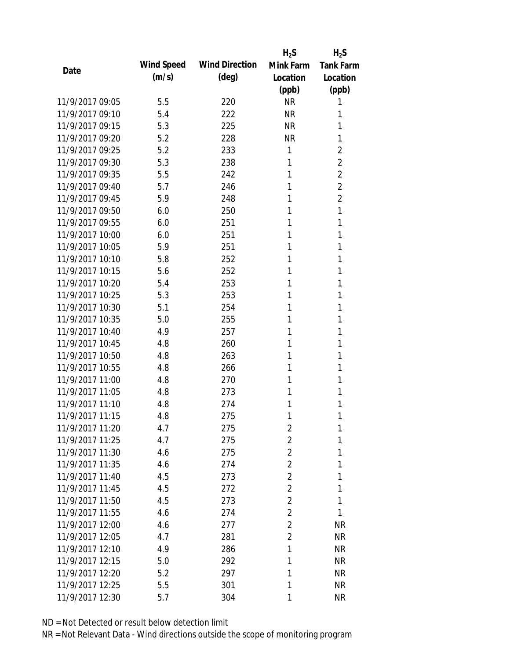|                 |            |                       | $H_2S$         | $H_2S$           |
|-----------------|------------|-----------------------|----------------|------------------|
| Date            | Wind Speed | <b>Wind Direction</b> | Mink Farm      | <b>Tank Farm</b> |
|                 | (m/s)      | $(\text{deg})$        | Location       | Location         |
|                 |            |                       | (ppb)          | (ppb)            |
| 11/9/2017 09:05 | 5.5        | 220                   | <b>NR</b>      | 1                |
| 11/9/2017 09:10 | 5.4        | 222                   | <b>NR</b>      | 1                |
| 11/9/2017 09:15 | 5.3        | 225                   | <b>NR</b>      | 1                |
| 11/9/2017 09:20 | 5.2        | 228                   | <b>NR</b>      | 1                |
| 11/9/2017 09:25 | 5.2        | 233                   | 1              | $\overline{2}$   |
| 11/9/2017 09:30 | 5.3        | 238                   | 1              | $\overline{2}$   |
| 11/9/2017 09:35 | 5.5        | 242                   | 1              | $\overline{2}$   |
| 11/9/2017 09:40 | 5.7        | 246                   | 1              | $\overline{2}$   |
| 11/9/2017 09:45 | 5.9        | 248                   | 1              | $\overline{2}$   |
| 11/9/2017 09:50 | 6.0        | 250                   | 1              | 1                |
| 11/9/2017 09:55 | 6.0        | 251                   | 1              | 1                |
| 11/9/2017 10:00 | 6.0        | 251                   | 1              | 1                |
| 11/9/2017 10:05 | 5.9        | 251                   | 1              | 1                |
| 11/9/2017 10:10 | 5.8        | 252                   | 1              | 1                |
| 11/9/2017 10:15 | 5.6        | 252                   | 1              | 1                |
| 11/9/2017 10:20 | 5.4        | 253                   | 1              | 1                |
| 11/9/2017 10:25 | 5.3        | 253                   | 1              | 1                |
| 11/9/2017 10:30 | 5.1        | 254                   | 1              | 1                |
| 11/9/2017 10:35 | 5.0        | 255                   | 1              | 1                |
| 11/9/2017 10:40 | 4.9        | 257                   | 1              | 1                |
| 11/9/2017 10:45 | 4.8        | 260                   | 1              | 1                |
| 11/9/2017 10:50 | 4.8        | 263                   | 1              | 1                |
| 11/9/2017 10:55 | 4.8        | 266                   | 1              | 1                |
| 11/9/2017 11:00 | 4.8        | 270                   | 1              | 1                |
| 11/9/2017 11:05 | 4.8        | 273                   | 1              | 1                |
| 11/9/2017 11:10 | 4.8        | 274                   | 1              | 1                |
| 11/9/2017 11:15 | 4.8        | 275                   | 1              | 1                |
| 11/9/2017 11:20 | 4.7        | 275                   | $\overline{2}$ | 1                |
| 11/9/2017 11:25 | 4.7        | 275                   | $\overline{2}$ | 1                |
| 11/9/2017 11:30 | 4.6        | 275                   | $\overline{2}$ | 1                |
| 11/9/2017 11:35 | 4.6        | 274                   | $\overline{2}$ | 1                |
| 11/9/2017 11:40 | 4.5        | 273                   | $\overline{2}$ | 1                |
| 11/9/2017 11:45 | 4.5        | 272                   | $\overline{2}$ | 1                |
| 11/9/2017 11:50 | 4.5        | 273                   | $\overline{2}$ | 1                |
| 11/9/2017 11:55 | 4.6        | 274                   | $\overline{2}$ | 1                |
| 11/9/2017 12:00 | 4.6        | 277                   | $\overline{2}$ | <b>NR</b>        |
| 11/9/2017 12:05 | 4.7        | 281                   | $\overline{2}$ | <b>NR</b>        |
| 11/9/2017 12:10 | 4.9        | 286                   | 1              | <b>NR</b>        |
| 11/9/2017 12:15 | 5.0        | 292                   | 1              | <b>NR</b>        |
| 11/9/2017 12:20 | 5.2        | 297                   | 1              | <b>NR</b>        |
| 11/9/2017 12:25 | 5.5        | 301                   | 1              | <b>NR</b>        |
| 11/9/2017 12:30 | 5.7        | 304                   | 1              | <b>NR</b>        |
|                 |            |                       |                |                  |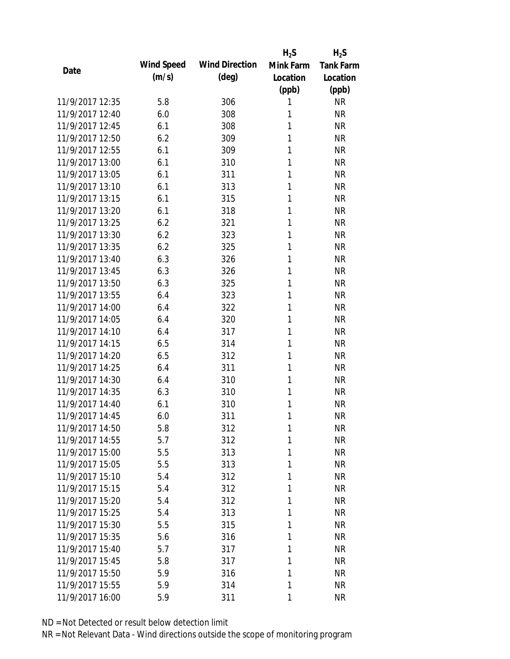|                 |            |                       | $H_2S$    | $H_2S$           |
|-----------------|------------|-----------------------|-----------|------------------|
| Date            | Wind Speed | <b>Wind Direction</b> | Mink Farm | <b>Tank Farm</b> |
|                 | (m/s)      | $(\text{deg})$        | Location  | Location         |
|                 |            |                       | (ppb)     | (ppb)            |
| 11/9/2017 12:35 | 5.8        | 306                   | 1         | <b>NR</b>        |
| 11/9/2017 12:40 | 6.0        | 308                   | 1         | <b>NR</b>        |
| 11/9/2017 12:45 | 6.1        | 308                   | 1         | <b>NR</b>        |
| 11/9/2017 12:50 | 6.2        | 309                   | 1         | <b>NR</b>        |
| 11/9/2017 12:55 | 6.1        | 309                   | 1         | <b>NR</b>        |
| 11/9/2017 13:00 | 6.1        | 310                   | 1         | <b>NR</b>        |
| 11/9/2017 13:05 | 6.1        | 311                   | 1         | <b>NR</b>        |
| 11/9/2017 13:10 | 6.1        | 313                   | 1         | <b>NR</b>        |
| 11/9/2017 13:15 | 6.1        | 315                   | 1         | <b>NR</b>        |
| 11/9/2017 13:20 | 6.1        | 318                   | 1         | <b>NR</b>        |
| 11/9/2017 13:25 | 6.2        | 321                   | 1         | <b>NR</b>        |
| 11/9/2017 13:30 | 6.2        | 323                   | 1         | <b>NR</b>        |
| 11/9/2017 13:35 | 6.2        | 325                   | 1         | <b>NR</b>        |
| 11/9/2017 13:40 | 6.3        | 326                   | 1         | <b>NR</b>        |
| 11/9/2017 13:45 | 6.3        | 326                   | 1         | <b>NR</b>        |
| 11/9/2017 13:50 | 6.3        | 325                   | 1         | <b>NR</b>        |
| 11/9/2017 13:55 | 6.4        | 323                   | 1         | <b>NR</b>        |
| 11/9/2017 14:00 | 6.4        | 322                   | 1         | <b>NR</b>        |
| 11/9/2017 14:05 | 6.4        | 320                   | 1         | <b>NR</b>        |
| 11/9/2017 14:10 | 6.4        | 317                   | 1         | <b>NR</b>        |
| 11/9/2017 14:15 | 6.5        | 314                   | 1         | <b>NR</b>        |
| 11/9/2017 14:20 | 6.5        | 312                   | 1         | <b>NR</b>        |
| 11/9/2017 14:25 | 6.4        | 311                   | 1         | <b>NR</b>        |
| 11/9/2017 14:30 | 6.4        | 310                   | 1         | <b>NR</b>        |
| 11/9/2017 14:35 | 6.3        | 310                   | 1         | <b>NR</b>        |
| 11/9/2017 14:40 | 6.1        | 310                   | 1         | <b>NR</b>        |
| 11/9/2017 14:45 | 6.0        | 311                   | 1         | <b>NR</b>        |
| 11/9/2017 14:50 | 5.8        | 312                   | 1         | NR               |
| 11/9/2017 14:55 | 5.7        | 312                   | 1         | <b>NR</b>        |
| 11/9/2017 15:00 | 5.5        | 313                   | 1         | <b>NR</b>        |
| 11/9/2017 15:05 | 5.5        | 313                   | 1         | <b>NR</b>        |
| 11/9/2017 15:10 | 5.4        | 312                   | 1         | <b>NR</b>        |
| 11/9/2017 15:15 | 5.4        | 312                   | 1         | <b>NR</b>        |
| 11/9/2017 15:20 | 5.4        | 312                   | 1         | <b>NR</b>        |
| 11/9/2017 15:25 | 5.4        | 313                   | 1         | <b>NR</b>        |
| 11/9/2017 15:30 | 5.5        | 315                   | 1         | <b>NR</b>        |
| 11/9/2017 15:35 | 5.6        | 316                   | 1         | <b>NR</b>        |
| 11/9/2017 15:40 | 5.7        | 317                   | 1         | <b>NR</b>        |
| 11/9/2017 15:45 | 5.8        | 317                   | 1         | <b>NR</b>        |
| 11/9/2017 15:50 | 5.9        | 316                   | 1         | <b>NR</b>        |
| 11/9/2017 15:55 | 5.9        | 314                   | 1         | <b>NR</b>        |
| 11/9/2017 16:00 | 5.9        | 311                   | 1         | <b>NR</b>        |
|                 |            |                       |           |                  |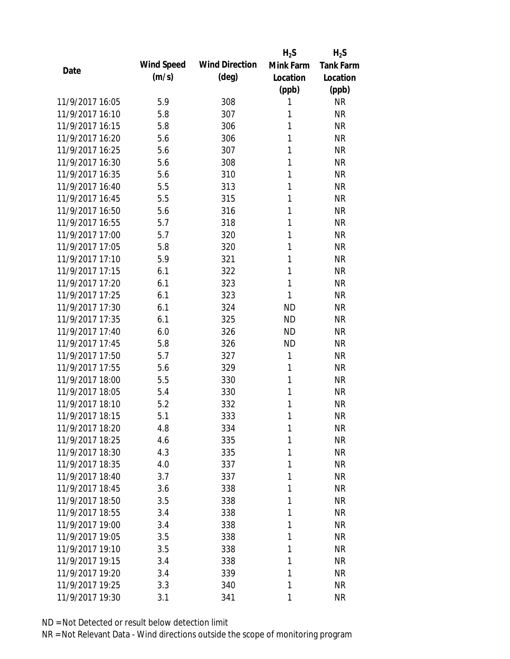|                 |            |                       | $H_2S$    | $H_2S$           |
|-----------------|------------|-----------------------|-----------|------------------|
| Date            | Wind Speed | <b>Wind Direction</b> | Mink Farm | <b>Tank Farm</b> |
|                 | (m/s)      | $(\text{deg})$        | Location  | Location         |
|                 |            |                       | (ppb)     | (ppb)            |
| 11/9/2017 16:05 | 5.9        | 308                   | 1         | <b>NR</b>        |
| 11/9/2017 16:10 | 5.8        | 307                   | 1         | <b>NR</b>        |
| 11/9/2017 16:15 | 5.8        | 306                   | 1         | <b>NR</b>        |
| 11/9/2017 16:20 | 5.6        | 306                   | 1         | <b>NR</b>        |
| 11/9/2017 16:25 | 5.6        | 307                   | 1         | <b>NR</b>        |
| 11/9/2017 16:30 | 5.6        | 308                   | 1         | <b>NR</b>        |
| 11/9/2017 16:35 | 5.6        | 310                   | 1         | <b>NR</b>        |
| 11/9/2017 16:40 | 5.5        | 313                   | 1         | <b>NR</b>        |
| 11/9/2017 16:45 | 5.5        | 315                   | 1         | <b>NR</b>        |
| 11/9/2017 16:50 | 5.6        | 316                   | 1         | <b>NR</b>        |
| 11/9/2017 16:55 | 5.7        | 318                   | 1         | <b>NR</b>        |
| 11/9/2017 17:00 | 5.7        | 320                   | 1         | <b>NR</b>        |
| 11/9/2017 17:05 | 5.8        | 320                   | 1         | <b>NR</b>        |
| 11/9/2017 17:10 | 5.9        | 321                   | 1         | <b>NR</b>        |
| 11/9/2017 17:15 | 6.1        | 322                   | 1         | <b>NR</b>        |
| 11/9/2017 17:20 | 6.1        | 323                   | 1         | <b>NR</b>        |
| 11/9/2017 17:25 | 6.1        | 323                   | 1         | <b>NR</b>        |
| 11/9/2017 17:30 | 6.1        | 324                   | <b>ND</b> | <b>NR</b>        |
| 11/9/2017 17:35 | 6.1        | 325                   | <b>ND</b> | <b>NR</b>        |
| 11/9/2017 17:40 | 6.0        | 326                   | <b>ND</b> | <b>NR</b>        |
| 11/9/2017 17:45 | 5.8        | 326                   | <b>ND</b> | <b>NR</b>        |
| 11/9/2017 17:50 | 5.7        | 327                   | 1         | <b>NR</b>        |
| 11/9/2017 17:55 | 5.6        | 329                   | 1         | <b>NR</b>        |
| 11/9/2017 18:00 | 5.5        | 330                   | 1         | <b>NR</b>        |
| 11/9/2017 18:05 | 5.4        | 330                   | 1         | <b>NR</b>        |
| 11/9/2017 18:10 | 5.2        | 332                   | 1         | <b>NR</b>        |
| 11/9/2017 18:15 | 5.1        | 333                   | 1         | <b>NR</b>        |
| 11/9/2017 18:20 | 4.8        | 334                   | 1         | NR               |
| 11/9/2017 18:25 | 4.6        | 335                   | 1         | <b>NR</b>        |
| 11/9/2017 18:30 | 4.3        | 335                   | 1         | <b>NR</b>        |
| 11/9/2017 18:35 | 4.0        | 337                   | 1         | <b>NR</b>        |
| 11/9/2017 18:40 | 3.7        | 337                   | 1         | <b>NR</b>        |
| 11/9/2017 18:45 | 3.6        | 338                   | 1         | <b>NR</b>        |
| 11/9/2017 18:50 | 3.5        | 338                   | 1         | <b>NR</b>        |
| 11/9/2017 18:55 | 3.4        | 338                   | 1         | <b>NR</b>        |
| 11/9/2017 19:00 | 3.4        | 338                   | 1         | <b>NR</b>        |
| 11/9/2017 19:05 | 3.5        | 338                   | 1         | <b>NR</b>        |
| 11/9/2017 19:10 | 3.5        | 338                   | 1         | <b>NR</b>        |
| 11/9/2017 19:15 | 3.4        | 338                   | 1         | <b>NR</b>        |
| 11/9/2017 19:20 | 3.4        | 339                   | 1         | <b>NR</b>        |
| 11/9/2017 19:25 | 3.3        | 340                   | 1         | <b>NR</b>        |
| 11/9/2017 19:30 | 3.1        | 341                   | 1         | <b>NR</b>        |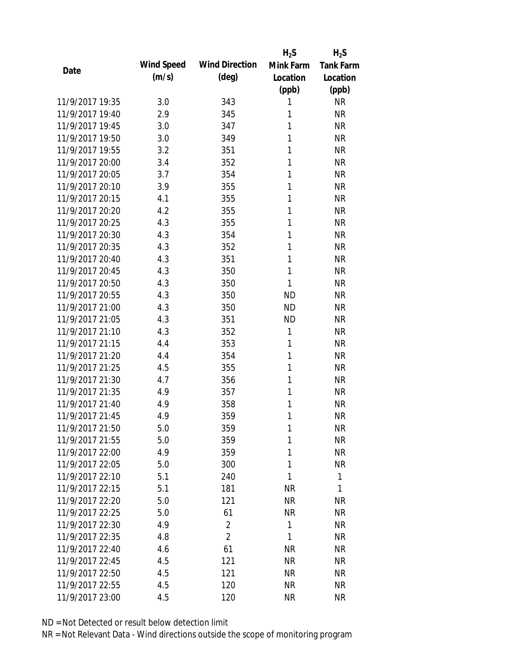|                 |            |                       | $H_2S$    | $H_2S$           |
|-----------------|------------|-----------------------|-----------|------------------|
| Date            | Wind Speed | <b>Wind Direction</b> | Mink Farm | <b>Tank Farm</b> |
|                 | (m/s)      | $(\text{deg})$        | Location  | Location         |
|                 |            |                       | (ppb)     | (ppb)            |
| 11/9/2017 19:35 | 3.0        | 343                   | 1         | <b>NR</b>        |
| 11/9/2017 19:40 | 2.9        | 345                   | 1         | <b>NR</b>        |
| 11/9/2017 19:45 | 3.0        | 347                   | 1         | <b>NR</b>        |
| 11/9/2017 19:50 | 3.0        | 349                   | 1         | <b>NR</b>        |
| 11/9/2017 19:55 | 3.2        | 351                   | 1         | <b>NR</b>        |
| 11/9/2017 20:00 | 3.4        | 352                   | 1         | <b>NR</b>        |
| 11/9/2017 20:05 | 3.7        | 354                   | 1         | <b>NR</b>        |
| 11/9/2017 20:10 | 3.9        | 355                   | 1         | <b>NR</b>        |
| 11/9/2017 20:15 | 4.1        | 355                   | 1         | <b>NR</b>        |
| 11/9/2017 20:20 | 4.2        | 355                   | 1         | <b>NR</b>        |
| 11/9/2017 20:25 | 4.3        | 355                   | 1         | <b>NR</b>        |
| 11/9/2017 20:30 | 4.3        | 354                   | 1         | <b>NR</b>        |
| 11/9/2017 20:35 | 4.3        | 352                   | 1         | <b>NR</b>        |
| 11/9/2017 20:40 | 4.3        | 351                   | 1         | <b>NR</b>        |
| 11/9/2017 20:45 | 4.3        | 350                   | 1         | <b>NR</b>        |
| 11/9/2017 20:50 | 4.3        | 350                   | 1         | <b>NR</b>        |
| 11/9/2017 20:55 | 4.3        | 350                   | <b>ND</b> | <b>NR</b>        |
| 11/9/2017 21:00 | 4.3        | 350                   | <b>ND</b> | <b>NR</b>        |
| 11/9/2017 21:05 | 4.3        | 351                   | <b>ND</b> | <b>NR</b>        |
| 11/9/2017 21:10 | 4.3        | 352                   | 1         | <b>NR</b>        |
| 11/9/2017 21:15 | 4.4        | 353                   | 1         | <b>NR</b>        |
| 11/9/2017 21:20 | 4.4        | 354                   | 1         | <b>NR</b>        |
| 11/9/2017 21:25 | 4.5        | 355                   | 1         | <b>NR</b>        |
| 11/9/2017 21:30 | 4.7        | 356                   | 1         | <b>NR</b>        |
| 11/9/2017 21:35 | 4.9        | 357                   | 1         | <b>NR</b>        |
| 11/9/2017 21:40 | 4.9        | 358                   | 1         | <b>NR</b>        |
| 11/9/2017 21:45 | 4.9        | 359                   | 1         | <b>NR</b>        |
| 11/9/2017 21:50 | 5.0        | 359                   | 1         | NR               |
| 11/9/2017 21:55 | 5.0        | 359                   | 1         | <b>NR</b>        |
| 11/9/2017 22:00 | 4.9        | 359                   | 1         | <b>NR</b>        |
| 11/9/2017 22:05 | 5.0        | 300                   | 1         | <b>NR</b>        |
| 11/9/2017 22:10 | 5.1        | 240                   | 1         | 1                |
| 11/9/2017 22:15 | 5.1        | 181                   | <b>NR</b> | 1                |
| 11/9/2017 22:20 | 5.0        | 121                   | <b>NR</b> | <b>NR</b>        |
| 11/9/2017 22:25 | 5.0        | 61                    | <b>NR</b> | <b>NR</b>        |
| 11/9/2017 22:30 | 4.9        | $\overline{2}$        | 1         | <b>NR</b>        |
| 11/9/2017 22:35 | 4.8        | $\overline{2}$        | 1         | <b>NR</b>        |
| 11/9/2017 22:40 | 4.6        | 61                    | <b>NR</b> | <b>NR</b>        |
| 11/9/2017 22:45 | 4.5        | 121                   | <b>NR</b> | <b>NR</b>        |
| 11/9/2017 22:50 | 4.5        | 121                   | NR        | <b>NR</b>        |
| 11/9/2017 22:55 | 4.5        | 120                   | <b>NR</b> | <b>NR</b>        |
| 11/9/2017 23:00 | 4.5        | 120                   | <b>NR</b> | <b>NR</b>        |
|                 |            |                       |           |                  |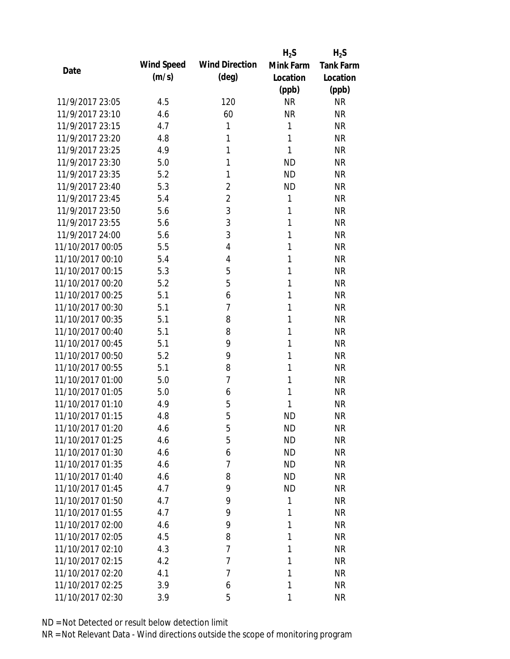|                  |            |                       | $H_2S$    | $H_2S$           |
|------------------|------------|-----------------------|-----------|------------------|
| Date             | Wind Speed | <b>Wind Direction</b> | Mink Farm | <b>Tank Farm</b> |
|                  | (m/s)      | $(\text{deg})$        | Location  | Location         |
|                  |            |                       | (ppb)     | (ppb)            |
| 11/9/2017 23:05  | 4.5        | 120                   | <b>NR</b> | <b>NR</b>        |
| 11/9/2017 23:10  | 4.6        | 60                    | <b>NR</b> | <b>NR</b>        |
| 11/9/2017 23:15  | 4.7        | 1                     | 1         | <b>NR</b>        |
| 11/9/2017 23:20  | 4.8        | 1                     | 1         | <b>NR</b>        |
| 11/9/2017 23:25  | 4.9        | 1                     | 1         | <b>NR</b>        |
| 11/9/2017 23:30  | 5.0        | 1                     | <b>ND</b> | <b>NR</b>        |
| 11/9/2017 23:35  | 5.2        | 1                     | <b>ND</b> | <b>NR</b>        |
| 11/9/2017 23:40  | 5.3        | $\overline{2}$        | <b>ND</b> | <b>NR</b>        |
| 11/9/2017 23:45  | 5.4        | $\overline{2}$        | 1         | <b>NR</b>        |
| 11/9/2017 23:50  | 5.6        | 3                     | 1         | <b>NR</b>        |
| 11/9/2017 23:55  | 5.6        | 3                     | 1         | <b>NR</b>        |
| 11/9/2017 24:00  | 5.6        | 3                     | 1         | <b>NR</b>        |
| 11/10/2017 00:05 | 5.5        | 4                     | 1         | <b>NR</b>        |
| 11/10/2017 00:10 | 5.4        | 4                     | 1         | <b>NR</b>        |
| 11/10/2017 00:15 | 5.3        | 5                     | 1         | <b>NR</b>        |
| 11/10/2017 00:20 | 5.2        | 5                     | 1         | <b>NR</b>        |
| 11/10/2017 00:25 | 5.1        | 6                     | 1         | <b>NR</b>        |
| 11/10/2017 00:30 | 5.1        | 7                     | 1         | <b>NR</b>        |
| 11/10/2017 00:35 | 5.1        | 8                     | 1         | <b>NR</b>        |
| 11/10/2017 00:40 | 5.1        | 8                     | 1         | <b>NR</b>        |
| 11/10/2017 00:45 | 5.1        | 9                     | 1         | <b>NR</b>        |
| 11/10/2017 00:50 | 5.2        | 9                     | 1         | <b>NR</b>        |
| 11/10/2017 00:55 | 5.1        | 8                     | 1         | <b>NR</b>        |
| 11/10/2017 01:00 | 5.0        | 7                     | 1         | <b>NR</b>        |
| 11/10/2017 01:05 | 5.0        | 6                     | 1         | <b>NR</b>        |
| 11/10/2017 01:10 | 4.9        | 5                     | 1         | <b>NR</b>        |
| 11/10/2017 01:15 | 4.8        | 5                     | <b>ND</b> | <b>NR</b>        |
| 11/10/2017 01:20 | 4.6        | 5                     | <b>ND</b> | <b>NR</b>        |
| 11/10/2017 01:25 | 4.6        | 5                     | <b>ND</b> | <b>NR</b>        |
| 11/10/2017 01:30 | 4.6        | 6                     | <b>ND</b> | <b>NR</b>        |
| 11/10/2017 01:35 | 4.6        | 7                     | <b>ND</b> | <b>NR</b>        |
| 11/10/2017 01:40 | 4.6        | 8                     | <b>ND</b> | <b>NR</b>        |
| 11/10/2017 01:45 | 4.7        | 9                     | <b>ND</b> | <b>NR</b>        |
| 11/10/2017 01:50 | 4.7        | 9                     | 1         | <b>NR</b>        |
| 11/10/2017 01:55 | 4.7        | 9                     | 1         | <b>NR</b>        |
| 11/10/2017 02:00 | 4.6        | 9                     | 1         | <b>NR</b>        |
| 11/10/2017 02:05 | 4.5        | 8                     | 1         | <b>NR</b>        |
| 11/10/2017 02:10 | 4.3        | 7                     | 1         | <b>NR</b>        |
| 11/10/2017 02:15 | 4.2        | 7                     | 1         | <b>NR</b>        |
| 11/10/2017 02:20 | 4.1        | 7                     | 1         | <b>NR</b>        |
| 11/10/2017 02:25 | 3.9        | 6                     | 1         | <b>NR</b>        |
| 11/10/2017 02:30 | 3.9        | 5                     | 1         | <b>NR</b>        |
|                  |            |                       |           |                  |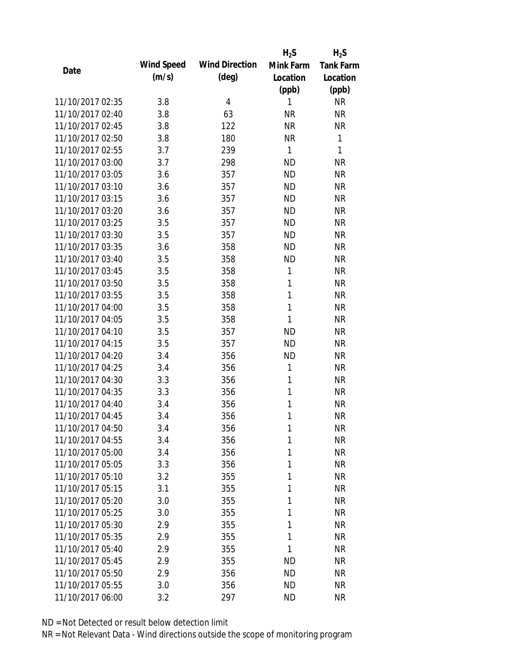|                  |            |                       | $H_2S$       | $H_2S$           |
|------------------|------------|-----------------------|--------------|------------------|
| Date             | Wind Speed | <b>Wind Direction</b> | Mink Farm    | <b>Tank Farm</b> |
|                  | (m/s)      | (deg)                 | Location     | Location         |
|                  |            |                       | (ppb)        | (ppb)            |
| 11/10/2017 02:35 | 3.8        | 4                     | 1            | <b>NR</b>        |
| 11/10/2017 02:40 | 3.8        | 63                    | <b>NR</b>    | <b>NR</b>        |
| 11/10/2017 02:45 | 3.8        | 122                   | <b>NR</b>    | <b>NR</b>        |
| 11/10/2017 02:50 | 3.8        | 180                   | <b>NR</b>    | 1                |
| 11/10/2017 02:55 | 3.7        | 239                   | 1            | 1                |
| 11/10/2017 03:00 | 3.7        | 298                   | <b>ND</b>    | <b>NR</b>        |
| 11/10/2017 03:05 | 3.6        | 357                   | <b>ND</b>    | <b>NR</b>        |
| 11/10/2017 03:10 | 3.6        | 357                   | <b>ND</b>    | <b>NR</b>        |
| 11/10/2017 03:15 | 3.6        | 357                   | <b>ND</b>    | <b>NR</b>        |
| 11/10/2017 03:20 | 3.6        | 357                   | <b>ND</b>    | <b>NR</b>        |
| 11/10/2017 03:25 | 3.5        | 357                   | <b>ND</b>    | <b>NR</b>        |
| 11/10/2017 03:30 | 3.5        | 357                   | <b>ND</b>    | <b>NR</b>        |
| 11/10/2017 03:35 | 3.6        | 358                   | <b>ND</b>    | <b>NR</b>        |
| 11/10/2017 03:40 | 3.5        | 358                   | <b>ND</b>    | <b>NR</b>        |
| 11/10/2017 03:45 | 3.5        | 358                   | 1            | <b>NR</b>        |
| 11/10/2017 03:50 | 3.5        | 358                   | 1            | <b>NR</b>        |
| 11/10/2017 03:55 | 3.5        | 358                   | 1            | <b>NR</b>        |
| 11/10/2017 04:00 | 3.5        | 358                   | $\mathbf{1}$ | <b>NR</b>        |
| 11/10/2017 04:05 | 3.5        | 358                   | 1            | <b>NR</b>        |
| 11/10/2017 04:10 | 3.5        | 357                   | <b>ND</b>    | <b>NR</b>        |
| 11/10/2017 04:15 | 3.5        | 357                   | <b>ND</b>    | <b>NR</b>        |
| 11/10/2017 04:20 | 3.4        | 356                   | <b>ND</b>    | <b>NR</b>        |
| 11/10/2017 04:25 | 3.4        | 356                   | 1            | <b>NR</b>        |
| 11/10/2017 04:30 | 3.3        | 356                   | 1            | <b>NR</b>        |
| 11/10/2017 04:35 | 3.3        | 356                   | 1            | <b>NR</b>        |
| 11/10/2017 04:40 | 3.4        | 356                   | 1            | <b>NR</b>        |
| 11/10/2017 04:45 | 3.4        | 356                   | 1            | <b>NR</b>        |
| 11/10/2017 04:50 | 3.4        | 356                   | 1            | <b>NR</b>        |
| 11/10/2017 04:55 | 3.4        | 356                   | 1            | <b>NR</b>        |
| 11/10/2017 05:00 | 3.4        | 356                   | 1            | <b>NR</b>        |
| 11/10/2017 05:05 | 3.3        | 356                   | 1            | <b>NR</b>        |
| 11/10/2017 05:10 | 3.2        | 355                   | 1            | <b>NR</b>        |
| 11/10/2017 05:15 | 3.1        | 355                   | 1            | <b>NR</b>        |
| 11/10/2017 05:20 | 3.0        | 355                   | 1            | <b>NR</b>        |
| 11/10/2017 05:25 | 3.0        | 355                   | 1            | <b>NR</b>        |
| 11/10/2017 05:30 | 2.9        | 355                   | 1            | <b>NR</b>        |
| 11/10/2017 05:35 | 2.9        | 355                   | 1            | <b>NR</b>        |
| 11/10/2017 05:40 | 2.9        | 355                   | 1            | <b>NR</b>        |
| 11/10/2017 05:45 | 2.9        | 355                   | <b>ND</b>    | <b>NR</b>        |
| 11/10/2017 05:50 | 2.9        | 356                   | <b>ND</b>    | NR               |
| 11/10/2017 05:55 | 3.0        | 356                   | <b>ND</b>    | <b>NR</b>        |
| 11/10/2017 06:00 | 3.2        | 297                   | <b>ND</b>    | <b>NR</b>        |
|                  |            |                       |              |                  |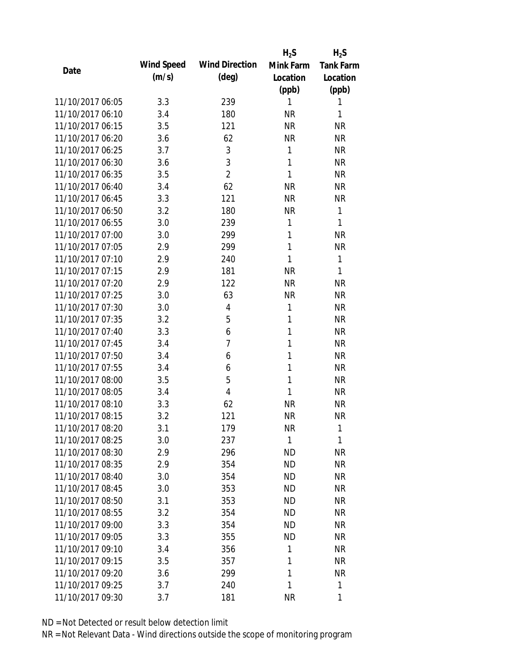|                  |            |                       | $H_2S$       | $H_2S$           |
|------------------|------------|-----------------------|--------------|------------------|
| Date             | Wind Speed | <b>Wind Direction</b> | Mink Farm    | <b>Tank Farm</b> |
|                  | (m/s)      | $(\text{deg})$        | Location     | Location         |
|                  |            |                       | (ppb)        | (ppb)            |
| 11/10/2017 06:05 | 3.3        | 239                   | 1            | 1                |
| 11/10/2017 06:10 | 3.4        | 180                   | <b>NR</b>    | 1                |
| 11/10/2017 06:15 | 3.5        | 121                   | <b>NR</b>    | <b>NR</b>        |
| 11/10/2017 06:20 | 3.6        | 62                    | <b>NR</b>    | <b>NR</b>        |
| 11/10/2017 06:25 | 3.7        | 3                     | 1            | <b>NR</b>        |
| 11/10/2017 06:30 | 3.6        | 3                     | 1            | <b>NR</b>        |
| 11/10/2017 06:35 | 3.5        | $\overline{2}$        | 1            | <b>NR</b>        |
| 11/10/2017 06:40 | 3.4        | 62                    | <b>NR</b>    | <b>NR</b>        |
| 11/10/2017 06:45 | 3.3        | 121                   | <b>NR</b>    | <b>NR</b>        |
| 11/10/2017 06:50 | 3.2        | 180                   | <b>NR</b>    | $\mathbf{1}$     |
| 11/10/2017 06:55 | 3.0        | 239                   | 1            | 1                |
| 11/10/2017 07:00 | 3.0        | 299                   | 1            | <b>NR</b>        |
| 11/10/2017 07:05 | 2.9        | 299                   | 1            | <b>NR</b>        |
| 11/10/2017 07:10 | 2.9        | 240                   | 1            | 1                |
| 11/10/2017 07:15 | 2.9        | 181                   | <b>NR</b>    | 1                |
| 11/10/2017 07:20 | 2.9        | 122                   | <b>NR</b>    | <b>NR</b>        |
| 11/10/2017 07:25 | 3.0        | 63                    | <b>NR</b>    | <b>NR</b>        |
| 11/10/2017 07:30 | 3.0        | 4                     | 1            | <b>NR</b>        |
| 11/10/2017 07:35 | 3.2        | 5                     | 1            | <b>NR</b>        |
| 11/10/2017 07:40 | 3.3        | 6                     | 1            | <b>NR</b>        |
| 11/10/2017 07:45 | 3.4        | 7                     | 1            | <b>NR</b>        |
| 11/10/2017 07:50 | 3.4        | 6                     | 1            | <b>NR</b>        |
| 11/10/2017 07:55 | 3.4        | 6                     | 1            | <b>NR</b>        |
| 11/10/2017 08:00 | 3.5        | 5                     | 1            | <b>NR</b>        |
| 11/10/2017 08:05 | 3.4        | 4                     | 1            | <b>NR</b>        |
| 11/10/2017 08:10 | 3.3        | 62                    | <b>NR</b>    | <b>NR</b>        |
| 11/10/2017 08:15 | 3.2        | 121                   | <b>NR</b>    | <b>NR</b>        |
| 11/10/2017 08:20 | 3.1        | 179                   | <b>NR</b>    | 1                |
| 11/10/2017 08:25 | 3.0        | 237                   | $\mathbf{1}$ | 1                |
| 11/10/2017 08:30 | 2.9        | 296                   | <b>ND</b>    | <b>NR</b>        |
| 11/10/2017 08:35 | 2.9        | 354                   | <b>ND</b>    | <b>NR</b>        |
| 11/10/2017 08:40 | 3.0        | 354                   | <b>ND</b>    | <b>NR</b>        |
| 11/10/2017 08:45 | 3.0        | 353                   | <b>ND</b>    | <b>NR</b>        |
| 11/10/2017 08:50 | 3.1        | 353                   | <b>ND</b>    | <b>NR</b>        |
| 11/10/2017 08:55 | 3.2        | 354                   | <b>ND</b>    | <b>NR</b>        |
| 11/10/2017 09:00 | 3.3        | 354                   | <b>ND</b>    | <b>NR</b>        |
| 11/10/2017 09:05 | 3.3        | 355                   | <b>ND</b>    | <b>NR</b>        |
| 11/10/2017 09:10 | 3.4        | 356                   | 1            | <b>NR</b>        |
| 11/10/2017 09:15 | 3.5        | 357                   | 1            | <b>NR</b>        |
| 11/10/2017 09:20 | 3.6        | 299                   | 1            | <b>NR</b>        |
| 11/10/2017 09:25 | 3.7        | 240                   | 1            | $\mathbf{1}$     |
| 11/10/2017 09:30 | 3.7        | 181                   | <b>NR</b>    | 1                |
|                  |            |                       |              |                  |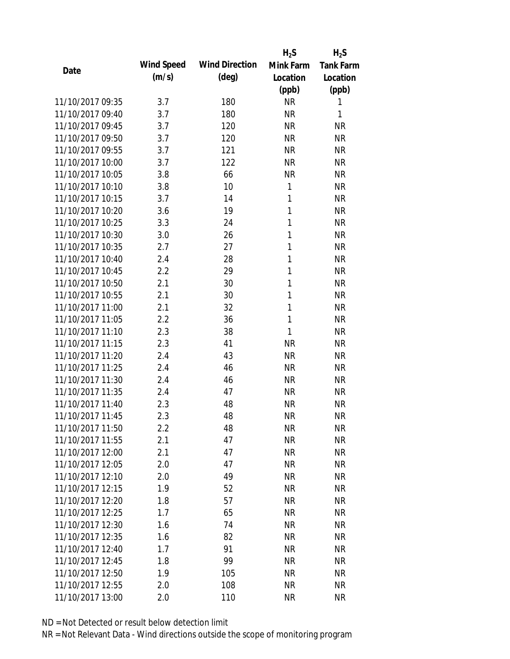|                  |            |                       | $H_2S$       | $H_2S$           |
|------------------|------------|-----------------------|--------------|------------------|
| Date             | Wind Speed | <b>Wind Direction</b> | Mink Farm    | <b>Tank Farm</b> |
|                  | (m/s)      | $(\text{deg})$        | Location     | Location         |
|                  |            |                       | (ppb)        | (ppb)            |
| 11/10/2017 09:35 | 3.7        | 180                   | <b>NR</b>    | 1                |
| 11/10/2017 09:40 | 3.7        | 180                   | <b>NR</b>    | 1                |
| 11/10/2017 09:45 | 3.7        | 120                   | <b>NR</b>    | <b>NR</b>        |
| 11/10/2017 09:50 | 3.7        | 120                   | <b>NR</b>    | <b>NR</b>        |
| 11/10/2017 09:55 | 3.7        | 121                   | <b>NR</b>    | <b>NR</b>        |
| 11/10/2017 10:00 | 3.7        | 122                   | <b>NR</b>    | <b>NR</b>        |
| 11/10/2017 10:05 | 3.8        | 66                    | <b>NR</b>    | <b>NR</b>        |
| 11/10/2017 10:10 | 3.8        | 10                    | 1            | <b>NR</b>        |
| 11/10/2017 10:15 | 3.7        | 14                    | 1            | <b>NR</b>        |
| 11/10/2017 10:20 | 3.6        | 19                    | 1            | <b>NR</b>        |
| 11/10/2017 10:25 | 3.3        | 24                    | 1            | <b>NR</b>        |
| 11/10/2017 10:30 | 3.0        | 26                    | 1            | <b>NR</b>        |
| 11/10/2017 10:35 | 2.7        | 27                    | 1            | <b>NR</b>        |
| 11/10/2017 10:40 | 2.4        | 28                    | 1            | <b>NR</b>        |
| 11/10/2017 10:45 | 2.2        | 29                    | 1            | <b>NR</b>        |
| 11/10/2017 10:50 | 2.1        | 30                    | 1            | <b>NR</b>        |
| 11/10/2017 10:55 | 2.1        | 30                    | 1            | <b>NR</b>        |
| 11/10/2017 11:00 | 2.1        | 32                    | 1            | <b>NR</b>        |
| 11/10/2017 11:05 | 2.2        | 36                    | $\mathbf{1}$ | <b>NR</b>        |
| 11/10/2017 11:10 | 2.3        | 38                    | 1            | <b>NR</b>        |
| 11/10/2017 11:15 | 2.3        | 41                    | <b>NR</b>    | <b>NR</b>        |
| 11/10/2017 11:20 | 2.4        | 43                    | <b>NR</b>    | <b>NR</b>        |
| 11/10/2017 11:25 | 2.4        | 46                    | <b>NR</b>    | <b>NR</b>        |
| 11/10/2017 11:30 | 2.4        | 46                    | <b>NR</b>    | <b>NR</b>        |
| 11/10/2017 11:35 | 2.4        | 47                    | <b>NR</b>    | <b>NR</b>        |
| 11/10/2017 11:40 | 2.3        | 48                    | <b>NR</b>    | <b>NR</b>        |
| 11/10/2017 11:45 | 2.3        | 48                    | <b>NR</b>    | <b>NR</b>        |
| 11/10/2017 11:50 | $2.2\,$    | 48                    | <b>NR</b>    | <b>NR</b>        |
| 11/10/2017 11:55 | 2.1        | 47                    | <b>NR</b>    | <b>NR</b>        |
| 11/10/2017 12:00 | 2.1        | 47                    | <b>NR</b>    | <b>NR</b>        |
| 11/10/2017 12:05 | 2.0        | 47                    | <b>NR</b>    | <b>NR</b>        |
| 11/10/2017 12:10 | 2.0        | 49                    | <b>NR</b>    | <b>NR</b>        |
| 11/10/2017 12:15 | 1.9        | 52                    | <b>NR</b>    | <b>NR</b>        |
| 11/10/2017 12:20 | 1.8        | 57                    | <b>NR</b>    | <b>NR</b>        |
| 11/10/2017 12:25 | 1.7        | 65                    | <b>NR</b>    | <b>NR</b>        |
| 11/10/2017 12:30 | 1.6        | 74                    | <b>NR</b>    | <b>NR</b>        |
| 11/10/2017 12:35 | 1.6        | 82                    | NR           | <b>NR</b>        |
| 11/10/2017 12:40 | 1.7        | 91                    | NR           | <b>NR</b>        |
| 11/10/2017 12:45 | 1.8        | 99                    | <b>NR</b>    | <b>NR</b>        |
| 11/10/2017 12:50 | 1.9        | 105                   | <b>NR</b>    | <b>NR</b>        |
| 11/10/2017 12:55 | 2.0        | 108                   | <b>NR</b>    | <b>NR</b>        |
| 11/10/2017 13:00 | 2.0        | 110                   | <b>NR</b>    | <b>NR</b>        |
|                  |            |                       |              |                  |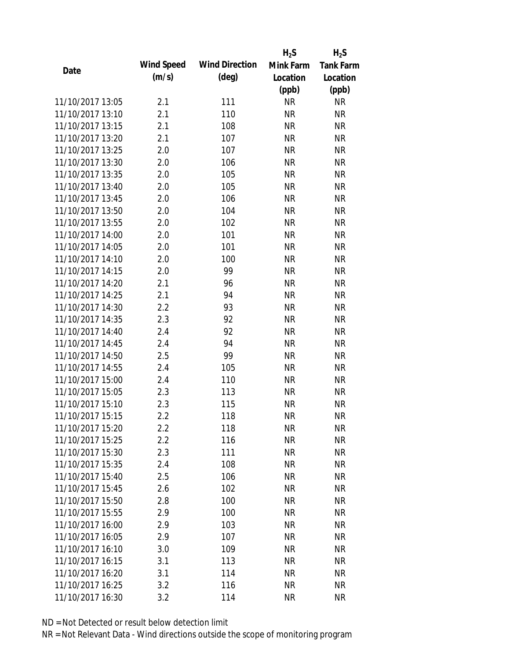|                  |            |                       | $H_2S$    | $H_2S$           |
|------------------|------------|-----------------------|-----------|------------------|
|                  | Wind Speed | <b>Wind Direction</b> | Mink Farm | <b>Tank Farm</b> |
| Date             | (m/s)      | $(\text{deg})$        | Location  | Location         |
|                  |            |                       | (ppb)     | (ppb)            |
| 11/10/2017 13:05 | 2.1        | 111                   | <b>NR</b> | <b>NR</b>        |
| 11/10/2017 13:10 | 2.1        | 110                   | <b>NR</b> | <b>NR</b>        |
| 11/10/2017 13:15 | 2.1        | 108                   | <b>NR</b> | <b>NR</b>        |
| 11/10/2017 13:20 | 2.1        | 107                   | <b>NR</b> | <b>NR</b>        |
| 11/10/2017 13:25 | 2.0        | 107                   | <b>NR</b> | <b>NR</b>        |
| 11/10/2017 13:30 | 2.0        | 106                   | <b>NR</b> | <b>NR</b>        |
| 11/10/2017 13:35 | 2.0        | 105                   | <b>NR</b> | <b>NR</b>        |
| 11/10/2017 13:40 | 2.0        | 105                   | <b>NR</b> | <b>NR</b>        |
| 11/10/2017 13:45 | 2.0        | 106                   | <b>NR</b> | <b>NR</b>        |
| 11/10/2017 13:50 | 2.0        | 104                   | <b>NR</b> | <b>NR</b>        |
| 11/10/2017 13:55 | 2.0        | 102                   | <b>NR</b> | <b>NR</b>        |
| 11/10/2017 14:00 | 2.0        | 101                   | <b>NR</b> | <b>NR</b>        |
| 11/10/2017 14:05 | 2.0        | 101                   | <b>NR</b> | <b>NR</b>        |
| 11/10/2017 14:10 | 2.0        | 100                   | <b>NR</b> | <b>NR</b>        |
| 11/10/2017 14:15 | 2.0        | 99                    | <b>NR</b> | <b>NR</b>        |
| 11/10/2017 14:20 | 2.1        | 96                    | <b>NR</b> | <b>NR</b>        |
| 11/10/2017 14:25 | 2.1        | 94                    | <b>NR</b> | <b>NR</b>        |
| 11/10/2017 14:30 | 2.2        | 93                    | <b>NR</b> | <b>NR</b>        |
| 11/10/2017 14:35 | 2.3        | 92                    | <b>NR</b> | <b>NR</b>        |
| 11/10/2017 14:40 | 2.4        | 92                    | <b>NR</b> | <b>NR</b>        |
| 11/10/2017 14:45 | 2.4        | 94                    | <b>NR</b> | <b>NR</b>        |
| 11/10/2017 14:50 | 2.5        | 99                    | <b>NR</b> | <b>NR</b>        |
| 11/10/2017 14:55 | 2.4        | 105                   | <b>NR</b> | <b>NR</b>        |
| 11/10/2017 15:00 | 2.4        | 110                   | <b>NR</b> | <b>NR</b>        |
| 11/10/2017 15:05 | 2.3        | 113                   | <b>NR</b> | <b>NR</b>        |
| 11/10/2017 15:10 | 2.3        | 115                   | <b>NR</b> | <b>NR</b>        |
| 11/10/2017 15:15 | 2.2        | 118                   | <b>NR</b> | <b>NR</b>        |
| 11/10/2017 15:20 | $2.2\,$    | 118                   | <b>NR</b> | <b>NR</b>        |
| 11/10/2017 15:25 | 2.2        | 116                   | <b>NR</b> | <b>NR</b>        |
| 11/10/2017 15:30 | 2.3        | 111                   | NR        | <b>NR</b>        |
| 11/10/2017 15:35 | 2.4        | 108                   | <b>NR</b> | <b>NR</b>        |
| 11/10/2017 15:40 | 2.5        | 106                   | <b>NR</b> | <b>NR</b>        |
| 11/10/2017 15:45 | 2.6        | 102                   | <b>NR</b> | <b>NR</b>        |
| 11/10/2017 15:50 | 2.8        | 100                   | <b>NR</b> | <b>NR</b>        |
| 11/10/2017 15:55 | 2.9        | 100                   | <b>NR</b> | <b>NR</b>        |
| 11/10/2017 16:00 | 2.9        | 103                   | <b>NR</b> | <b>NR</b>        |
| 11/10/2017 16:05 | 2.9        | 107                   | <b>NR</b> | <b>NR</b>        |
| 11/10/2017 16:10 |            | 109                   |           | <b>NR</b>        |
|                  | 3.0        |                       | NR        |                  |
| 11/10/2017 16:15 | 3.1        | 113                   | <b>NR</b> | <b>NR</b>        |
| 11/10/2017 16:20 | 3.1        | 114                   | <b>NR</b> | NR               |
| 11/10/2017 16:25 | 3.2        | 116                   | <b>NR</b> | <b>NR</b>        |
| 11/10/2017 16:30 | 3.2        | 114                   | <b>NR</b> | <b>NR</b>        |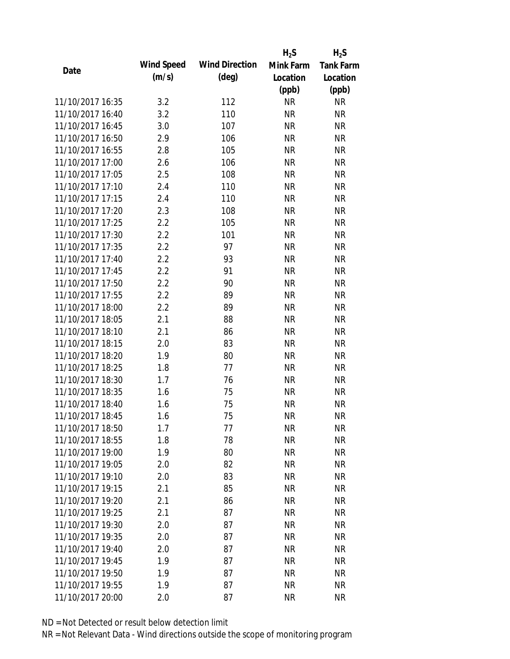|                  |            |                       | $H_2S$    | $H_2S$           |
|------------------|------------|-----------------------|-----------|------------------|
| Date             | Wind Speed | <b>Wind Direction</b> | Mink Farm | <b>Tank Farm</b> |
|                  | (m/s)      | $(\text{deg})$        | Location  | Location         |
|                  |            |                       | (ppb)     | (ppb)            |
| 11/10/2017 16:35 | 3.2        | 112                   | <b>NR</b> | <b>NR</b>        |
| 11/10/2017 16:40 | 3.2        | 110                   | <b>NR</b> | <b>NR</b>        |
| 11/10/2017 16:45 | 3.0        | 107                   | <b>NR</b> | <b>NR</b>        |
| 11/10/2017 16:50 | 2.9        | 106                   | <b>NR</b> | <b>NR</b>        |
| 11/10/2017 16:55 | 2.8        | 105                   | <b>NR</b> | <b>NR</b>        |
| 11/10/2017 17:00 | 2.6        | 106                   | <b>NR</b> | <b>NR</b>        |
| 11/10/2017 17:05 | 2.5        | 108                   | <b>NR</b> | <b>NR</b>        |
| 11/10/2017 17:10 | 2.4        | 110                   | <b>NR</b> | <b>NR</b>        |
| 11/10/2017 17:15 | 2.4        | 110                   | <b>NR</b> | <b>NR</b>        |
| 11/10/2017 17:20 | 2.3        | 108                   | <b>NR</b> | <b>NR</b>        |
| 11/10/2017 17:25 | 2.2        | 105                   | <b>NR</b> | <b>NR</b>        |
| 11/10/2017 17:30 | 2.2        | 101                   | <b>NR</b> | <b>NR</b>        |
| 11/10/2017 17:35 | 2.2        | 97                    | <b>NR</b> | <b>NR</b>        |
| 11/10/2017 17:40 | 2.2        | 93                    | <b>NR</b> | <b>NR</b>        |
| 11/10/2017 17:45 | 2.2        | 91                    | <b>NR</b> | <b>NR</b>        |
| 11/10/2017 17:50 | 2.2        | 90                    | <b>NR</b> | <b>NR</b>        |
| 11/10/2017 17:55 | 2.2        | 89                    | <b>NR</b> | <b>NR</b>        |
| 11/10/2017 18:00 | 2.2        | 89                    | <b>NR</b> | <b>NR</b>        |
| 11/10/2017 18:05 | 2.1        | 88                    | <b>NR</b> | <b>NR</b>        |
| 11/10/2017 18:10 | 2.1        | 86                    | <b>NR</b> | <b>NR</b>        |
| 11/10/2017 18:15 | 2.0        | 83                    | <b>NR</b> | <b>NR</b>        |
| 11/10/2017 18:20 | 1.9        | 80                    | <b>NR</b> | <b>NR</b>        |
| 11/10/2017 18:25 | 1.8        | 77                    | <b>NR</b> | <b>NR</b>        |
| 11/10/2017 18:30 | 1.7        | 76                    | <b>NR</b> | <b>NR</b>        |
| 11/10/2017 18:35 | 1.6        | 75                    | <b>NR</b> | <b>NR</b>        |
| 11/10/2017 18:40 | 1.6        | 75                    | <b>NR</b> | <b>NR</b>        |
| 11/10/2017 18:45 | 1.6        | 75                    | <b>NR</b> | <b>NR</b>        |
| 11/10/2017 18:50 | 1.7        | 77                    | <b>NR</b> | NR               |
| 11/10/2017 18:55 | 1.8        | 78                    | <b>NR</b> | <b>NR</b>        |
| 11/10/2017 19:00 | 1.9        | 80                    | NR        | <b>NR</b>        |
| 11/10/2017 19:05 | 2.0        | 82                    | <b>NR</b> | <b>NR</b>        |
| 11/10/2017 19:10 | 2.0        | 83                    | <b>NR</b> | <b>NR</b>        |
| 11/10/2017 19:15 | 2.1        | 85                    | <b>NR</b> | <b>NR</b>        |
| 11/10/2017 19:20 | 2.1        | 86                    | <b>NR</b> | <b>NR</b>        |
| 11/10/2017 19:25 | 2.1        | 87                    | <b>NR</b> | <b>NR</b>        |
| 11/10/2017 19:30 | 2.0        | 87                    | <b>NR</b> | <b>NR</b>        |
| 11/10/2017 19:35 | 2.0        | 87                    | <b>NR</b> | <b>NR</b>        |
| 11/10/2017 19:40 | 2.0        | 87                    | <b>NR</b> | <b>NR</b>        |
| 11/10/2017 19:45 | 1.9        | 87                    | <b>NR</b> | <b>NR</b>        |
| 11/10/2017 19:50 | 1.9        | 87                    | <b>NR</b> | <b>NR</b>        |
| 11/10/2017 19:55 | 1.9        | 87                    | <b>NR</b> | <b>NR</b>        |
| 11/10/2017 20:00 | 2.0        | 87                    | <b>NR</b> | <b>NR</b>        |
|                  |            |                       |           |                  |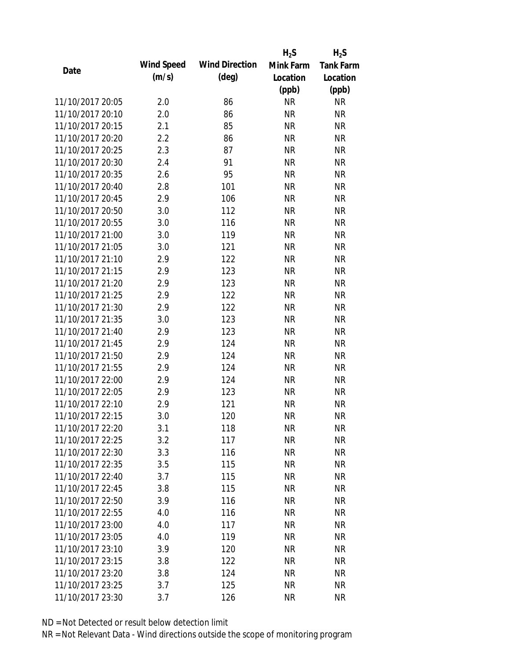|                  |            |                       | $H_2S$    | $H_2S$           |
|------------------|------------|-----------------------|-----------|------------------|
| Date             | Wind Speed | <b>Wind Direction</b> | Mink Farm | <b>Tank Farm</b> |
|                  | (m/s)      | $(\text{deg})$        | Location  | Location         |
|                  |            |                       | (ppb)     | (ppb)            |
| 11/10/2017 20:05 | 2.0        | 86                    | <b>NR</b> | <b>NR</b>        |
| 11/10/2017 20:10 | 2.0        | 86                    | <b>NR</b> | <b>NR</b>        |
| 11/10/2017 20:15 | 2.1        | 85                    | <b>NR</b> | <b>NR</b>        |
| 11/10/2017 20:20 | 2.2        | 86                    | <b>NR</b> | <b>NR</b>        |
| 11/10/2017 20:25 | 2.3        | 87                    | <b>NR</b> | <b>NR</b>        |
| 11/10/2017 20:30 | 2.4        | 91                    | <b>NR</b> | <b>NR</b>        |
| 11/10/2017 20:35 | 2.6        | 95                    | <b>NR</b> | <b>NR</b>        |
| 11/10/2017 20:40 | 2.8        | 101                   | <b>NR</b> | <b>NR</b>        |
| 11/10/2017 20:45 | 2.9        | 106                   | <b>NR</b> | <b>NR</b>        |
| 11/10/2017 20:50 | 3.0        | 112                   | <b>NR</b> | <b>NR</b>        |
| 11/10/2017 20:55 | 3.0        | 116                   | <b>NR</b> | <b>NR</b>        |
| 11/10/2017 21:00 | 3.0        | 119                   | <b>NR</b> | <b>NR</b>        |
| 11/10/2017 21:05 | 3.0        | 121                   | <b>NR</b> | <b>NR</b>        |
| 11/10/2017 21:10 | 2.9        | 122                   | <b>NR</b> | <b>NR</b>        |
| 11/10/2017 21:15 | 2.9        | 123                   | <b>NR</b> | <b>NR</b>        |
| 11/10/2017 21:20 | 2.9        | 123                   | <b>NR</b> | <b>NR</b>        |
| 11/10/2017 21:25 | 2.9        | 122                   | <b>NR</b> | <b>NR</b>        |
| 11/10/2017 21:30 | 2.9        | 122                   | <b>NR</b> | <b>NR</b>        |
| 11/10/2017 21:35 | 3.0        | 123                   | <b>NR</b> | <b>NR</b>        |
| 11/10/2017 21:40 | 2.9        | 123                   | <b>NR</b> | <b>NR</b>        |
| 11/10/2017 21:45 | 2.9        | 124                   | <b>NR</b> | <b>NR</b>        |
| 11/10/2017 21:50 | 2.9        | 124                   | <b>NR</b> | <b>NR</b>        |
| 11/10/2017 21:55 | 2.9        | 124                   | <b>NR</b> | <b>NR</b>        |
| 11/10/2017 22:00 | 2.9        | 124                   | <b>NR</b> | <b>NR</b>        |
| 11/10/2017 22:05 | 2.9        | 123                   | <b>NR</b> | <b>NR</b>        |
| 11/10/2017 22:10 | 2.9        | 121                   | <b>NR</b> | <b>NR</b>        |
| 11/10/2017 22:15 | 3.0        | 120                   | <b>NR</b> | <b>NR</b>        |
| 11/10/2017 22:20 | 3.1        | 118                   | NR        | <b>NR</b>        |
| 11/10/2017 22:25 | 3.2        | 117                   | <b>NR</b> | <b>NR</b>        |
| 11/10/2017 22:30 | 3.3        | 116                   | <b>NR</b> | <b>NR</b>        |
| 11/10/2017 22:35 | 3.5        | 115                   | <b>NR</b> | <b>NR</b>        |
| 11/10/2017 22:40 | 3.7        | 115                   | <b>NR</b> | <b>NR</b>        |
| 11/10/2017 22:45 | 3.8        | 115                   | <b>NR</b> | <b>NR</b>        |
| 11/10/2017 22:50 | 3.9        | 116                   | <b>NR</b> | <b>NR</b>        |
| 11/10/2017 22:55 | 4.0        | 116                   | <b>NR</b> | <b>NR</b>        |
| 11/10/2017 23:00 | 4.0        | 117                   | <b>NR</b> | <b>NR</b>        |
| 11/10/2017 23:05 | 4.0        | 119                   | NR        | <b>NR</b>        |
| 11/10/2017 23:10 | 3.9        | 120                   | NR        | <b>NR</b>        |
| 11/10/2017 23:15 | 3.8        | 122                   | <b>NR</b> | <b>NR</b>        |
| 11/10/2017 23:20 | 3.8        | 124                   | NR        | <b>NR</b>        |
| 11/10/2017 23:25 | 3.7        | 125                   | <b>NR</b> | <b>NR</b>        |
| 11/10/2017 23:30 | 3.7        | 126                   | <b>NR</b> | <b>NR</b>        |
|                  |            |                       |           |                  |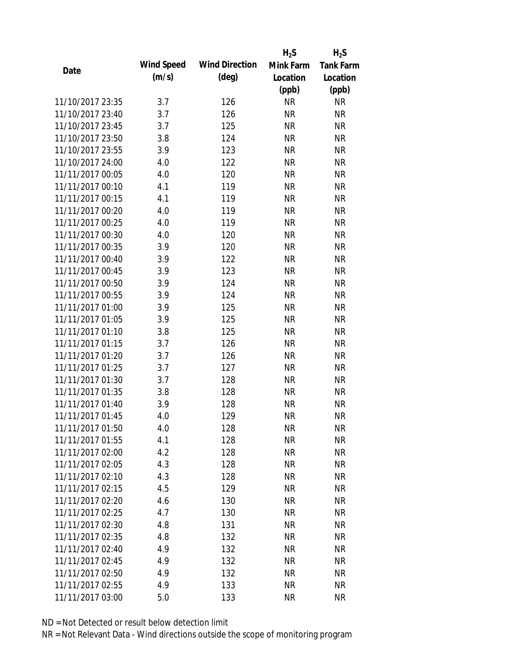|      |                  |            |                       | $H_2S$    | $H_2S$           |
|------|------------------|------------|-----------------------|-----------|------------------|
|      |                  | Wind Speed | <b>Wind Direction</b> | Mink Farm | <b>Tank Farm</b> |
| Date |                  | (m/s)      | $(\text{deg})$        | Location  | Location         |
|      |                  |            |                       | (ppb)     | (ppb)            |
|      | 11/10/2017 23:35 | 3.7        | 126                   | <b>NR</b> | <b>NR</b>        |
|      | 11/10/2017 23:40 | 3.7        | 126                   | <b>NR</b> | <b>NR</b>        |
|      | 11/10/2017 23:45 | 3.7        | 125                   | <b>NR</b> | <b>NR</b>        |
|      | 11/10/2017 23:50 | 3.8        | 124                   | <b>NR</b> | <b>NR</b>        |
|      | 11/10/2017 23:55 | 3.9        | 123                   | <b>NR</b> | <b>NR</b>        |
|      | 11/10/2017 24:00 | 4.0        | 122                   | <b>NR</b> | <b>NR</b>        |
|      | 11/11/2017 00:05 | 4.0        | 120                   | <b>NR</b> | <b>NR</b>        |
|      | 11/11/2017 00:10 | 4.1        | 119                   | <b>NR</b> | <b>NR</b>        |
|      | 11/11/2017 00:15 | 4.1        | 119                   | <b>NR</b> | <b>NR</b>        |
|      | 11/11/2017 00:20 | 4.0        | 119                   | <b>NR</b> | <b>NR</b>        |
|      | 11/11/2017 00:25 | 4.0        | 119                   | <b>NR</b> | <b>NR</b>        |
|      | 11/11/2017 00:30 | 4.0        | 120                   | <b>NR</b> | <b>NR</b>        |
|      | 11/11/2017 00:35 | 3.9        | 120                   | <b>NR</b> | <b>NR</b>        |
|      | 11/11/2017 00:40 | 3.9        | 122                   | <b>NR</b> | <b>NR</b>        |
|      | 11/11/2017 00:45 | 3.9        | 123                   | <b>NR</b> | <b>NR</b>        |
|      | 11/11/2017 00:50 | 3.9        | 124                   | <b>NR</b> | <b>NR</b>        |
|      | 11/11/2017 00:55 | 3.9        | 124                   | <b>NR</b> | <b>NR</b>        |
|      | 11/11/2017 01:00 | 3.9        | 125                   | <b>NR</b> | <b>NR</b>        |
|      | 11/11/2017 01:05 | 3.9        | 125                   | <b>NR</b> | <b>NR</b>        |
|      | 11/11/2017 01:10 | 3.8        | 125                   | <b>NR</b> | <b>NR</b>        |
|      | 11/11/2017 01:15 | 3.7        | 126                   | <b>NR</b> | <b>NR</b>        |
|      | 11/11/2017 01:20 | 3.7        | 126                   | <b>NR</b> | <b>NR</b>        |
|      | 11/11/2017 01:25 | 3.7        | 127                   | <b>NR</b> | <b>NR</b>        |
|      | 11/11/2017 01:30 | 3.7        | 128                   | <b>NR</b> | <b>NR</b>        |
|      | 11/11/2017 01:35 | 3.8        | 128                   | <b>NR</b> | <b>NR</b>        |
|      | 11/11/2017 01:40 | 3.9        | 128                   | <b>NR</b> | <b>NR</b>        |
|      | 11/11/2017 01:45 | 4.0        | 129                   | <b>NR</b> | <b>NR</b>        |
|      | 11/11/2017 01:50 | 4.0        | 128                   | <b>NR</b> | <b>NR</b>        |
|      | 11/11/2017 01:55 | 4.1        | 128                   | <b>NR</b> | <b>NR</b>        |
|      | 11/11/2017 02:00 | 4.2        | 128                   | NR        | <b>NR</b>        |
|      | 11/11/2017 02:05 | 4.3        | 128                   | <b>NR</b> | <b>NR</b>        |
|      | 11/11/2017 02:10 | 4.3        | 128                   | <b>NR</b> | <b>NR</b>        |
|      | 11/11/2017 02:15 | 4.5        | 129                   | <b>NR</b> | <b>NR</b>        |
|      | 11/11/2017 02:20 | 4.6        | 130                   | <b>NR</b> | <b>NR</b>        |
|      | 11/11/2017 02:25 | 4.7        | 130                   | <b>NR</b> | <b>NR</b>        |
|      | 11/11/2017 02:30 | 4.8        | 131                   | <b>NR</b> | <b>NR</b>        |
|      | 11/11/2017 02:35 | 4.8        | 132                   | <b>NR</b> | <b>NR</b>        |
|      | 11/11/2017 02:40 | 4.9        | 132                   | <b>NR</b> | <b>NR</b>        |
|      | 11/11/2017 02:45 | 4.9        | 132                   | <b>NR</b> | <b>NR</b>        |
|      | 11/11/2017 02:50 | 4.9        | 132                   | <b>NR</b> | <b>NR</b>        |
|      | 11/11/2017 02:55 | 4.9        | 133                   | <b>NR</b> | <b>NR</b>        |
|      |                  |            |                       |           |                  |
|      | 11/11/2017 03:00 | 5.0        | 133                   | <b>NR</b> | <b>NR</b>        |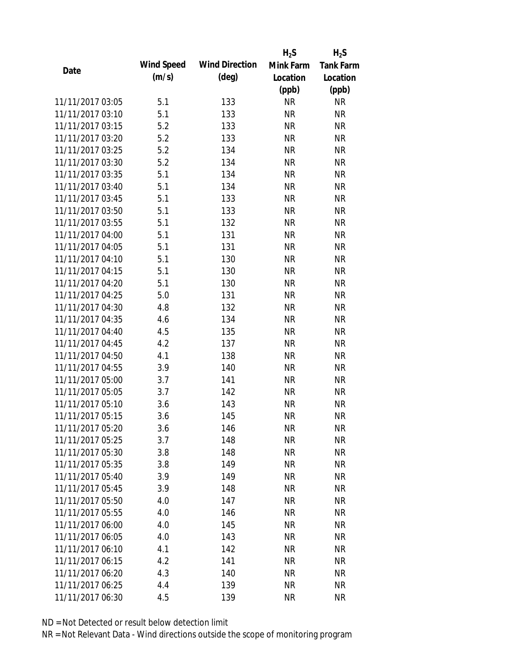|                  |            |                       | $H_2S$    | $H_2S$           |
|------------------|------------|-----------------------|-----------|------------------|
|                  | Wind Speed | <b>Wind Direction</b> | Mink Farm | <b>Tank Farm</b> |
| Date             | (m/s)      | $(\text{deg})$        | Location  | Location         |
|                  |            |                       | (ppb)     | (ppb)            |
| 11/11/2017 03:05 | 5.1        | 133                   | <b>NR</b> | <b>NR</b>        |
| 11/11/2017 03:10 | 5.1        | 133                   | <b>NR</b> | <b>NR</b>        |
| 11/11/2017 03:15 | 5.2        | 133                   | <b>NR</b> | <b>NR</b>        |
| 11/11/2017 03:20 | 5.2        | 133                   | <b>NR</b> | <b>NR</b>        |
| 11/11/2017 03:25 | 5.2        | 134                   | <b>NR</b> | <b>NR</b>        |
| 11/11/2017 03:30 | 5.2        | 134                   | <b>NR</b> | <b>NR</b>        |
| 11/11/2017 03:35 | 5.1        | 134                   | <b>NR</b> | <b>NR</b>        |
| 11/11/2017 03:40 | 5.1        | 134                   | <b>NR</b> | <b>NR</b>        |
| 11/11/2017 03:45 | 5.1        | 133                   | <b>NR</b> | <b>NR</b>        |
| 11/11/2017 03:50 | 5.1        | 133                   | <b>NR</b> | <b>NR</b>        |
| 11/11/2017 03:55 | 5.1        | 132                   | <b>NR</b> | <b>NR</b>        |
| 11/11/2017 04:00 | 5.1        | 131                   | <b>NR</b> | <b>NR</b>        |
| 11/11/2017 04:05 | 5.1        | 131                   | <b>NR</b> | <b>NR</b>        |
| 11/11/2017 04:10 | 5.1        | 130                   | <b>NR</b> | <b>NR</b>        |
| 11/11/2017 04:15 | 5.1        | 130                   | <b>NR</b> | <b>NR</b>        |
| 11/11/2017 04:20 | 5.1        | 130                   | <b>NR</b> | <b>NR</b>        |
| 11/11/2017 04:25 | 5.0        | 131                   | <b>NR</b> | <b>NR</b>        |
| 11/11/2017 04:30 | 4.8        | 132                   | <b>NR</b> | <b>NR</b>        |
| 11/11/2017 04:35 | 4.6        | 134                   | <b>NR</b> | <b>NR</b>        |
| 11/11/2017 04:40 | 4.5        | 135                   | <b>NR</b> | <b>NR</b>        |
| 11/11/2017 04:45 | 4.2        | 137                   | <b>NR</b> | <b>NR</b>        |
| 11/11/2017 04:50 | 4.1        | 138                   | <b>NR</b> | <b>NR</b>        |
| 11/11/2017 04:55 | 3.9        | 140                   | <b>NR</b> | <b>NR</b>        |
| 11/11/2017 05:00 | 3.7        | 141                   | <b>NR</b> | <b>NR</b>        |
| 11/11/2017 05:05 | 3.7        | 142                   | <b>NR</b> | <b>NR</b>        |
| 11/11/2017 05:10 | 3.6        | 143                   | <b>NR</b> | <b>NR</b>        |
| 11/11/2017 05:15 | 3.6        | 145                   | <b>NR</b> | <b>NR</b>        |
| 11/11/2017 05:20 | 3.6        | 146                   | <b>NR</b> | <b>NR</b>        |
| 11/11/2017 05:25 | 3.7        | 148                   | <b>NR</b> | <b>NR</b>        |
| 11/11/2017 05:30 | 3.8        | 148                   | NR        | <b>NR</b>        |
| 11/11/2017 05:35 | 3.8        | 149                   | <b>NR</b> | <b>NR</b>        |
| 11/11/2017 05:40 | 3.9        | 149                   | <b>NR</b> | <b>NR</b>        |
| 11/11/2017 05:45 | 3.9        | 148                   | <b>NR</b> | <b>NR</b>        |
| 11/11/2017 05:50 | 4.0        | 147                   | <b>NR</b> | <b>NR</b>        |
| 11/11/2017 05:55 | 4.0        | 146                   | <b>NR</b> | <b>NR</b>        |
| 11/11/2017 06:00 | 4.0        | 145                   | <b>NR</b> | <b>NR</b>        |
| 11/11/2017 06:05 | 4.0        | 143                   | <b>NR</b> | <b>NR</b>        |
| 11/11/2017 06:10 | 4.1        | 142                   | NR        | <b>NR</b>        |
| 11/11/2017 06:15 | 4.2        | 141                   | <b>NR</b> | <b>NR</b>        |
| 11/11/2017 06:20 | 4.3        | 140                   | <b>NR</b> | NR               |
| 11/11/2017 06:25 | 4.4        | 139                   | <b>NR</b> | <b>NR</b>        |
| 11/11/2017 06:30 | 4.5        | 139                   | <b>NR</b> | <b>NR</b>        |
|                  |            |                       |           |                  |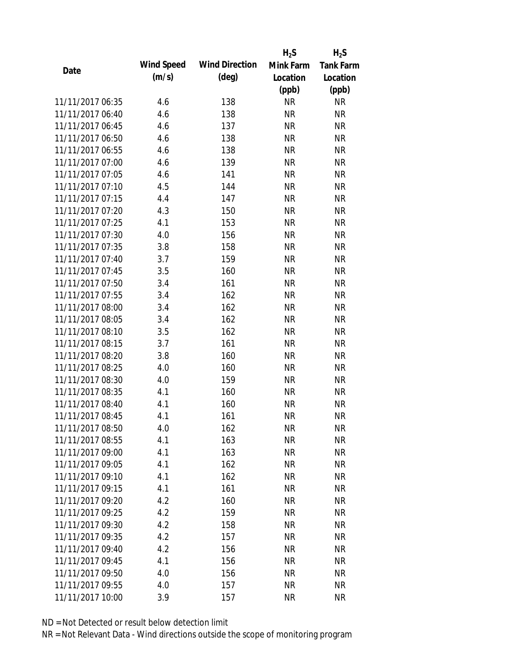|                  |            |                       | $H_2S$    | $H_2S$           |
|------------------|------------|-----------------------|-----------|------------------|
| Date             | Wind Speed | <b>Wind Direction</b> | Mink Farm | <b>Tank Farm</b> |
|                  | (m/s)      | $(\text{deg})$        | Location  | Location         |
|                  |            |                       | (ppb)     | (ppb)            |
| 11/11/2017 06:35 | 4.6        | 138                   | <b>NR</b> | <b>NR</b>        |
| 11/11/2017 06:40 | 4.6        | 138                   | <b>NR</b> | <b>NR</b>        |
| 11/11/2017 06:45 | 4.6        | 137                   | <b>NR</b> | <b>NR</b>        |
| 11/11/2017 06:50 | 4.6        | 138                   | <b>NR</b> | <b>NR</b>        |
| 11/11/2017 06:55 | 4.6        | 138                   | <b>NR</b> | <b>NR</b>        |
| 11/11/2017 07:00 | 4.6        | 139                   | <b>NR</b> | <b>NR</b>        |
| 11/11/2017 07:05 | 4.6        | 141                   | <b>NR</b> | <b>NR</b>        |
| 11/11/2017 07:10 | 4.5        | 144                   | <b>NR</b> | <b>NR</b>        |
| 11/11/2017 07:15 | 4.4        | 147                   | <b>NR</b> | <b>NR</b>        |
| 11/11/2017 07:20 | 4.3        | 150                   | <b>NR</b> | <b>NR</b>        |
| 11/11/2017 07:25 | 4.1        | 153                   | <b>NR</b> | <b>NR</b>        |
| 11/11/2017 07:30 | 4.0        | 156                   | <b>NR</b> | <b>NR</b>        |
| 11/11/2017 07:35 | 3.8        | 158                   | <b>NR</b> | <b>NR</b>        |
| 11/11/2017 07:40 | 3.7        | 159                   | <b>NR</b> | <b>NR</b>        |
| 11/11/2017 07:45 | 3.5        | 160                   | <b>NR</b> | <b>NR</b>        |
| 11/11/2017 07:50 | 3.4        | 161                   | <b>NR</b> | <b>NR</b>        |
| 11/11/2017 07:55 | 3.4        | 162                   | <b>NR</b> | <b>NR</b>        |
| 11/11/2017 08:00 | 3.4        | 162                   | <b>NR</b> | <b>NR</b>        |
| 11/11/2017 08:05 | 3.4        | 162                   | <b>NR</b> | <b>NR</b>        |
| 11/11/2017 08:10 | 3.5        | 162                   | <b>NR</b> | <b>NR</b>        |
| 11/11/2017 08:15 | 3.7        | 161                   | <b>NR</b> | <b>NR</b>        |
| 11/11/2017 08:20 | 3.8        | 160                   | <b>NR</b> | <b>NR</b>        |
| 11/11/2017 08:25 | 4.0        | 160                   | <b>NR</b> | <b>NR</b>        |
| 11/11/2017 08:30 | 4.0        | 159                   | <b>NR</b> | <b>NR</b>        |
| 11/11/2017 08:35 | 4.1        | 160                   | <b>NR</b> | <b>NR</b>        |
| 11/11/2017 08:40 | 4.1        | 160                   | <b>NR</b> | <b>NR</b>        |
| 11/11/2017 08:45 | 4.1        | 161                   | <b>NR</b> | <b>NR</b>        |
| 11/11/2017 08:50 | 4.0        | 162                   | <b>NR</b> | <b>NR</b>        |
| 11/11/2017 08:55 | 4.1        | 163                   | <b>NR</b> | <b>NR</b>        |
| 11/11/2017 09:00 | 4.1        | 163                   | NR        | <b>NR</b>        |
| 11/11/2017 09:05 | 4.1        | 162                   | <b>NR</b> | <b>NR</b>        |
| 11/11/2017 09:10 | 4.1        | 162                   | <b>NR</b> | <b>NR</b>        |
| 11/11/2017 09:15 | 4.1        | 161                   | <b>NR</b> | <b>NR</b>        |
| 11/11/2017 09:20 | 4.2        | 160                   | <b>NR</b> | <b>NR</b>        |
| 11/11/2017 09:25 | 4.2        | 159                   | <b>NR</b> | <b>NR</b>        |
| 11/11/2017 09:30 | 4.2        | 158                   | <b>NR</b> | <b>NR</b>        |
| 11/11/2017 09:35 | 4.2        | 157                   | NR        | <b>NR</b>        |
| 11/11/2017 09:40 | 4.2        | 156                   | NR        | <b>NR</b>        |
| 11/11/2017 09:45 | 4.1        | 156                   | <b>NR</b> | <b>NR</b>        |
| 11/11/2017 09:50 | 4.0        | 156                   | <b>NR</b> | <b>NR</b>        |
| 11/11/2017 09:55 | 4.0        | 157                   | <b>NR</b> | <b>NR</b>        |
| 11/11/2017 10:00 | 3.9        | 157                   | <b>NR</b> | <b>NR</b>        |
|                  |            |                       |           |                  |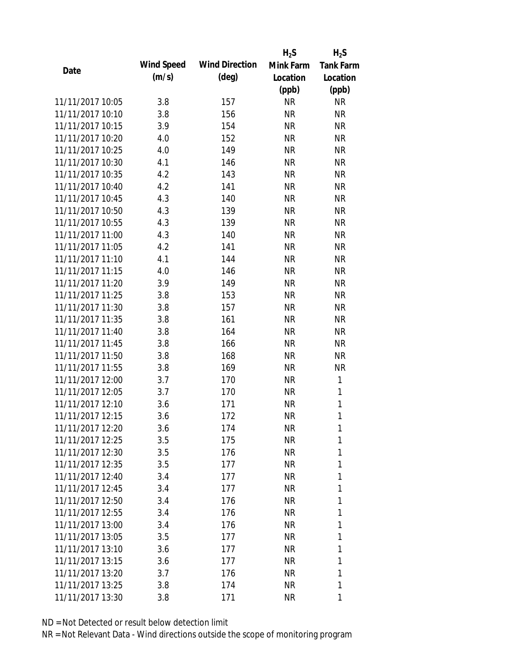|                  |            |                       | $H_2S$    | $H_2S$           |
|------------------|------------|-----------------------|-----------|------------------|
| Date             | Wind Speed | <b>Wind Direction</b> | Mink Farm | <b>Tank Farm</b> |
|                  | (m/s)      | $(\text{deg})$        | Location  | Location         |
|                  |            |                       | (ppb)     | (ppb)            |
| 11/11/2017 10:05 | 3.8        | 157                   | <b>NR</b> | <b>NR</b>        |
| 11/11/2017 10:10 | 3.8        | 156                   | <b>NR</b> | <b>NR</b>        |
| 11/11/2017 10:15 | 3.9        | 154                   | <b>NR</b> | <b>NR</b>        |
| 11/11/2017 10:20 | 4.0        | 152                   | <b>NR</b> | <b>NR</b>        |
| 11/11/2017 10:25 | 4.0        | 149                   | <b>NR</b> | <b>NR</b>        |
| 11/11/2017 10:30 | 4.1        | 146                   | <b>NR</b> | <b>NR</b>        |
| 11/11/2017 10:35 | 4.2        | 143                   | <b>NR</b> | <b>NR</b>        |
| 11/11/2017 10:40 | 4.2        | 141                   | <b>NR</b> | <b>NR</b>        |
| 11/11/2017 10:45 | 4.3        | 140                   | <b>NR</b> | <b>NR</b>        |
| 11/11/2017 10:50 | 4.3        | 139                   | <b>NR</b> | <b>NR</b>        |
| 11/11/2017 10:55 | 4.3        | 139                   | <b>NR</b> | <b>NR</b>        |
| 11/11/2017 11:00 | 4.3        | 140                   | <b>NR</b> | <b>NR</b>        |
| 11/11/2017 11:05 | 4.2        | 141                   | <b>NR</b> | <b>NR</b>        |
| 11/11/2017 11:10 | 4.1        | 144                   | <b>NR</b> | <b>NR</b>        |
| 11/11/2017 11:15 | 4.0        | 146                   | <b>NR</b> | <b>NR</b>        |
| 11/11/2017 11:20 | 3.9        | 149                   | <b>NR</b> | <b>NR</b>        |
| 11/11/2017 11:25 | 3.8        | 153                   | <b>NR</b> | <b>NR</b>        |
| 11/11/2017 11:30 | 3.8        | 157                   | <b>NR</b> | <b>NR</b>        |
| 11/11/2017 11:35 | 3.8        | 161                   | <b>NR</b> | <b>NR</b>        |
| 11/11/2017 11:40 | 3.8        | 164                   | <b>NR</b> | <b>NR</b>        |
| 11/11/2017 11:45 | 3.8        | 166                   | <b>NR</b> | <b>NR</b>        |
| 11/11/2017 11:50 | 3.8        | 168                   | <b>NR</b> | <b>NR</b>        |
| 11/11/2017 11:55 | 3.8        | 169                   | <b>NR</b> | <b>NR</b>        |
| 11/11/2017 12:00 | 3.7        | 170                   | <b>NR</b> | $\mathbf{1}$     |
| 11/11/2017 12:05 | 3.7        | 170                   | <b>NR</b> | 1                |
| 11/11/2017 12:10 | 3.6        | 171                   | <b>NR</b> | $\mathbf{1}$     |
| 11/11/2017 12:15 | 3.6        | 172                   | <b>NR</b> | 1                |
| 11/11/2017 12:20 | 3.6        | 174                   | NR        | 1                |
| 11/11/2017 12:25 | 3.5        | 175                   | <b>NR</b> | 1                |
| 11/11/2017 12:30 | 3.5        | 176                   | NR        | 1                |
| 11/11/2017 12:35 | 3.5        | 177                   | NR        | 1                |
| 11/11/2017 12:40 | 3.4        | 177                   | NR        | 1                |
| 11/11/2017 12:45 | 3.4        | 177                   | NR        | 1                |
| 11/11/2017 12:50 | 3.4        | 176                   | <b>NR</b> | 1                |
| 11/11/2017 12:55 | 3.4        | 176                   | NR        | 1                |
| 11/11/2017 13:00 | 3.4        | 176                   | NR        | 1                |
| 11/11/2017 13:05 | 3.5        | 177                   | NR        | 1                |
| 11/11/2017 13:10 | 3.6        | 177                   | NR        | 1                |
| 11/11/2017 13:15 | 3.6        | 177                   | NR        | 1                |
| 11/11/2017 13:20 | 3.7        | 176                   | NR        | 1                |
| 11/11/2017 13:25 | 3.8        | 174                   | <b>NR</b> | 1                |
| 11/11/2017 13:30 | 3.8        | 171                   | <b>NR</b> | 1                |
|                  |            |                       |           |                  |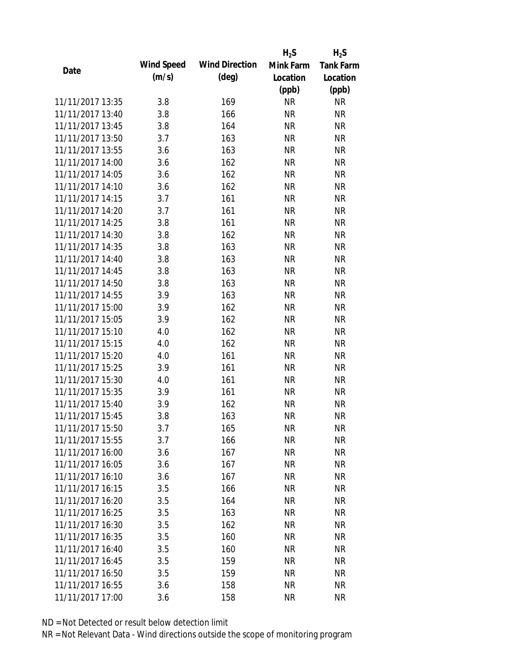|                  |            |                       | $H_2S$    | $H_2S$           |
|------------------|------------|-----------------------|-----------|------------------|
| Date             | Wind Speed | <b>Wind Direction</b> | Mink Farm | <b>Tank Farm</b> |
|                  | (m/s)      | $(\text{deg})$        | Location  | Location         |
|                  |            |                       | (ppb)     | (ppb)            |
| 11/11/2017 13:35 | 3.8        | 169                   | <b>NR</b> | <b>NR</b>        |
| 11/11/2017 13:40 | 3.8        | 166                   | <b>NR</b> | <b>NR</b>        |
| 11/11/2017 13:45 | 3.8        | 164                   | <b>NR</b> | <b>NR</b>        |
| 11/11/2017 13:50 | 3.7        | 163                   | <b>NR</b> | <b>NR</b>        |
| 11/11/2017 13:55 | 3.6        | 163                   | <b>NR</b> | <b>NR</b>        |
| 11/11/2017 14:00 | 3.6        | 162                   | <b>NR</b> | <b>NR</b>        |
| 11/11/2017 14:05 | 3.6        | 162                   | <b>NR</b> | <b>NR</b>        |
| 11/11/2017 14:10 | 3.6        | 162                   | <b>NR</b> | <b>NR</b>        |
| 11/11/2017 14:15 | 3.7        | 161                   | <b>NR</b> | <b>NR</b>        |
| 11/11/2017 14:20 | 3.7        | 161                   | <b>NR</b> | <b>NR</b>        |
| 11/11/2017 14:25 | 3.8        | 161                   | <b>NR</b> | <b>NR</b>        |
| 11/11/2017 14:30 | 3.8        | 162                   | <b>NR</b> | <b>NR</b>        |
| 11/11/2017 14:35 | 3.8        | 163                   | <b>NR</b> | <b>NR</b>        |
| 11/11/2017 14:40 | 3.8        | 163                   | <b>NR</b> | <b>NR</b>        |
| 11/11/2017 14:45 | 3.8        | 163                   | <b>NR</b> | <b>NR</b>        |
| 11/11/2017 14:50 | 3.8        | 163                   | <b>NR</b> | <b>NR</b>        |
| 11/11/2017 14:55 | 3.9        | 163                   | <b>NR</b> | <b>NR</b>        |
| 11/11/2017 15:00 | 3.9        | 162                   | <b>NR</b> | <b>NR</b>        |
| 11/11/2017 15:05 | 3.9        | 162                   | <b>NR</b> | <b>NR</b>        |
| 11/11/2017 15:10 | 4.0        | 162                   | <b>NR</b> | <b>NR</b>        |
| 11/11/2017 15:15 | 4.0        | 162                   | <b>NR</b> | <b>NR</b>        |
| 11/11/2017 15:20 | 4.0        | 161                   | <b>NR</b> | <b>NR</b>        |
| 11/11/2017 15:25 | 3.9        | 161                   | <b>NR</b> | <b>NR</b>        |
| 11/11/2017 15:30 | 4.0        | 161                   | <b>NR</b> | <b>NR</b>        |
| 11/11/2017 15:35 | 3.9        | 161                   | <b>NR</b> | <b>NR</b>        |
| 11/11/2017 15:40 | 3.9        | 162                   | <b>NR</b> | <b>NR</b>        |
| 11/11/2017 15:45 | 3.8        | 163                   | <b>NR</b> | <b>NR</b>        |
| 11/11/2017 15:50 | 3.7        | 165                   | <b>NR</b> | <b>NR</b>        |
| 11/11/2017 15:55 | 3.7        | 166                   | <b>NR</b> | <b>NR</b>        |
| 11/11/2017 16:00 | 3.6        | 167                   | NR        | <b>NR</b>        |
| 11/11/2017 16:05 | 3.6        | 167                   | <b>NR</b> | <b>NR</b>        |
| 11/11/2017 16:10 | 3.6        | 167                   | <b>NR</b> | <b>NR</b>        |
| 11/11/2017 16:15 | 3.5        | 166                   | <b>NR</b> | <b>NR</b>        |
| 11/11/2017 16:20 | 3.5        | 164                   | <b>NR</b> | <b>NR</b>        |
| 11/11/2017 16:25 | 3.5        | 163                   | <b>NR</b> | <b>NR</b>        |
| 11/11/2017 16:30 | 3.5        | 162                   | <b>NR</b> | <b>NR</b>        |
| 11/11/2017 16:35 | 3.5        | 160                   | NR        | <b>NR</b>        |
| 11/11/2017 16:40 | 3.5        | 160                   | NR        | <b>NR</b>        |
| 11/11/2017 16:45 | 3.5        | 159                   | <b>NR</b> | <b>NR</b>        |
| 11/11/2017 16:50 | 3.5        | 159                   | <b>NR</b> | NR               |
| 11/11/2017 16:55 | 3.6        | 158                   | <b>NR</b> | <b>NR</b>        |
| 11/11/2017 17:00 | 3.6        | 158                   | <b>NR</b> | <b>NR</b>        |
|                  |            |                       |           |                  |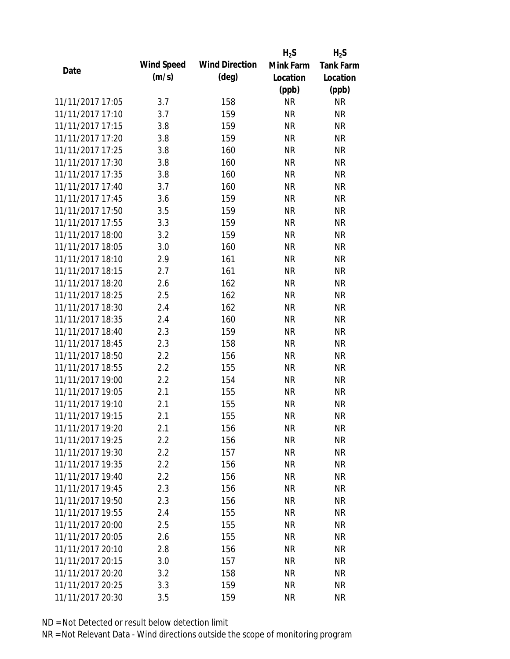|                  |            |                       | $H_2S$    | $H_2S$           |
|------------------|------------|-----------------------|-----------|------------------|
| Date             | Wind Speed | <b>Wind Direction</b> | Mink Farm | <b>Tank Farm</b> |
|                  | (m/s)      | $(\text{deg})$        | Location  | Location         |
|                  |            |                       | (ppb)     | (ppb)            |
| 11/11/2017 17:05 | 3.7        | 158                   | <b>NR</b> | <b>NR</b>        |
| 11/11/2017 17:10 | 3.7        | 159                   | <b>NR</b> | <b>NR</b>        |
| 11/11/2017 17:15 | 3.8        | 159                   | <b>NR</b> | <b>NR</b>        |
| 11/11/2017 17:20 | 3.8        | 159                   | <b>NR</b> | <b>NR</b>        |
| 11/11/2017 17:25 | 3.8        | 160                   | <b>NR</b> | <b>NR</b>        |
| 11/11/2017 17:30 | 3.8        | 160                   | <b>NR</b> | <b>NR</b>        |
| 11/11/2017 17:35 | 3.8        | 160                   | <b>NR</b> | <b>NR</b>        |
| 11/11/2017 17:40 | 3.7        | 160                   | <b>NR</b> | <b>NR</b>        |
| 11/11/2017 17:45 | 3.6        | 159                   | <b>NR</b> | <b>NR</b>        |
| 11/11/2017 17:50 | 3.5        | 159                   | <b>NR</b> | <b>NR</b>        |
| 11/11/2017 17:55 | 3.3        | 159                   | <b>NR</b> | <b>NR</b>        |
| 11/11/2017 18:00 | 3.2        | 159                   | <b>NR</b> | <b>NR</b>        |
| 11/11/2017 18:05 | 3.0        | 160                   | <b>NR</b> | <b>NR</b>        |
| 11/11/2017 18:10 | 2.9        | 161                   | <b>NR</b> | <b>NR</b>        |
| 11/11/2017 18:15 | 2.7        | 161                   | <b>NR</b> | <b>NR</b>        |
| 11/11/2017 18:20 | 2.6        | 162                   | <b>NR</b> | <b>NR</b>        |
| 11/11/2017 18:25 | 2.5        | 162                   | <b>NR</b> | <b>NR</b>        |
| 11/11/2017 18:30 | 2.4        | 162                   | <b>NR</b> | <b>NR</b>        |
| 11/11/2017 18:35 | 2.4        | 160                   | <b>NR</b> | <b>NR</b>        |
| 11/11/2017 18:40 | 2.3        | 159                   | <b>NR</b> | <b>NR</b>        |
| 11/11/2017 18:45 | 2.3        | 158                   | <b>NR</b> | <b>NR</b>        |
| 11/11/2017 18:50 | 2.2        | 156                   | <b>NR</b> | <b>NR</b>        |
| 11/11/2017 18:55 | 2.2        | 155                   | <b>NR</b> | <b>NR</b>        |
| 11/11/2017 19:00 | 2.2        | 154                   | <b>NR</b> | <b>NR</b>        |
| 11/11/2017 19:05 | 2.1        | 155                   | <b>NR</b> | <b>NR</b>        |
| 11/11/2017 19:10 | 2.1        | 155                   | <b>NR</b> | <b>NR</b>        |
| 11/11/2017 19:15 | 2.1        | 155                   | <b>NR</b> | <b>NR</b>        |
| 11/11/2017 19:20 | 2.1        | 156                   | <b>NR</b> | <b>NR</b>        |
| 11/11/2017 19:25 | 2.2        | 156                   | <b>NR</b> | <b>NR</b>        |
| 11/11/2017 19:30 | $2.2\,$    | 157                   | NR        | <b>NR</b>        |
| 11/11/2017 19:35 | 2.2        | 156                   | <b>NR</b> | <b>NR</b>        |
| 11/11/2017 19:40 | 2.2        | 156                   | <b>NR</b> | <b>NR</b>        |
| 11/11/2017 19:45 | 2.3        | 156                   | <b>NR</b> | <b>NR</b>        |
| 11/11/2017 19:50 | 2.3        | 156                   | <b>NR</b> | <b>NR</b>        |
| 11/11/2017 19:55 | 2.4        | 155                   | <b>NR</b> | <b>NR</b>        |
| 11/11/2017 20:00 | 2.5        | 155                   | <b>NR</b> | <b>NR</b>        |
| 11/11/2017 20:05 | 2.6        | 155                   | NR        | <b>NR</b>        |
| 11/11/2017 20:10 | 2.8        | 156                   | NR        | <b>NR</b>        |
| 11/11/2017 20:15 | 3.0        | 157                   | <b>NR</b> | <b>NR</b>        |
| 11/11/2017 20:20 | 3.2        | 158                   | <b>NR</b> | <b>NR</b>        |
| 11/11/2017 20:25 | 3.3        | 159                   | <b>NR</b> | <b>NR</b>        |
| 11/11/2017 20:30 | 3.5        | 159                   | <b>NR</b> | <b>NR</b>        |
|                  |            |                       |           |                  |